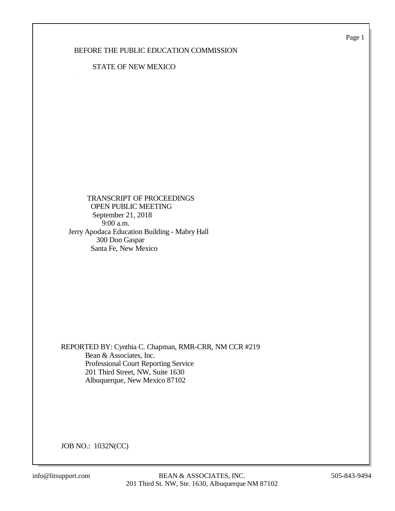Page 1

## BEFORE THE PUBLIC EDUCATION COMMISSION

## STATE OF NEW MEXICO

 TRANSCRIPT OF PROCEEDINGS OPEN PUBLIC MEETING September 21, 2018 9:00 a.m. Jerry Apodaca Education Building - Mabry Hall 300 Don Gaspar Santa Fe, New Mexico

REPORTED BY: Cynthia C. Chapman, RMR-CRR, NM CCR #219 Bean & Associates, Inc. Professional Court Reporting Service 201 Third Street, NW, Suite 1630 Albuquerque, New Mexico 87102

JOB NO.: 1032N(CC)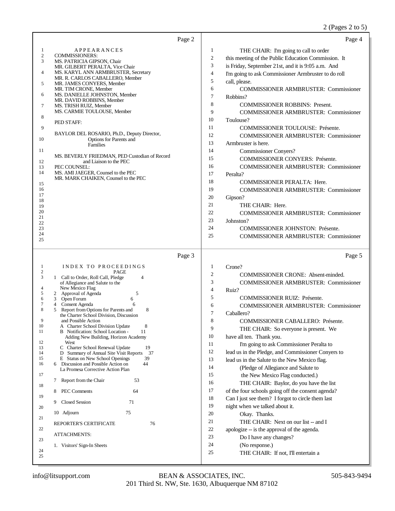| Page 2                                                                                                                                                                                                                                                                                                                                                                                                                                                                                                                                                                                                                                                                                                                                                                                                                                                                                                                                                                                                                                                                        | Page 4                                                                                                                                                                                                                                                                                                                                                                                                                                                                                                                                                                                                                                                                                                                                                                                                                                                                                                                                                                                                                                                                                                         |
|-------------------------------------------------------------------------------------------------------------------------------------------------------------------------------------------------------------------------------------------------------------------------------------------------------------------------------------------------------------------------------------------------------------------------------------------------------------------------------------------------------------------------------------------------------------------------------------------------------------------------------------------------------------------------------------------------------------------------------------------------------------------------------------------------------------------------------------------------------------------------------------------------------------------------------------------------------------------------------------------------------------------------------------------------------------------------------|----------------------------------------------------------------------------------------------------------------------------------------------------------------------------------------------------------------------------------------------------------------------------------------------------------------------------------------------------------------------------------------------------------------------------------------------------------------------------------------------------------------------------------------------------------------------------------------------------------------------------------------------------------------------------------------------------------------------------------------------------------------------------------------------------------------------------------------------------------------------------------------------------------------------------------------------------------------------------------------------------------------------------------------------------------------------------------------------------------------|
| <b>APPEARANCES</b><br>1<br>$\boldsymbol{2}$<br><b>COMMISSIONERS:</b><br>3<br>MS. PATRICIA GIPSON, Chair<br>MR. GILBERT PERALTA, Vice Chair<br>4<br>MS. KARYL ANN ARMBRUSTER, Secretary<br>MR. R. CARLOS CABALLERO, Member<br>MR. JAMES CONYERS, Member<br>5<br>MR. TIM CRONE, Member<br>6<br>MS. DANIELLE JOHNSTON, Member<br>MR. DAVID ROBBINS, Member<br>MS. TRISH RUIZ, Member<br>7<br>MS. CARMIE TOULOUSE, Member<br>8<br>PED STAFF:<br>9<br>BAYLOR DEL ROSARIO, Ph.D., Deputy Director,<br>10<br>Options for Parents and<br>Families<br>11<br>MS. BEVERLY FRIEDMAN, PED Custodian of Record<br>and Liaison to the PEC<br>12<br>PEC COUNSEL:<br>13<br>14<br>MS. AMI JAEGER, Counsel to the PEC<br>MR. MARK CHAIKEN, Counsel to the PEC<br>15<br>16<br>17<br>18<br>19<br>20<br>21<br>22<br>23<br>24<br>25                                                                                                                                                                                                                                                                  | 1<br>THE CHAIR: I'm going to call to order<br>$\mathfrak{2}$<br>this meeting of the Public Education Commission. It<br>3<br>is Friday, September 21st, and it is 9:05 a.m. And<br>$\overline{4}$<br>I'm going to ask Commissioner Armbruster to do roll<br>5<br>call, please.<br>6<br><b>COMMISSIONER ARMBRUSTER: Commissioner</b><br>7<br>Robbins?<br>8<br><b>COMMISSIONER ROBBINS: Present.</b><br>9<br><b>COMMISSIONER ARMBRUSTER: Commissioner</b><br>10<br>Toulouse?<br>11<br><b>COMMISSIONER TOULOUSE: Présente.</b><br>12<br><b>COMMISSIONER ARMBRUSTER: Commissioner</b><br>13<br>Armbruster is here.<br>14<br><b>Commissioner Conyers?</b><br>15<br><b>COMMISSIONER CONYERS: Présente.</b><br>16<br><b>COMMISSIONER ARMBRUSTER: Commissioner</b><br>17<br>Peralta?<br>18<br><b>COMMISSIONER PERALTA: Here.</b><br>19<br><b>COMMISSIONER ARMBRUSTER: Commissioner</b><br>20<br>Gipson?<br>21<br>THE CHAIR: Here.<br>22<br><b>COMMISSIONER ARMBRUSTER: Commissioner</b><br>23<br>Johnston?<br>24<br><b>COMMISSIONER JOHNSTON: Présente.</b><br>25<br><b>COMMISSIONER ARMBRUSTER: Commissioner</b>       |
| Page 3                                                                                                                                                                                                                                                                                                                                                                                                                                                                                                                                                                                                                                                                                                                                                                                                                                                                                                                                                                                                                                                                        | Page 5                                                                                                                                                                                                                                                                                                                                                                                                                                                                                                                                                                                                                                                                                                                                                                                                                                                                                                                                                                                                                                                                                                         |
| INDEX TO PROCEEDINGS<br>$\mathbf{1}$<br>2<br>PAGE<br>3<br>1 Call to Order, Roll Call, Pledge<br>4<br>of Allegiance and Salute to the<br>New Mexico Flag<br>4<br>2 Approval of Agenda<br>5<br>5<br>Open Forum<br>$\mathbf{3}$<br>6<br>6<br>Consent Agenda<br>7<br>6<br>4<br>8<br>Report from Options for Parents and<br>5<br>8<br>the Charter School Division, Discussion<br>9<br>and Possible Action<br>10<br>8<br>A Charter School Division Update<br>11<br>B Notification: School Location -<br>11<br>Adding New Building, Horizon Academy<br>12<br>West<br>19<br>13<br>C Charter School Renewal Update<br>14<br>D Summary of Annual Site Visit Reports<br>37<br>15<br>E Status on New School Openings<br>39<br>16<br>6 Discussion and Possible Action on<br>44<br>La Promesa Corrective Action Plan<br>17<br>7 Report from the Chair<br>53<br>18<br><b>PEC Comments</b><br>64<br>8<br>19<br><b>Closed Session</b><br>71<br>9<br>20<br>75<br>10 Adjourn<br>21<br>REPORTER'S CERTIFICATE<br>76<br>22<br><b>ATTACHMENTS:</b><br>23<br>1. Visitors' Sign-In Sheets<br>24<br>25 | 1<br>Crone?<br>$\overline{\mathbf{c}}$<br>COMMISSIONER CRONE: Absent-minded.<br>3<br><b>COMMISSIONER ARMBRUSTER: Commissioner</b><br>4<br>Ruiz?<br>5<br><b>COMMISSIONER RUIZ: Présente.</b><br>6<br><b>COMMISSIONER ARMBRUSTER: Commissioner</b><br>7<br>Caballero?<br>8<br>COMMISSIONER CABALLERO: Présente.<br>9<br>THE CHAIR: So everyone is present. We<br>10<br>have all ten. Thank you.<br>11<br>I'm going to ask Commissioner Peralta to<br>12<br>lead us in the Pledge, and Commissioner Conyers to<br>13<br>lead us in the Salute to the New Mexico flag.<br>14<br>(Pledge of Allegiance and Salute to<br>15<br>the New Mexico Flag conducted.)<br>16<br>THE CHAIR: Baylor, do you have the list<br>17<br>of the four schools going off the consent agenda?<br>18<br>Can I just see them? I forgot to circle them last<br>19<br>night when we talked about it.<br>$20\,$<br>Okay. Thanks.<br>21<br>THE CHAIR: Next on our list -- and I<br>$22\,$<br>apologize -- is the approval of the agenda.<br>23<br>Do I have any changes?<br>24<br>(No response.)<br>25<br>THE CHAIR: If not, I'll entertain a |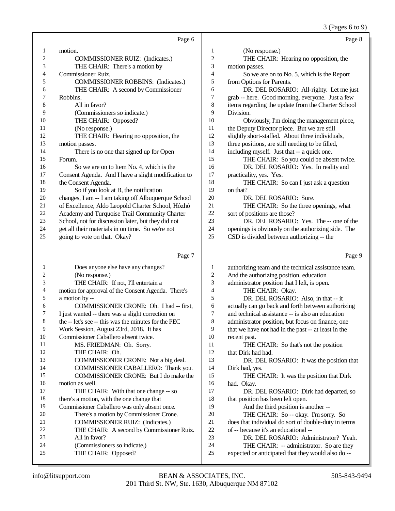3 (Pages 6 to 9)

|                | Page 6                                                                                     |                  | Page 8                                                                                                 |
|----------------|--------------------------------------------------------------------------------------------|------------------|--------------------------------------------------------------------------------------------------------|
| 1              | motion.                                                                                    | 1                | (No response.)                                                                                         |
| $\overline{c}$ | <b>COMMISSIONER RUIZ:</b> (Indicates.)                                                     | $\overline{c}$   | THE CHAIR: Hearing no opposition, the                                                                  |
| 3              | THE CHAIR: There's a motion by                                                             | 3                | motion passes.                                                                                         |
| 4              | Commissioner Ruiz.                                                                         | 4                | So we are on to No. 5, which is the Report                                                             |
| 5              | <b>COMMISSIONER ROBBINS:</b> (Indicates.)                                                  | 5                | from Options for Parents.                                                                              |
| 6              | THE CHAIR: A second by Commissioner                                                        | 6                | DR. DEL ROSARIO: All-righty. Let me just                                                               |
| 7              | Robbins.                                                                                   | 7                | grab -- here. Good morning, everyone. Just a few                                                       |
| 8              | All in favor?                                                                              | 8                | items regarding the update from the Charter School                                                     |
| 9              | (Commissioners so indicate.)                                                               | 9                | Division.                                                                                              |
| 10             | THE CHAIR: Opposed?                                                                        | 10               | Obviously, I'm doing the management piece,                                                             |
| 11             | (No response.)                                                                             | 11               | the Deputy Director piece. But we are still                                                            |
| 12             | THE CHAIR: Hearing no opposition, the                                                      | 12               | slightly short-staffed. About three individuals,                                                       |
| 13             | motion passes.                                                                             | 13               | three positions, are still needing to be filled,                                                       |
| 14             | There is no one that signed up for Open                                                    | 14               | including myself. Just that -- a quick one.                                                            |
| 15             | Forum.                                                                                     | 15               | THE CHAIR: So you could be absent twice.                                                               |
| 16             | So we are on to Item No. 4, which is the                                                   | 16               | DR. DEL ROSARIO: Yes. In reality and                                                                   |
| 17             | Consent Agenda. And I have a slight modification to                                        | 17               | practicality, yes. Yes.                                                                                |
| 18             | the Consent Agenda.                                                                        | 18               | THE CHAIR: So can I just ask a question                                                                |
| 19             | So if you look at B, the notification                                                      | 19               | on that?                                                                                               |
| 20             | changes, I am -- I am taking off Albuquerque School                                        | 20               | DR. DEL ROSARIO: Sure.                                                                                 |
| 21             | of Excellence, Aldo Leopold Charter School, Hózhó                                          | 21               | THE CHAIR: So the three openings, what                                                                 |
| 22             | Academy and Turquoise Trail Community Charter                                              | 22               | sort of positions are those?                                                                           |
| 23             | School, not for discussion later, but they did not                                         | 23               | DR. DEL ROSARIO: Yes. The -- one of the                                                                |
| 24             | get all their materials in on time. So we're not                                           | 24               | openings is obviously on the authorizing side. The                                                     |
| 25             | going to vote on that. Okay?                                                               | 25               | CSD is divided between authorizing -- the                                                              |
|                |                                                                                            |                  |                                                                                                        |
|                |                                                                                            |                  |                                                                                                        |
|                | Page 7                                                                                     |                  | Page 9                                                                                                 |
| 1              |                                                                                            | 1                |                                                                                                        |
| 2              | Does anyone else have any changes?                                                         | $\boldsymbol{2}$ | authorizing team and the technical assistance team.                                                    |
| 3              | (No response.)                                                                             | 3                | And the authorizing position, education                                                                |
| 4              | THE CHAIR: If not, I'll entertain a                                                        | 4                | administrator position that I left, is open.                                                           |
| 5              | motion for approval of the Consent Agenda. There's                                         | 5                | THE CHAIR: Okay.                                                                                       |
| 6              | a motion by --<br>COMMISSIONER CRONE: Oh. I had -- first,                                  | 6                | DR. DEL ROSARIO: Also, in that -- it                                                                   |
| 7              |                                                                                            | 7                | actually can go back and forth between authorizing<br>and technical assistance -- is also an education |
| 8              | I just wanted -- there was a slight correction on                                          | 8                |                                                                                                        |
| 9              | the -- let's see -- this was the minutes for the PEC                                       | 9                | administrator position, but focus on finance, one                                                      |
| 10             | Work Session, August 23rd, 2018. It has<br>Commissioner Caballero absent twice.            | 10               | that we have not had in the past -- at least in the<br>recent past.                                    |
| 11             | MS. FRIEDMAN: Oh. Sorry.                                                                   | 11               |                                                                                                        |
| 12             | THE CHAIR: Oh.                                                                             | 12               | THE CHAIR: So that's not the position<br>that Dirk had had.                                            |
| 13             |                                                                                            | 13               |                                                                                                        |
| 14             | COMMISSIONER CRONE: Not a big deal.<br>COMMISSIONER CABALLERO: Thank you.                  | 14               | DR. DEL ROSARIO: It was the position that                                                              |
| 15             | COMMISSIONER CRONE: But I do make the                                                      | 15               | Dirk had, yes.                                                                                         |
| 16             | motion as well.                                                                            | 16               | THE CHAIR: It was the position that Dirk                                                               |
| 17             |                                                                                            | 17               | had. Okay.                                                                                             |
| 18             | THE CHAIR: With that one change -- so                                                      | 18               | DR. DEL ROSARIO: Dirk had departed, so                                                                 |
| 19             | there's a motion, with the one change that<br>Commissioner Caballero was only absent once. | 19               | that position has been left open.<br>And the third position is another --                              |
| 20             | There's a motion by Commissioner Crone.                                                    | 20               | THE CHAIR: So -- okay. I'm sorry. So                                                                   |
| 21             | COMMISSIONER RUIZ: (Indicates.)                                                            | 21               | does that individual do sort of double-duty in terms                                                   |
| 22             | THE CHAIR: A second by Commissioner Ruiz.                                                  | $22\,$           | of -- because it's an educational --                                                                   |
| 23             | All in favor?                                                                              | 23               | DR. DEL ROSARIO: Administrator? Yeah.                                                                  |
| 24             | (Commissioners so indicate.)                                                               | 24               | THE CHAIR: -- administrator. So are they                                                               |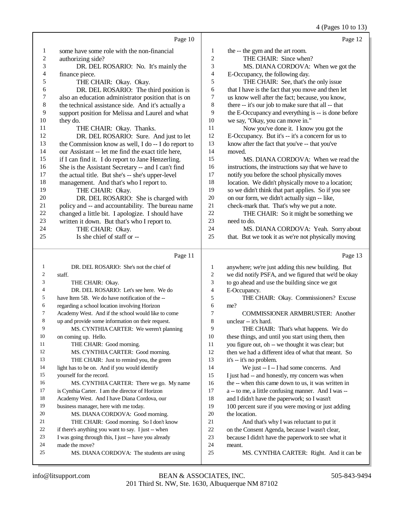4 (Pages 10 to 13)

|                                | Page 10                                                                                         |                     | Page 12                                                                                    |
|--------------------------------|-------------------------------------------------------------------------------------------------|---------------------|--------------------------------------------------------------------------------------------|
|                                |                                                                                                 |                     |                                                                                            |
| $\mathbf{1}$<br>$\overline{c}$ | some have some role with the non-financial                                                      | 1<br>$\overline{c}$ | the -- the gym and the art room.<br>THE CHAIR: Since when?                                 |
| 3                              | authorizing side?                                                                               | 3                   | MS. DIANA CORDOVA: When we got the                                                         |
| 4                              | DR. DEL ROSARIO: No. It's mainly the                                                            | 4                   |                                                                                            |
| 5                              | finance piece.                                                                                  | 5                   | E-Occupancy, the following day.<br>THE CHAIR: See, that's the only issue                   |
| 6                              | THE CHAIR: Okay. Okay.<br>DR. DEL ROSARIO: The third position is                                | 6                   | that I have is the fact that you move and then let                                         |
| $\boldsymbol{7}$               | also an education administrator position that is on                                             | 7                   | us know well after the fact; because, you know,                                            |
| 8                              | the technical assistance side. And it's actually a                                              | 8                   | there -- it's our job to make sure that all -- that                                        |
| 9                              | support position for Melissa and Laurel and what                                                | 9                   | the E-Occupancy and everything is -- is done before                                        |
| 10                             | they do.                                                                                        | $10\,$              | we say, "Okay, you can move in."                                                           |
| 11                             | THE CHAIR: Okay. Thanks.                                                                        | 11                  | Now you've done it. I know you got the                                                     |
| 12                             | DR. DEL ROSARIO: Sure. And just to let                                                          | 12                  | E-Occupancy. But it's -- it's a concern for us to                                          |
| 13                             | the Commission know as well, I do -- I do report to                                             | 13                  | know after the fact that you've -- that you've                                             |
| 14                             | our Assistant -- let me find the exact title here,                                              | 14                  | moved.                                                                                     |
| 15                             | if I can find it. I do report to Jane Henzerling.                                               | 15                  | MS. DIANA CORDOVA: When we read the                                                        |
| 16                             | She is the Assistant Secretary -- and I can't find                                              | 16                  | instructions, the instructions say that we have to                                         |
| 17                             | the actual title. But she's -- she's upper-level                                                | 17                  | notify you before the school physically moves                                              |
| 18                             | management. And that's who I report to.                                                         | 18                  | location. We didn't physically move to a location;                                         |
| 19                             | THE CHAIR: Okay.                                                                                | 19                  | so we didn't think that part applies. So if you see                                        |
| 20                             | DR. DEL ROSARIO: She is charged with                                                            | 20                  | on our form, we didn't actually sign -- like,                                              |
| 21                             | policy and -- and accountability. The bureau name                                               | 21                  | check-mark that. That's why we put a note.                                                 |
| 22                             | changed a little bit. I apologize. I should have                                                | 22                  | THE CHAIR: So it might be something we                                                     |
| 23                             | written it down. But that's who I report to.                                                    | 23                  | need to do.                                                                                |
| 24                             | THE CHAIR: Okay.                                                                                | 24                  | MS. DIANA CORDOVA: Yeah. Sorry about                                                       |
| 25                             | Is she chief of staff or --                                                                     | 25                  | that. But we took it as we're not physically moving                                        |
|                                |                                                                                                 |                     |                                                                                            |
|                                |                                                                                                 |                     |                                                                                            |
|                                | Page 11                                                                                         |                     | Page 13                                                                                    |
| 1                              | DR. DEL ROSARIO: She's not the chief of                                                         | 1                   | anywhere; we're just adding this new building. But                                         |
| $\overline{c}$                 | staff.                                                                                          | 2                   | we did notify PSFA, and we figured that we'd be okay                                       |
| 3                              | THE CHAIR: Okay.                                                                                | 3                   | to go ahead and use the building since we got                                              |
| 4                              | DR. DEL ROSARIO: Let's see here. We do                                                          | 4                   | E-Occupancy.                                                                               |
| 5                              | have Item 5B. We do have notification of the --                                                 | 5                   | THE CHAIR: Okay. Commissioners? Excuse                                                     |
| 6                              | regarding a school location involving Horizon                                                   | 6                   | me?                                                                                        |
| 7                              | Academy West. And if the school would like to come                                              | 7                   | <b>COMMISSIONER ARMBRUSTER: Another</b>                                                    |
| 8                              | up and provide some information on their request.                                               | 8                   | unclear -- it's hard.                                                                      |
| 9                              | MS. CYNTHIA CARTER: We weren't planning                                                         | 9                   | THE CHAIR: That's what happens. We do                                                      |
| 10                             | on coming up. Hello.                                                                            | 10                  | these things, and until you start using them, then                                         |
| 11                             | THE CHAIR: Good morning.                                                                        | 11                  | you figure out, oh -- we thought it was clear; but                                         |
| 12                             | MS. CYNTHIA CARTER: Good morning.                                                               | 12                  | then we had a different idea of what that meant. So                                        |
| 13                             | THE CHAIR: Just to remind you, the green                                                        | 13                  | it's -- it's no problem.                                                                   |
| 14                             | light has to be on. And if you would identify                                                   | 14                  | We just -- I -- I had some concerns. And                                                   |
| 15<br>16                       | yourself for the record.                                                                        | 15                  | I just had -- and honestly, my concern was when                                            |
| 17                             | MS. CYNTHIA CARTER: There we go. My name                                                        | 16                  | the -- when this came down to us, it was written in                                        |
| 18                             | is Cynthia Carter. I am the director of Horizon                                                 | 17                  | a -- to me, a little confusing manner. And I was --                                        |
| 19                             | Academy West. And I have Diana Cordova, our                                                     | 18<br>19            | and I didn't have the paperwork; so I wasn't                                               |
| 20                             | business manager, here with me today.                                                           | 20                  | 100 percent sure if you were moving or just adding<br>the location.                        |
| 21                             | MS. DIANA CORDOVA: Good morning.                                                                | $21\,$              |                                                                                            |
| 22                             | THE CHAIR: Good morning. So I don't know<br>if there's anything you want to say. I just -- when | $22\,$              | And that's why I was reluctant to put it<br>on the Consent Agenda, because I wasn't clear, |
| 23                             | I was going through this, I just -- have you already                                            | 23                  | because I didn't have the paperwork to see what it                                         |
| 24                             | made the move?                                                                                  | $24\,$              | meant.                                                                                     |
| 25                             | MS. DIANA CORDOVA: The students are using                                                       | 25                  | MS. CYNTHIA CARTER: Right. And it can be                                                   |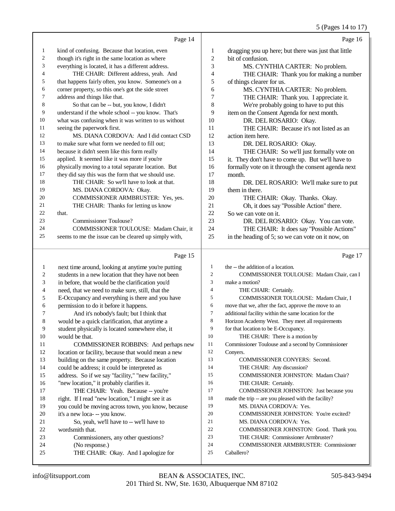|              |                                                      |                | 5 (Pages 14 to 17)                                   |
|--------------|------------------------------------------------------|----------------|------------------------------------------------------|
|              | Page 14                                              |                | Page 16                                              |
| 1            | kind of confusing. Because that location, even       | 1              | dragging you up here; but there was just that little |
| 2            | though it's right in the same location as where      | $\mathfrak{2}$ | bit of confusion.                                    |
| 3            | everything is located, it has a different address.   | 3              | MS. CYNTHIA CARTER: No problem.                      |
| 4            | THE CHAIR: Different address, yeah. And              | 4              | THE CHAIR: Thank you for making a number             |
| 5            | that happens fairly often, you know. Someone's on a  | 5              | of things clearer for us.                            |
| 6            | corner property, so this one's got the side street   | 6              | MS. CYNTHIA CARTER: No problem.                      |
| 7            | address and things like that.                        | 7              | THE CHAIR: Thank you. I appreciate it.               |
| 8            | So that can be -- but, you know, I didn't            | 8              | We're probably going to have to put this             |
| 9            | understand if the whole school -- you know. That's   | 9              | item on the Consent Agenda for next month.           |
| 10           | what was confusing when it was written to us without | 10             | DR. DEL ROSARIO: Okay.                               |
| 11           | seeing the paperwork first.                          | 11             | THE CHAIR: Because it's not listed as an             |
| 12           | MS. DIANA CORDOVA: And I did contact CSD             | 12             | action item here.                                    |
| 13           | to make sure what form we needed to fill out;        | 13             | DR. DEL ROSARIO: Okay.                               |
| 14           | because it didn't seem like this form really         | 14             | THE CHAIR: So we'll just formally vote on            |
| 15           | applied. It seemed like it was more if you're        | 15             | it. They don't have to come up. But we'll have to    |
| 16           | physically moving to a total separate location. But  | 16             | formally vote on it through the consent agenda next  |
| 17           | they did say this was the form that we should use.   | 17             | month.                                               |
| 18           | THE CHAIR: So we'll have to look at that.            | 18             | DR. DEL ROSARIO: We'll make sure to put              |
| 19           | MS. DIANA CORDOVA: Okay.                             | 19             | them in there.                                       |
| 20           | COMMISSIONER ARMBRUSTER: Yes, yes.                   | 20             | THE CHAIR: Okay. Thanks. Okay.                       |
| 21           | THE CHAIR: Thanks for letting us know                | 21             | Oh, it does say "Possible Action" there.             |
| 22           | that.                                                | 22             | So we can vote on it.                                |
| 23           | <b>Commissioner Toulouse?</b>                        | 23             | DR. DEL ROSARIO: Okay. You can vote.                 |
| 24           | COMMISSIONER TOULOUSE: Madam Chair, it               | 24             | THE CHAIR: It does say "Possible Actions"            |
| 25           | seems to me the issue can be cleared up simply with, | 25             | in the heading of 5; so we can vote on it now, on    |
|              | Page 15                                              |                | Page 17                                              |
| $\mathbf{1}$ | next time around, looking at anytime you're putting  | $\mathbf{1}$   | the -- the addition of a location.                   |
| 2            | students in a new location that they have not been   | $\overline{c}$ | COMMISSIONER TOULOUSE: Madam Chair, can I            |
| 3            | in before, that would be the clarification you'd     | 3              | make a motion?                                       |
| 4            | need, that we need to make sure, still, that the     | $\overline{4}$ | THE CHAIR: Certainly.                                |
| 5            | E-Occupancy and everything is there and you have     | 5              | COMMISSIONER TOULOUSE: Madam Chair, I                |
| 6            | permission to do it before it happens.               | 6              | move that we, after the fact, approve the move to an |
| 7            | And it's nobody's fault; but I think that            | 7              | additional facility within the same location for the |
| 8            | would be a quick clarification, that anytime a       | 8              | Horizon Academy West. They meet all requirements     |
| 9            | student physically is located somewhere else, it     | 9              | for that location to be E-Occupancy.                 |
| 10           | would be that.                                       | 10             | THE CHAIR: There is a motion by                      |
| 11           | COMMISSIONER ROBBINS: And perhaps new                | 11             | Commissioner Toulouse and a second by Commissioner   |
| 12           | location or facility, because that would mean a new  | 12             | Conyers.                                             |
| 13           | building on the same property. Because location      | 13             | COMMISSIONER CONYERS: Second.                        |
| 14           | could be address; it could be interpreted as         | 14             | THE CHAIR: Any discussion?                           |
| 15           | address. So if we say "facility," "new facility,"    | 15             | COMMISSIONER JOHNSTON: Madam Chair?                  |
| 16           | "new location," it probably clarifies it.            | 16             | THE CHAIR: Certainly.                                |
| 17           | THE CHAIR: Yeah. Because -- you're                   | 17             | COMMISSIONER JOHNSTON: Just because you              |
| 18           | right. If I read "new location," I might see it as   | 18             | made the trip -- are you pleased with the facility?  |
| 19           | you could be moving across town, you know, because   | 19             | MS. DIANA CORDOVA: Yes.                              |
| 20           | it's a new loca- -- you know.                        | 20             | COMMISSIONER JOHNSTON: You're excited?               |
| 21           | So, yeah, we'll have to -- we'll have to             | 21             | MS. DIANA CORDOVA: Yes.                              |
| 22           | wordsmith that.                                      | 22             | COMMISSIONER JOHNSTON: Good. Thank you.              |

- COMMISSIONER JOHNSTON: Good. Thank you.
- THE CHAIR: Commissioner Armbruster?
- COMMISSIONER ARMBRUSTER: Commissioner
- Caballero?

(No response.)

Commissioners, any other questions?

THE CHAIR: Okay. And I apologize for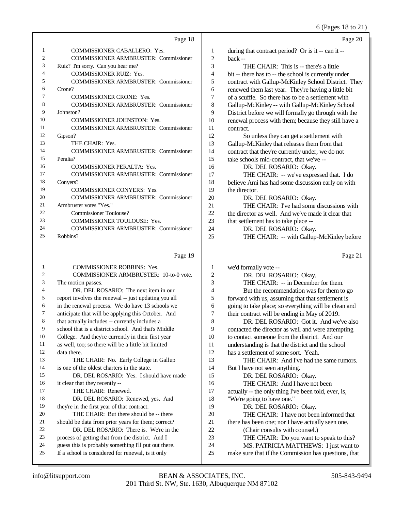6 (Pages 18 to 21)

|                |                                              |                | $\sigma$ (1 ages 10 to 21                            |
|----------------|----------------------------------------------|----------------|------------------------------------------------------|
|                | Page 18                                      |                | Page 20                                              |
| 1              | COMMISSIONER CABALLERO: Yes.                 | 1              | during that contract period? Or is it -- can it --   |
| $\overline{c}$ | <b>COMMISSIONER ARMBRUSTER: Commissioner</b> | $\mathfrak{2}$ | back --                                              |
| 3              | Ruiz? I'm sorry. Can you hear me?            | 3              | THE CHAIR: This is -- there's a little               |
| 4              | COMMISSIONER RUIZ: Yes.                      | $\overline{4}$ | bit -- there has to -- the school is currently under |
| 5              | <b>COMMISSIONER ARMBRUSTER: Commissioner</b> | 5              | contract with Gallup-McKinley School District. They  |
| 6              | Crone?                                       | 6              | renewed them last year. They're having a little bit  |
| 7              | <b>COMMISSIONER CRONE: Yes.</b>              | 7              | of a scuffle. So there has to be a settlement with   |
| 8              | <b>COMMISSIONER ARMBRUSTER: Commissioner</b> | 8              | Gallup-McKinley -- with Gallup-McKinley School       |
| 9              | Johnston?                                    | 9              | District before we will formally go through with the |
| 10             | COMMISSIONER JOHNSTON: Yes.                  | 10             | renewal process with them; because they still have a |
| 11             | <b>COMMISSIONER ARMBRUSTER: Commissioner</b> | 11             | contract.                                            |
| 12             | Gipson?                                      | 12             | So unless they can get a settlement with             |
| 13             | THE CHAIR: Yes.                              | 13             | Gallup-McKinley that releases them from that         |
| 14             | <b>COMMISSIONER ARMBRUSTER: Commissioner</b> | 14             | contract that they're currently under, we do not     |
| 15             | Peralta?                                     | 15             | take schools mid-contract, that we've --             |
| 16             | <b>COMMISSIONER PERALTA: Yes.</b>            | 16             | DR. DEL ROSARIO: Okay.                               |
| 17             | <b>COMMISSIONER ARMBRUSTER: Commissioner</b> | 17             | THE CHAIR: -- we've expressed that. I do             |
| 18             | Conyers?                                     | 18             | believe Ami has had some discussion early on with    |
| 19             | <b>COMMISSIONER CONYERS: Yes.</b>            | 19             | the director.                                        |
| 20             | <b>COMMISSIONER ARMBRUSTER: Commissioner</b> | 20             | DR. DEL ROSARIO: Okay.                               |
| 21             | Armbruster votes "Yes."                      | 21             | THE CHAIR: I've had some discussions with            |
| 22             | <b>Commissioner Toulouse?</b>                | 22             | the director as well. And we've made it clear that   |
| 23             | COMMISSIONER TOULOUSE: Yes.                  | 23             | that settlement has to take place --                 |
| 24             | <b>COMMISSIONER ARMBRUSTER: Commissioner</b> | 24             | DR. DEL ROSARIO: Okay.                               |
| 25             | Robbins?                                     | 25             | THE CHAIR: -- with Gallup-McKinley before            |
|                | Page 19                                      |                | Page 21                                              |
| 1              | <b>COMMISSIONER ROBBINS: Yes.</b>            | 1              | we'd formally vote --                                |
| $\overline{c}$ | COMMISSIONER ARMBRUSTER: 10-to-0 vote.       | 2              | DR. DEL ROSARIO: Okay.                               |
| 3              | The motion passes.                           | 3              | THE CHAIR: -- in December for them.                  |
|                |                                              |                |                                                      |

 DR. DEL ROSARIO: The next item in our report involves the renewal -- just updating you all 6 in the renewal process. We do have 13 schools we<br>7 anticipate that will be applying this October. And 7 anticipate that will be applying this October. And<br>8 that actually includes -- currently includes a that actually includes -- currently includes a school that is a district school. And that's Middle College. And they're currently in their first year

11 as well, too; so there will be a little bit limited<br>12 data there data there.

13 THE CHAIR: No. Early College in Gallup is one of the oldest charters in the state. DR. DEL ROSARIO: Yes. I should have made it clear that they recently -- 17 THE CHAIR: Renewed. DR. DEL ROSARIO: Renewed, yes. And they're in the first year of that contract. 20 THE CHAIR: But there should be -- there 21 should be data from prior years for them; correct?<br>22 DR. DEL ROSARIO: There is. We're in the

- 22 DR. DEL ROSARIO: There is. We're in the 23 process of getting that from the district. And I process of getting that from the district. And I
- guess this is probably something I'll put out there.
- If a school is considered for renewal, is it only

4 But the recommendation was for them to go<br>5 forward with us, assuming that that settlement is 5 forward with us, assuming that that settlement is<br>6 going to take place: so everything will be clean a 6 going to take place; so everything will be clean and<br>
7 their contract will be ending in May of 2019.

7 their contract will be ending in May of 2019.<br>8 DR. DEL ROSARIO: Got it. And we DR. DEL ROSARIO: Got it. And we've also 9 contacted the director as well and were attempting<br>10 to contact someone from the district. And our 10 to contact someone from the district. And our<br>11 understanding is that the district and the school

understanding is that the district and the school

- has a settlement of some sort. Yeah. THE CHAIR: And I've had the same rumors. But I have not seen anything.
- DR. DEL ROSARIO: Okay.
- 16 THE CHAIR: And I have not been<br>17 actually -- the only thing I've been told, ev
	- actually -- the only thing I've been told, ever, is,
- 18 "We're going to have one."<br>19 DR DEL ROSARIO
	- DR. DEL ROSARIO: Okay.
- 20 THE CHAIR: I have not been informed that<br>21 there has been one: nor I have actually seen one.
- 21 there has been one; nor I have actually seen one.<br>22 (Chair consults with counsel.)
- 22 (Chair consults with counsel.)<br>23 THE CHAIR: Do you want to
	- THE CHAIR: Do you want to speak to this?
- MS. PATRICIA MATTHEWS: I just want to
- make sure that if the Commission has questions, that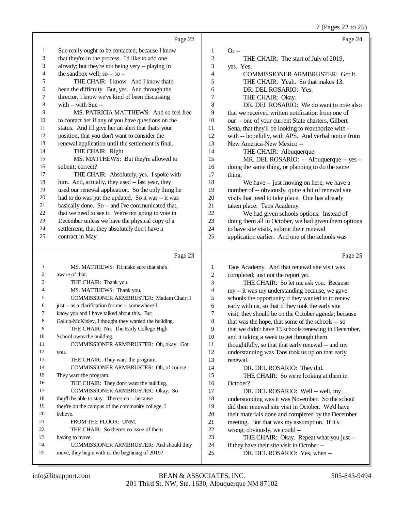7 (Pages 22 to 25)

|                         |                                                                                             |                          | $(1 + 4)$ (F ages 22 to 23)                                                  |
|-------------------------|---------------------------------------------------------------------------------------------|--------------------------|------------------------------------------------------------------------------|
|                         | Page 22                                                                                     |                          | Page 24                                                                      |
| $\mathbf{1}$            | Sue really ought to be contacted, because I know                                            | $\mathbf{1}$             | $Or -$                                                                       |
| $\overline{\mathbf{c}}$ | that they're in the process. I'd like to add one                                            | $\mathfrak{2}$           | THE CHAIR: The start of July of 2019,                                        |
| 3                       | already; but they're not being very -- playing in                                           | 3                        | yes. Yes.                                                                    |
| 4                       | the sandbox well; so -- so --                                                               | $\overline{\mathcal{L}}$ | COMMISSIONER ARMBRUSTER: Got it.                                             |
| 5                       | THE CHAIR: I know. And I know that's                                                        | 5                        | THE CHAIR: Yeah. So that makes 13.                                           |
| 6                       | been the difficulty. But, yes. And through the                                              | 6                        | DR. DEL ROSARIO: Yes.                                                        |
| 7                       | director, I know we've kind of been discussing                                              | 7                        | THE CHAIR: Okay.                                                             |
| $\,8\,$                 | with -- with Sue --                                                                         | 8                        | DR. DEL ROSARIO: We do want to note also                                     |
| 9                       | MS. PATRICIA MATTHEWS: And so feel free                                                     | 9                        | that we received written notification from one of                            |
| 10                      | to contact her if any of you have questions on the                                          | 10                       | our -- one of your current State charters, Gilbert                           |
| 11                      | status. And I'll give her an alert that that's your                                         | 11                       | Sena, that they'll be looking to reauthorize with --                         |
| 12                      | position, that you don't want to consider the                                               | 12                       | with -- hopefully, with APS. And verbal notice from                          |
| 13                      | renewal application until the settlement is final.                                          | 13                       | New America-New Mexico--                                                     |
| 14                      | THE CHAIR: Right.                                                                           | 14                       | THE CHAIR: Albuquerque.                                                      |
| 15                      | MS. MATTHEWS: But they're allowed to                                                        | 15                       | MR. DEL ROSARIO: -- Albuquerque -- yes --                                    |
| 16                      | submit; correct?                                                                            | 16                       | doing the same thing, or planning to do the same                             |
| 17                      | THE CHAIR: Absolutely, yes. I spoke with                                                    | 17                       | thing.                                                                       |
| $18\,$                  | him. And, actually, they used -- last year, they                                            | 18                       | We have -- just moving on here, we have a                                    |
| 19                      | used our renewal application. So the only thing he                                          | 19                       | number of -- obviously, quite a bit of renewal site                          |
| $20\,$                  | had to do was put the updated. So it was -- it was                                          | 20                       | visits that need to take place. One has already                              |
| 21                      | basically done. So -- and I've communicated that,                                           | 21                       | taken place: Taos Academy.                                                   |
| 22                      | that we need to see it. We're not going to vote in                                          | 22                       | We had given schools options. Instead of                                     |
| 23                      | December unless we have the physical copy of a                                              | 23                       | doing them all in October, we had given them options                         |
| 24                      | settlement, that they absolutely don't have a                                               | 24                       | to have site visits, submit their renewal                                    |
| 25                      | contract in May.                                                                            | 25                       | application earlier. And one of the schools was                              |
|                         |                                                                                             |                          |                                                                              |
|                         |                                                                                             |                          |                                                                              |
|                         | Page 23                                                                                     |                          | Page 25                                                                      |
| 1                       | MS. MATTHEWS: I'll make sure that she's                                                     |                          |                                                                              |
| $\overline{c}$          | aware of that.                                                                              | 1                        | Taos Academy. And that renewal site visit was                                |
| 3                       |                                                                                             | $\sqrt{2}$               | completed; just not the report yet.                                          |
| 4                       | THE CHAIR: Thank you.                                                                       | 3                        | THE CHAIR: So let me ask you. Because                                        |
| 5                       | MS. MATTHEWS: Thank you.                                                                    | $\overline{\mathcal{A}}$ | my -- it was my understanding because, we gave                               |
| 6                       | COMMISSIONER ARMBRUSTER: Madam Chair, I                                                     | 5                        | schools the opportunity if they wanted to to renew                           |
| 7                       | just -- as a clarification for me -- somewhere I                                            | 6                        | early with us, so that if they took the early site                           |
|                         | know you and I have talked about this. But                                                  | 7                        | visit, they should be on the October agenda; because                         |
| 8                       | Gallup-McKinley, I thought they wanted the building.                                        | $\,8\,$                  | that was the hope, that some of the schools -- so                            |
| 9                       | THE CHAIR: No. The Early College High                                                       | 9                        | that we didn't have 13 schools renewing in December,                         |
| 10                      | School owns the building.                                                                   | 10                       | and it taking a week to get through them                                     |
| 11                      | COMMISSIONER ARMBRUSTER: Oh, okay. Got                                                      | 11                       | thoughtfully, so that that early renewal -- and my                           |
| 12                      | you.                                                                                        | 12                       | understanding was Taos took us up on that early                              |
| 13                      | THE CHAIR: They want the program.                                                           | 13                       | renewal.                                                                     |
| 14                      | COMMISSIONER ARMBRUSTER: Oh, of course.                                                     | 14                       | DR. DEL ROSARIO: They did.                                                   |
| 15                      | They want the program.                                                                      | 15                       | THE CHAIR: So we're looking at them in                                       |
| 16                      | THE CHAIR: They don't want the building.                                                    | 16                       | October?                                                                     |
| 17                      | COMMISSIONER ARMBRUSTER: Okay. So                                                           | 17                       | DR. DEL ROSARIO: Well -- well, my                                            |
| 18                      | they'll be able to stay. There's no -- because                                              | 18                       | understanding was it was November. So the school                             |
| 19                      | they're on the campus of the community college, I                                           | 19                       | did their renewal site visit in October. We'd have                           |
| $20\,$                  | believe.                                                                                    | 20                       | their materials done and completed by the December                           |
| 21                      | FROM THE FLOOR: UNM.                                                                        | $21\,$                   | meeting. But that was my assumption. If it's                                 |
| 22                      | THE CHAIR: So there's no issue of them                                                      | $22\,$                   | wrong, obviously, we could --                                                |
| 23                      | having to move.                                                                             | 23                       | THE CHAIR: Okay. Repeat what you just --                                     |
| 24<br>25                | COMMISSIONER ARMBRUSTER: And should they<br>move, they begin with us the beginning of 2019? | 24<br>25                 | if they have their site visit in October --<br>DR. DEL ROSARIO: Yes, when -- |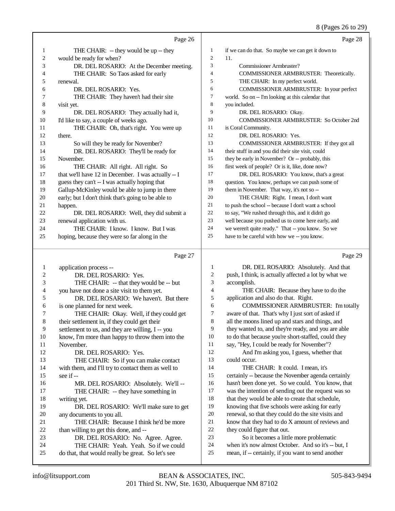### 8 (Pages 26 to 29)

|                | Page 26                                             |                  | Page 28                                              |
|----------------|-----------------------------------------------------|------------------|------------------------------------------------------|
| 1              | THE CHAIR: -- they would be up -- they              | 1                | if we can do that. So maybe we can get it down to    |
| 2              | would be ready for when?                            | $\sqrt{2}$       | 11.                                                  |
| 3              | DR. DEL ROSARIO: At the December meeting.           | 3                | Commissioner Armbruster?                             |
| 4              | THE CHAIR: So Taos asked for early                  | $\overline{4}$   | COMMISSIONER ARMBRUSTER: Theoretically.              |
| 5              | renewal.                                            | 5                | THE CHAIR: In my perfect world.                      |
| 6              | DR. DEL ROSARIO: Yes.                               | 6                | COMMISSIONER ARMBRUSTER: In your perfect             |
| 7              | THE CHAIR: They haven't had their site              | $\boldsymbol{7}$ | world. So on -- I'm looking at this calendar that    |
| 8              | visit yet.                                          | 8                | you included.                                        |
| 9              | DR. DEL ROSARIO: They actually had it,              | 9                | DR. DEL ROSARIO: Okay.                               |
| 10             | I'd like to say, a couple of weeks ago.             | 10               | COMMISSIONER ARMBRUSTER: So October 2nd              |
| 11             | THE CHAIR: Oh, that's right. You were up            | 11               | is Coral Community.                                  |
| 12             | there.                                              | 12               | DR. DEL ROSARIO: Yes.                                |
| 13             | So will they be ready for November?                 | 13               | COMMISSIONER ARMBRUSTER: If they got all             |
| 14             | DR. DEL ROSARIO: They'll be ready for               | 14               | their stuff in and you did their site visit, could   |
| 15             | November.                                           | 15               | they be early in November? Or -- probably, this      |
| 16             | THE CHAIR: All right. All right. So                 | 16               | first week of people? Or is it, like, done now?      |
| 17             | that we'll have 12 in December. I was actually -- I | 17               | DR. DEL ROSARIO: You know, that's a great            |
| 18             | guess they can't -- I was actually hoping that      | 18               | question. You know, perhaps we can push some of      |
| 19             | Gallup-McKinley would be able to jump in there      | 19               | them in November. That way, it's not so --           |
| 20             | early; but I don't think that's going to be able to | 20               | THE CHAIR: Right. I mean, I don't want               |
| 21             | happen.                                             | 21               | to push the school -- because I don't want a school  |
| 22             | DR. DEL ROSARIO: Well, they did submit a            | 22               | to say, "We rushed through this, and it didn't go    |
| 23             | renewal application with us.                        | 23               | well because you pushed us to come here early, and   |
| 24             | THE CHAIR: I know. I know. But I was                | 24               | we weren't quite ready." That -- you know. So we     |
| 25             | hoping, because they were so far along in the       | 25               | have to be careful with how we -- you know.          |
|                |                                                     |                  |                                                      |
|                | Page 27                                             |                  | Page 29                                              |
| $\mathbf{1}$   | application process --                              | $\mathbf{1}$     | DR. DEL ROSARIO: Absolutely. And that                |
| $\overline{c}$ | DR. DEL ROSARIO: Yes.                               | $\overline{c}$   | push, I think, is actually affected a lot by what we |
| 3              | THE CHAIR: -- that they would be -- but             | 3                | accomplish.                                          |
| 4              | you have not done a site visit to them yet.         | 4                | THE CHAIR: Because they have to do the               |
| 5              | DR. DEL ROSARIO: We haven't. But there              | 5                | application and also do that. Right.                 |
| 6              | is one planned for next week.                       | 6                | COMMISSIONER ARMBRUSTER: I'm totally                 |
| 7              | THE CHAIR: Okay. Well, if they could get            | 7                | aware of that. That's why I just sort of asked if    |
| 8              | their settlement in, if they could get their        | 8                | all the moons lined up and stars and things, and     |
| 9              | settlement to us, and they are willing, I -- you    | 9                | they wanted to, and they're ready, and you are able  |
| 10             | know, I'm more than happy to throw them into the    | 10               | to do that because you're short-staffed, could they  |
| 11             | November.                                           | 11               | say, "Hey, I could be ready for November"?           |
| 12             | DR. DEL ROSARIO: Yes.                               | 12               | And I'm asking you. I guess, whether that            |

|    | DR. DEE KOSARIO. - WC haven'i. - Dui there         |    | appheation and also do that. Tught.                 |
|----|----------------------------------------------------|----|-----------------------------------------------------|
| 6  | is one planned for next week.                      | 6  | <b>COMMISSIONER ARMBRUSTER: I'm total</b>           |
|    | THE CHAIR: Okay. Well, if they could get           | 7  | aware of that. That's why I just sort of asked if   |
| 8  | their settlement in, if they could get their       | 8  | all the moons lined up and stars and things, and    |
| 9  | settlement to us, and they are willing, I -- you   | 9  | they wanted to, and they're ready, and you are able |
| 10 | know, I'm more than happy to throw them into the   | 10 | to do that because you're short-staffed, could they |
| 11 | November.                                          | 11 | say, "Hey, I could be ready for November"?          |
| 12 | DR. DEL ROSARIO: Yes.                              | 12 | And I'm asking you, I guess, whether that           |
| 13 | THE CHAIR: So if you can make contact              | 13 | could occur.                                        |
| 14 | with them, and I'll try to contact them as well to | 14 | THE CHAIR: It could. I mean, it's                   |
| 15 | see if $-$                                         | 15 | certainly -- because the November agenda certainly  |
| 16 | MR. DEL ROSARIO: Absolutely. We'll --              | 16 | hasn't been done yet. So we could. You know, that   |
| 17 | THE CHAIR: -- they have something in               | 17 | was the intention of sending out the request was so |
| 18 | writing yet.                                       | 18 | that they would be able to create that schedule,    |
| 19 | DR. DEL ROSARIO: We'll make sure to get            | 19 | knowing that five schools were asking for early     |
| 20 | any documents to you all.                          | 20 | renewal, so that they could do the site visits and  |
| 21 | THE CHAIR: Because I think he'd be more            | 21 | know that they had to do X amount of reviews and    |
| 22 | than willing to get this done, and --              | 22 | they could figure that out.                         |
| 23 | DR. DEL ROSARIO: No. Agree. Agree.                 | 23 | So it becomes a little more problematic             |
| 24 | THE CHAIR: Yeah. Yeah. So if we could              | 24 | when it's now almost October. And so it's -- but, I |
| 25 | do that, that would really be great. So let's see  | 25 | mean, if -- certainly, if you want to send another  |
|    |                                                    |    |                                                     |
|    |                                                    |    |                                                     |
|    |                                                    |    |                                                     |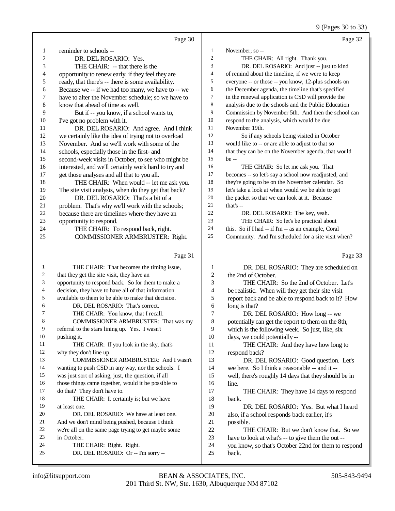9 (Pages 30 to 33)

|                   | Page 30                                                                                                   |                     | Page 32                                                                                               |
|-------------------|-----------------------------------------------------------------------------------------------------------|---------------------|-------------------------------------------------------------------------------------------------------|
| 1                 | reminder to schools --                                                                                    | 1                   | November; so --                                                                                       |
| $\overline{c}$    | DR. DEL ROSARIO: Yes.                                                                                     | $\overline{c}$      | THE CHAIR: All right. Thank you.                                                                      |
| 3                 | THE CHAIR: -- that there is the                                                                           | 3                   | DR. DEL ROSARIO: And just -- just to kind                                                             |
| 4                 | opportunity to renew early, if they feel they are                                                         | 4                   | of remind about the timeline, if we were to keep                                                      |
| 5                 | ready, that there's -- there is some availability.                                                        | 5                   | everyone -- or those -- you know, 12-plus schools on                                                  |
| 6                 | Because we -- if we had too many, we have to -- we                                                        | 6                   | the December agenda, the timeline that's specified                                                    |
| 7                 | have to alter the November schedule; so we have to                                                        | 7                   | in the renewal application is CSD will provide the                                                    |
| 8                 | know that ahead of time as well.                                                                          | 8                   | analysis due to the schools and the Public Education                                                  |
| 9                 | But if -- you know, if a school wants to,                                                                 | 9                   | Commission by November 5th. And then the school can                                                   |
| 10                | I've got no problem with it.                                                                              | 10                  | respond to the analysis, which would be due                                                           |
| 11                | DR. DEL ROSARIO: And agree. And I think                                                                   | 11                  | November 19th.                                                                                        |
| 12                | we certainly like the idea of trying not to overload                                                      | 12                  | So if any schools being visited in October                                                            |
| 13                | November. And so we'll work with some of the                                                              | 13                  | would like to -- or are able to adjust to that so                                                     |
| 14                | schools, especially those in the first- and                                                               | 14                  | that they can be on the November agenda, that would                                                   |
| 15                | second-week visits in October, to see who might be                                                        | 15                  | $be -$                                                                                                |
| 16                | interested, and we'll certainly work hard to try and                                                      | 16                  | THE CHAIR: So let me ask you. That                                                                    |
| 17                | get those analyses and all that to you all.                                                               | 17                  | becomes -- so let's say a school now readjusted, and                                                  |
| 18                | THE CHAIR: When would -- let me ask you.                                                                  | 18                  | they're going to be on the November calendar. So                                                      |
| 19                | The site visit analysis, when do they get that back?                                                      | 19                  | let's take a look at when would we be able to get                                                     |
| 20                | DR. DEL ROSARIO: That's a bit of a                                                                        | $20\,$              | the packet so that we can look at it. Because                                                         |
| 21                | problem. That's why we'll work with the schools;                                                          | 21                  | that's --                                                                                             |
| 22                | because there are timelines where they have an                                                            | 22                  | DR. DEL ROSARIO: The key, yeah.                                                                       |
| 23                | opportunity to respond.                                                                                   | 23                  | THE CHAIR: So let's be practical about                                                                |
| 24                | THE CHAIR: To respond back, right.                                                                        | 24                  | this. So if I had -- if I'm -- as an example, Coral                                                   |
| 25                | COMMISSIONER ARMBRUSTER: Right.                                                                           | 25                  | Community. And I'm scheduled for a site visit when?                                                   |
|                   | Page 31                                                                                                   |                     | Page 33                                                                                               |
|                   |                                                                                                           |                     |                                                                                                       |
| $\mathbf{1}$<br>2 | THE CHAIR: That becomes the timing issue,                                                                 | 1                   | DR. DEL ROSARIO: They are scheduled on                                                                |
| 3                 | that they get the site visit, they have an                                                                | $\overline{c}$<br>3 | the 2nd of October.                                                                                   |
| 4                 | opportunity to respond back. So for them to make a<br>decision, they have to have all of that information | 4                   | THE CHAIR: So the 2nd of October. Let's                                                               |
| 5                 | available to them to be able to make that decision.                                                       | 5                   | be realistic. When will they get their site visit                                                     |
| 6                 | DR. DEL ROSARIO: That's correct.                                                                          | 6                   | report back and be able to respond back to it? How                                                    |
| 7                 | THE CHAIR: You know, that I recall.                                                                       | 7                   | long is that?                                                                                         |
| 8                 | COMMISSIONER ARMBRUSTER: That was my                                                                      | 8                   | DR. DEL ROSARIO: How long -- we                                                                       |
| 9                 | referral to the stars lining up. Yes. I wasn't                                                            | 9                   | potentially can get the report to them on the 8th,<br>which is the following week. So just, like, six |
| 10                | pushing it.                                                                                               | 10                  | days, we could potentially --                                                                         |
| 11                | THE CHAIR: If you look in the sky, that's                                                                 | 11                  | THE CHAIR: And they have how long to                                                                  |
| 12                | why they don't line up.                                                                                   | 12                  | respond back?                                                                                         |
| 13                | COMMISSIONER ARMBRUSTER: And I wasn't                                                                     | 13                  | DR. DEL ROSARIO: Good question. Let's                                                                 |
| 14                | wanting to push CSD in any way, nor the schools. I                                                        | 14                  | see here. So I think a reasonable -- and it --                                                        |
| 15                | was just sort of asking, just, the question, if all                                                       | 15                  | well, there's roughly 14 days that they should be in                                                  |
| 16                | those things came together, would it be possible to                                                       | 16                  | line.                                                                                                 |
| 17                | do that? They don't have to.                                                                              | 17                  | THE CHAIR: They have 14 days to respond                                                               |
| 18                | THE CHAIR: It certainly is; but we have                                                                   | 18                  | back.                                                                                                 |
| 19                | at least one.                                                                                             | 19                  | DR. DEL ROSARIO: Yes. But what I heard                                                                |
| 20                | DR. DEL ROSARIO: We have at least one.                                                                    | 20                  | also, if a school responds back earlier, it's                                                         |
| 21                | And we don't mind being pushed, because I think                                                           | 21                  | possible.                                                                                             |
| 22                | we're all on the same page trying to get maybe some                                                       | 22                  | THE CHAIR: But we don't know that. So we                                                              |
| 23                | in October.                                                                                               | 23                  | have to look at what's -- to give them the out --                                                     |
| 24                | THE CHAIR: Right. Right.                                                                                  | 24                  | you know, so that's October 22nd for them to respond                                                  |
| 25                | DR. DEL ROSARIO: Or -- I'm sorry --                                                                       | 25                  | back.                                                                                                 |
|                   |                                                                                                           |                     |                                                                                                       |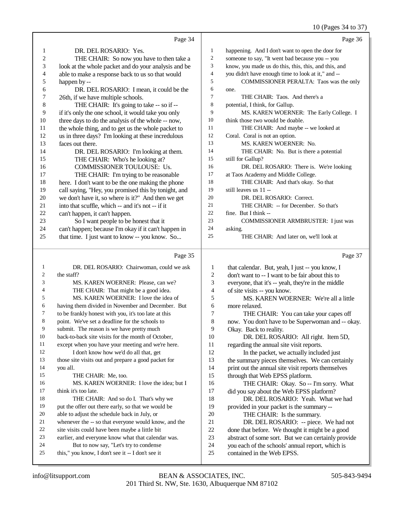# 10 (Pages 34 to 37)

|    | Page 34                                              |                | Page 36                                              |
|----|------------------------------------------------------|----------------|------------------------------------------------------|
| 1  | DR. DEL ROSARIO: Yes.                                | 1              | happening. And I don't want to open the door for     |
| 2  | THE CHAIR: So now you have to then take a            | $\overline{2}$ | someone to say, "It went bad because you -- you      |
| 3  | look at the whole packet and do your analysis and be | 3              | know, you made us do this, this, this, and this, and |
| 4  | able to make a response back to us so that would     | 4              | you didn't have enough time to look at it," and --   |
| 5  | happen by --                                         | 5              | COMMISSIONER PERALTA: Taos was the only              |
| 6  | DR. DEL ROSARIO: I mean, it could be the             | 6              | one.                                                 |
| 7  | 26th, if we have multiple schools.                   | 7              | THE CHAIR: Taos. And there's a                       |
| 8  | THE CHAIR: It's going to take -- so if --            | 8              | potential, I think, for Gallup.                      |
| 9  | if it's only the one school, it would take you only  | 9              | MS. KAREN WOERNER: The Early College. I              |
| 10 | three days to do the analysis of the whole -- now,   | 10             | think those two would be doable.                     |
| 11 | the whole thing, and to get us the whole packet to   | 11             | THE CHAIR: And maybe -- we looked at                 |
| 12 | us in three days? I'm looking at these incredulous   | 12             | Coral. Coral is not an option.                       |
| 13 | faces out there.                                     | 13             | MS. KAREN WOERNER: No.                               |
| 14 | DR. DEL ROSARIO: I'm looking at them.                | 14             | THE CHAIR: No. But is there a potential              |
| 15 | THE CHAIR: Who's he looking at?                      | 15             | still for Gallup?                                    |
| 16 | <b>COMMISSIONER TOULOUSE: Us.</b>                    | 16             | DR. DEL ROSARIO: There is. We're looking             |
| 17 | THE CHAIR: I'm trying to be reasonable               | 17             | at Taos Academy and Middle College.                  |
| 18 | here. I don't want to be the one making the phone    | 18             | THE CHAIR: And that's okay. So that                  |
| 19 | call saying, "Hey, you promised this by tonight, and | 19             | still leaves us 11 --                                |
| 20 | we don't have it, so where is it?" And then we get   | 20             | DR. DEL ROSARIO: Correct.                            |
| 21 | into that scuffle, which -- and it's not -- if it    | 21             | THE CHAIR: -- for December. So that's                |
| 22 | can't happen, it can't happen.                       | 22             | fine. But I think --                                 |
| 23 | So I want people to be honest that it                | 23             | <b>COMMISSIONER ARMBRUSTER:</b> I just was           |
| 24 | can't happen; because I'm okay if it can't happen in | 24             | asking.                                              |
| 25 | that time. I just want to know -- you know. So       | 25             | THE CHAIR: And later on, we'll look at               |
|    | Page 35                                              |                | Page 37                                              |
|    | DDPTDQUDDQQU                                         |                |                                                      |

|    | Page 33                                              |    | Page 31                                             |
|----|------------------------------------------------------|----|-----------------------------------------------------|
| 1  | DR. DEL ROSARIO: Chairwoman, could we ask            | 1  | that calendar. But, yeah, I just -- you know, I     |
| 2  | the staff?                                           | 2  | don't want to -- I want to be fair about this to    |
| 3  | MS. KAREN WOERNER: Please, can we?                   | 3  | everyone, that it's -- yeah, they're in the middle  |
| 4  | THE CHAIR: That might be a good idea.                | 4  | of site visits -- you know.                         |
| 5  | MS. KAREN WOERNER: I love the idea of                | 5  | MS. KAREN WOERNER: We're all a little               |
| 6  | having them divided in November and December. But    | 6  | more relaxed.                                       |
| 7  | to be frankly honest with you, it's too late at this | 7  | THE CHAIR: You can take your capes off              |
| 8  | point. We've set a deadline for the schools to       | 8  | now. You don't have to be Superwoman and -- okay.   |
| 9  | submit. The reason is we have pretty much            | 9  | Okay. Back to reality.                              |
| 10 | back-to-back site visits for the month of October,   | 10 | DR. DEL ROSARIO: All right. Item 5D,                |
| 11 | except when you have your meeting and we're here.    | 11 | regarding the annual site visit reports.            |
| 12 | I don't know how we'd do all that, get               | 12 | In the packet, we actually included just            |
| 13 | those site visits out and prepare a good packet for  | 13 | the summary pieces themselves. We can certainly     |
| 14 | you all.                                             | 14 | print out the annual site visit reports themselves  |
| 15 | THE CHAIR: Me, too.                                  | 15 | through that Web EPSS platform.                     |
| 16 | MS. KAREN WOERNER: I love the idea; but I            | 16 | THE CHAIR: Okay. So -- I'm sorry. What              |
| 17 | think it's too late.                                 | 17 | did you say about the Web EPSS platform?            |
| 18 | THE CHAIR: And so do I. That's why we                | 18 | DR. DEL ROSARIO: Yeah. What we had                  |
| 19 | put the offer out there early, so that we would be   | 19 | provided in your packet is the summary --           |
| 20 | able to adjust the schedule back in July, or         | 20 | THE CHAIR: Is the summary.                          |
| 21 | whenever the -- so that everyone would know, and the | 21 | DR. DEL ROSARIO: -- piece. We had not               |
| 22 | site visits could have been maybe a little bit       | 22 | done that before. We thought it might be a good     |
| 23 | earlier, and everyone know what that calendar was.   | 23 | abstract of some sort. But we can certainly provide |
| 24 | But to now say, "Let's try to condense               | 24 | you each of the schools' annual report, which is    |
| 25 | this," you know, I don't see it -- I don't see it    | 25 | contained in the Web EPSS.                          |
|    |                                                      |    |                                                     |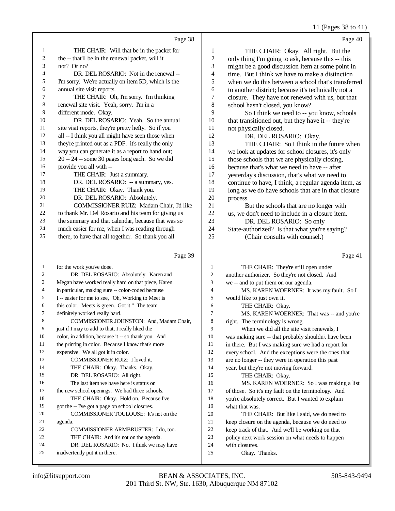11 (Pages 38 to 41)

|    | Page 38                                             |                | Page 40                                              |
|----|-----------------------------------------------------|----------------|------------------------------------------------------|
| 1  | THE CHAIR: Will that be in the packet for           | 1              | THE CHAIR: Okay. All right. But the                  |
| 2  | the -- that'll be in the renewal packet, will it    | $\mathfrak{2}$ | only thing I'm going to ask, because this -- this    |
| 3  | not? Or $no?$                                       | 3              | might be a good discussion item at some point in     |
| 4  | DR. DEL ROSARIO: Not in the renewal --              | $\overline{4}$ | time. But I think we have to make a distinction      |
| 5  | I'm sorry. We're actually on item 5D, which is the  | 5              | when we do this between a school that's transferred  |
| 6  | annual site visit reports.                          | 6              | to another district; because it's technically not a  |
| 7  | THE CHAIR: Oh, I'm sorry. I'm thinking              | 7              | closure. They have not renewed with us, but that     |
| 8  | renewal site visit. Yeah, sorry. I'm in a           | 8              | school hasn't closed, you know?                      |
| 9  | different mode. Okay.                               | 9              | So I think we need to -- you know, schools           |
| 10 | DR. DEL ROSARIO: Yeah. So the annual                | 10             | that transitioned out, but they have it -- they're   |
| 11 | site visit reports, they're pretty hefty. So if you | 11             | not physically closed.                               |
| 12 | all -- I think you all might have seen those when   | 12             | DR. DEL ROSARIO: Okay.                               |
| 13 | they're printed out as a PDF. it's really the only  | 13             | THE CHAIR: So I think in the future when             |
| 14 | way you can generate it as a report to hand out;    | 14             | we look at updates for school closures, it's only    |
| 15 | 20 -- 24 -- some 30 pages long each. So we did      | 15             | those schools that we are physically closing,        |
| 16 | provide you all with --                             | 16             | because that's what we need to have -- after         |
| 17 | THE CHAIR: Just a summary.                          | 17             | yesterday's discussion, that's what we need to       |
| 18 | DR. DEL ROSARIO: -- a summary, yes.                 | 18             | continue to have, I think, a regular agenda item, as |
| 19 | THE CHAIR: Okay. Thank you.                         | 19             | long as we do have schools that are in that closure  |
| 20 | DR. DEL ROSARIO: Absolutely.                        | 20             | process.                                             |
| 21 | COMMISSIONER RUIZ: Madam Chair, I'd like            | 21             | But the schools that are no longer with              |
| 22 | to thank Mr. Del Rosario and his team for giving us | 22             | us, we don't need to include in a closure item.      |
| 23 | the summary and that calendar, because that was so  | 23             | DR. DEL ROSARIO: So only                             |
| 24 | much easier for me, when I was reading through      | 24             | State-authorized? Is that what you're saying?        |
| 25 | there, to have that all together. So thank you all  | 25             | (Chair consults with counsel.)                       |
|    | Page 39                                             |                | Page 41                                              |

 for the work you've done. DR. DEL ROSARIO: Absolutely. Karen and Megan have worked really hard on that piece, Karen in particular, making sure -- color-coded because I -- easier for me to see, "Oh, Working to Meet is this color. Meets is green. Got it." The team definitely worked really hard. COMMISSIONER JOHNSTON: And, Madam Chair, just if I may to add to that, I really liked the color, in addition, because it -- so thank you. And 11 the printing in color. Because I know that's more expensive. We all got it in color. COMMISSIONER RUIZ: I loved it. THE CHAIR: Okay. Thanks. Okay. DR. DEL ROSARIO: All right. The last item we have here is status on the new school openings. We had three schools. THE CHAIR: Okay. Hold on. Because I've got the -- I've got a page on school closures. COMMISSIONER TOULOUSE: It's not on the agenda. COMMISSIONER ARMBRUSTER: I do, too. THE CHAIR: And it's not on the agenda. DR. DEL ROSARIO: No. I think we may have inadvertently put it in there. THE CHAIR: They're still open under another authorizer. So they're not closed. And we -- and to put them on our agenda. 4 MS. KAREN WOERNER: It was my fault. So I<br>5 would like to just own it. would like to just own it. 6 THE CHAIR: Okay.<br>7 MS. KAREN WOER 7 MS. KAREN WOERNER: That was -- and you're<br>8 right. The terminology is wrong. right. The terminology is wrong. When we did all the site visit renewals, I was making sure -- that probably shouldn't have been 11 in there. But I was making sure we had a report for<br>12 every school. And the exceptions were the ones that every school. And the exceptions were the ones that 13 are no longer -- they were in operation this past<br>14 vear, but they're not moving forward. year, but they're not moving forward. 15 THE CHAIR: Okay. MS. KAREN WOERNER: So I was making a list of those. So it's my fault on the terminology. And you're absolutely correct. But I wanted to explain what that was. THE CHAIR: But like I said, we do need to keep closure on the agenda, because we do need to 22 keep track of that. And we'll be working on that<br>23 policy next work session on what needs to hanne policy next work session on what needs to happen with closures. Okay. Thanks.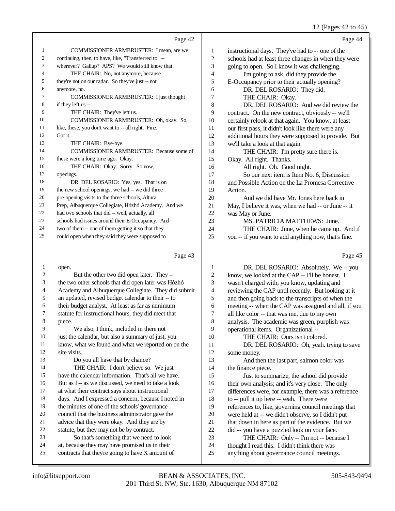12 (Pages 42 to 45)

|    | Page 42                                              |    | Page 44                                              |
|----|------------------------------------------------------|----|------------------------------------------------------|
| 1  | <b>COMMISSIONER ARMBRUSTER: I mean, are we</b>       | 1  | instructional days. They've had to -- one of the     |
| 2  | continuing, then, to have, like, "Transferred to" -- | 2  | schools had at least three changes in when they were |
| 3  | wherever? Gallup? APS? We would still know that.     | 3  | going to open. So I know it was challenging.         |
| 4  | THE CHAIR: No, not anymore, because                  | 4  | I'm going to ask, did they provide the               |
| 5  | they're not on our radar. So they've just -- not     | 5  | E-Occupancy prior to their actually opening?         |
| 6  | anymore, no.                                         | 6  | DR. DEL ROSARIO: They did.                           |
| 7  | COMMISSIONER ARMBRUSTER: I just thought              | 7  | THE CHAIR: Okay.                                     |
| 8  | if they left us --                                   | 8  | DR. DEL ROSARIO: And we did review the               |
| 9  | THE CHAIR: They've left us.                          | 9  | contract. On the new contract, obviously -- we'll    |
| 10 | COMMISSIONER ARMBRUSTER: Oh, okay. So,               | 10 | certainly relook at that again. You know, at least   |
| 11 | like, these, you don't want to -- all right. Fine.   | 11 | our first pass, it didn't look like there were any   |
| 12 | Got it.                                              | 12 | additional hours they were supposed to provide. But  |
| 13 | THE CHAIR: Bye-bye.                                  | 13 | we'll take a look at that again.                     |
| 14 | COMMISSIONER ARMBRUSTER: Because some of             | 14 | THE CHAIR: I'm pretty sure there is.                 |
| 15 | these were a long time ago. Okay.                    | 15 | Okay. All right. Thanks.                             |
| 16 | THE CHAIR: Okay. Sorry. So now,                      | 16 | All right. Oh. Good night.                           |
| 17 | openings.                                            | 17 | So our next item is Item No. 6, Discussion           |
| 18 | DR. DEL ROSARIO: Yes, yes. That is on                | 18 | and Possible Action on the La Promesa Corrective     |
| 19 | the new school openings, we had -- we did three      | 19 | Action.                                              |
| 20 | pre-opening visits to the three schools, Altura      | 20 | And we did have Mr. Jones here back in               |
| 21 | Prep, Albuquerque Collegiate, Hózhó Academy. And we  | 21 | May, I believe it was, when we had -- or June -- it  |
| 22 | had two schools that did -- well, actually, all      | 22 | was May or June.                                     |
| 23 | schools had issues around their E-Occupancy. And     | 23 | MS. PATRICIA MATTHEWS: June.                         |
| 24 | two of them -- one of them getting it so that they   | 24 | THE CHAIR: June, when he came up. And if             |
| 25 | could open when they said they were supposed to      | 25 | you -- if you want to add anything now, that's fine. |
|    | Page 43                                              |    | Page 45                                              |
|    |                                                      |    |                                                      |

## Page 43

|    | open.                                               | 1  | DR. DEL ROSARIO: Absolutely. We -- you               |
|----|-----------------------------------------------------|----|------------------------------------------------------|
| 2  | But the other two did open later. They-             | 2  | know, we looked at the CAP -- I'll be honest. I      |
| 3  | the two other schools that did open later was Hózhó | 3  | wasn't charged with, you know, updating and          |
| 4  | Academy and Albuquerque Collegiate. They did submit | 4  | reviewing the CAP until recently. But looking at it  |
| 5  | an updated, revised budget calendar to their -- to  | 5  | and then going back to the transcripts of when the   |
| 6  | their budget analyst. At least as far as minimum    | 6  | meeting -- when the CAP was assigned and all, if you |
| 7  | statute for instructional hours, they did meet that | 7  | all like color -- that was me, due to my own         |
| 8  | piece.                                              | 8  | analysis. The academic was green, purplish was       |
| 9  | We also, I think, included in there not             | 9  | operational items. Organizational --                 |
| 10 | just the calendar, but also a summary of just, you  | 10 | THE CHAIR: Ours isn't colored.                       |
| 11 | know, what we found and what we reported on on the  | 11 | DR. DEL ROSARIO: Oh, yeah. trying to save            |
| 12 | site visits.                                        | 12 | some money.                                          |
| 13 | Do you all have that by chance?                     | 13 | And then the last part, salmon color was             |
| 14 | THE CHAIR: I don't believe so. We just              | 14 | the finance piece.                                   |
| 15 | have the calendar information. That's all we have.  | 15 | Just to summarize, the school did provide            |
| 16 | But as I-- as we discussed, we need to take a look  | 16 | their own analysis; and it's very close. The only    |
| 17 | at what their contract says about instructional     | 17 | differences were, for example, there was a reference |
| 18 | days. And I expressed a concern, because I noted in | 18 | to -- pull it up here -- yeah. There were            |
| 19 | the minutes of one of the schools' governance       | 19 | references to, like, governing council meetings that |
| 20 | council that the business administrator gave the    | 20 | were held at -- we didn't observe, so I didn't put   |
| 21 | advice that they were okay. And they are by         | 21 | that down in here as part of the evidence. But we    |
| 22 | statute, but they may not be by contract.           | 22 | did -- you have a puzzled look on your face.         |
| 23 | So that's something that we need to look            | 23 | THE CHAIR: Only -- I'm not -- because I              |
| 24 | at, because they may have promised us in their      | 24 | thought I read this. I didn't think there was        |
| 25 | contracts that they're going to have X amount of    | 25 | anything about governance council meetings.          |
|    |                                                     |    |                                                      |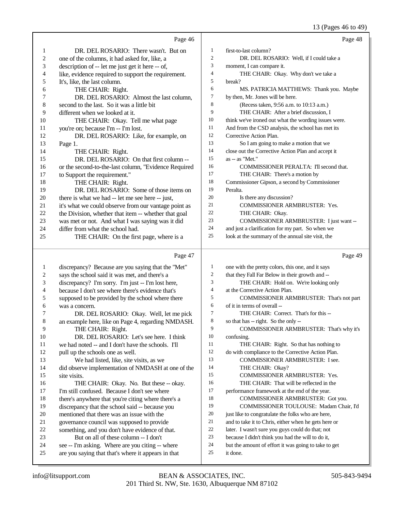|                          |                                                      |                | 13 (Pages 46 to 49)                                  |
|--------------------------|------------------------------------------------------|----------------|------------------------------------------------------|
|                          | Page 46                                              |                | Page 48                                              |
| 1                        | DR. DEL ROSARIO: There wasn't. But on                | $\mathbf{1}$   | first-to-last column?                                |
| $\overline{\mathbf{c}}$  | one of the columns, it had asked for, like, a        | $\mathfrak{2}$ | DR. DEL ROSARIO: Well, if I could take a             |
| 3                        | description of -- let me just get it here -- of,     | 3              | moment, I can compare it.                            |
| $\overline{\mathcal{L}}$ | like, evidence required to support the requirement.  | 4              | THE CHAIR: Okay. Why don't we take a                 |
| 5                        | It's, like, the last column.                         | 5              | break?                                               |
| 6                        | THE CHAIR: Right.                                    | 6              | MS. PATRICIA MATTHEWS: Thank you. Maybe              |
| 7                        | DR. DEL ROSARIO: Almost the last column,             | 7              | by then, Mr. Jones will be here.                     |
| 8                        | second to the last. So it was a little bit           | 8              | (Recess taken, 9:56 a.m. to 10:13 a.m.)              |
| 9                        | different when we looked at it.                      | $\overline{9}$ | THE CHAIR: After a brief discussion, I               |
| 10                       | THE CHAIR: Okay. Tell me what page                   | 10             | think we've ironed out what the wording issues were. |
| 11                       | you're on; because I'm -- I'm lost.                  | 11             | And from the CSD analysis, the school has met its    |
| 12                       | DR. DEL ROSARIO: Like, for example, on               | 12             | Corrective Action Plan.                              |
| 13                       | Page 1.                                              | 13             | So I am going to make a motion that we               |
| 14                       | THE CHAIR: Right.                                    | 14             | close out the Corrective Action Plan and accept it   |
| 15                       | DR. DEL ROSARIO: On that first column --             | 15             | as -- as "Met."                                      |
| 16                       | or the second-to-the-last column, "Evidence Required | 16             | COMMISSIONER PERALTA: I'll second that.              |
| 17                       | to Support the requirement."                         | 17             | THE CHAIR: There's a motion by                       |
| 18                       | THE CHAIR: Right.                                    | 18             | Commissioner Gipson, a second by Commissioner        |
| 19                       | DR. DEL ROSARIO: Some of those items on              | 19             | Peralta.                                             |
| $20\,$                   | there is what we had -- let me see here -- just,     | 20             | Is there any discussion?                             |
| 21                       | it's what we could observe from our vantage point as | 21             | COMMISSIONER ARMBRUSTER: Yes.                        |
| $22\,$                   | the Division, whether that item -- whether that goal | 22             | THE CHAIR: Okay.                                     |
| 23                       | was met or not. And what I was saying was it did     | 23             | COMMISSIONER ARMBRUSTER: I just want --              |
| 24                       | differ from what the school had.                     | 24             | and just a clarification for my part. So when we     |
| 25                       | THE CHAIR: On the first page, where is a             | 25             | look at the summary of the annual site visit, the    |
|                          |                                                      |                |                                                      |
|                          | Page 47                                              |                | Page 49                                              |
| 1                        | discrepancy? Because are you saying that the "Met"   | 1              | one with the pretty colors, this one, and it says    |
| 2                        | says the school said it was met, and there's a       | 2              | that they Fall Far Below in their growth and --      |
| 3                        | discrepancy? I'm sorry. I'm just -- I'm lost here,   | 3              | THE CHAIR: Hold on. We're looking only               |
| 4                        | because I don't see where there's evidence that's    | 4              | at the Corrective Action Plan.                       |
| 5                        | supposed to be provided by the school where there    | 5              | COMMISSIONER ARMBRUSTER: That's not part             |
| 6                        | was a concern.                                       | 6              | of it in terms of overall --                         |
| 7                        | DR. DEL ROSARIO: Okay. Well, let me pick             | $\overline{7}$ | THE CHAIR: Correct. That's for this --               |
| $\,8\,$                  | an example here, like on Page 4, regarding NMDASH.   | 8              | so that has -- right. So the only --                 |
| 9                        | THE CHAIR: Right.                                    | 9              | COMMISSIONER ARMBRUSTER: That's why it's             |
| 10                       | DR. DEL ROSARIO: Let's see here. I think             | 10             | confusing.                                           |
| 11                       | we had noted -- and I don't have the schools. I'll   | 11             | THE CHAIR: Right. So that has nothing to             |
| 12                       | pull up the schools one as well.                     | 12             | do with compliance to the Corrective Action Plan.    |
| 13                       | We had listed, like, site visits, as we              | 13             | COMMISSIONER ARMBRUSTER: I see.                      |
| 14                       | did observe implementation of NMDASH at one of the   | 14<br>15       | THE CHAIR: Okay?                                     |
| 15                       | site visits.                                         | 16             | COMMISSIONER ARMBRUSTER: Yes.                        |
| 16                       | THE CHAIR: Okay. No. But these -- okay.              |                | THE CHAIR: That will be reflected in the             |
| 17                       | I'm still confused. Because I don't see where        | 17             | performance framework at the end of the year.        |
| 18                       | there's anywhere that you're citing where there's a  | 18             | COMMISSIONER ARMBRUSTER: Got you.                    |
| 19                       | discrepancy that the school said -- because you      | 19<br>20       | COMMISSIONER TOULOUSE: Madam Chair, I'd              |
| $20\,$                   | mentioned that there was an issue with the           | 21             | just like to congratulate the folks who are here,    |
| 21                       | governance council was supposed to provide           | 22             | and to take it to Chris, either when he gets here or |
| $22\,$                   | something, and you don't have evidence of that.      | $23\,$         | later. I wasn't sure you guys could do that; not     |
| 23                       | But on all of these column -- I don't                |                | because I didn't think you had the will to do it,    |

- because I didn't think you had the will to do it, but the amount of effort it was going to take to get
	- it done.

 see -- I'm asking. Where are you citing -- where are you saying that that's where it appears in that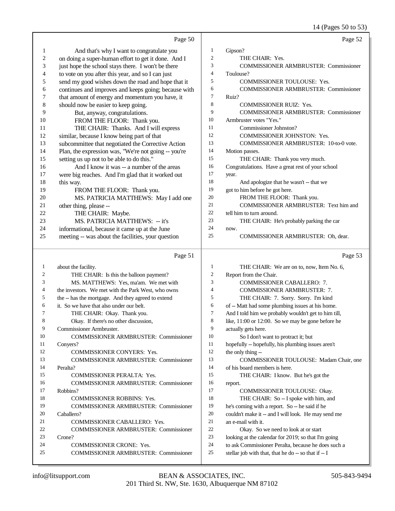14 (Pages 50 to 53)

| 1<br>Gipson?<br>And that's why I want to congratulate you<br>1<br>2<br>on doing a super-human effort to get it done. And I<br>2<br>THE CHAIR: Yes.<br>3<br>3<br>just hope the school stays there. I won't be there<br><b>COMMISSIONER ARMBRUSTER: Commissioner</b><br>4<br>4<br>to vote on you after this year, and so I can just<br>Toulouse?<br>5<br><b>COMMISSIONER TOULOUSE: Yes.</b><br>5<br>send my good wishes down the road and hope that it<br>6<br><b>COMMISSIONER ARMBRUSTER: Commissioner</b><br>continues and improves and keeps going; because with<br>6<br>7 | Page 52 |
|-----------------------------------------------------------------------------------------------------------------------------------------------------------------------------------------------------------------------------------------------------------------------------------------------------------------------------------------------------------------------------------------------------------------------------------------------------------------------------------------------------------------------------------------------------------------------------|---------|
|                                                                                                                                                                                                                                                                                                                                                                                                                                                                                                                                                                             |         |
|                                                                                                                                                                                                                                                                                                                                                                                                                                                                                                                                                                             |         |
|                                                                                                                                                                                                                                                                                                                                                                                                                                                                                                                                                                             |         |
|                                                                                                                                                                                                                                                                                                                                                                                                                                                                                                                                                                             |         |
|                                                                                                                                                                                                                                                                                                                                                                                                                                                                                                                                                                             |         |
|                                                                                                                                                                                                                                                                                                                                                                                                                                                                                                                                                                             |         |
| that amount of energy and momentum you have, it<br>7<br>Ruiz?                                                                                                                                                                                                                                                                                                                                                                                                                                                                                                               |         |
| 8<br>8<br>should now be easier to keep going.<br><b>COMMISSIONER RUIZ: Yes.</b>                                                                                                                                                                                                                                                                                                                                                                                                                                                                                             |         |
| 9<br><b>COMMISSIONER ARMBRUSTER: Commissioner</b><br>9<br>But, anyway, congratulations.                                                                                                                                                                                                                                                                                                                                                                                                                                                                                     |         |
| 10<br>Armbruster votes "Yes."<br>10<br>FROM THE FLOOR: Thank you.                                                                                                                                                                                                                                                                                                                                                                                                                                                                                                           |         |
| 11<br>THE CHAIR: Thanks. And I will express<br>11<br>Commissioner Johnston?                                                                                                                                                                                                                                                                                                                                                                                                                                                                                                 |         |
| 12<br><b>COMMISSIONER JOHNSTON: Yes.</b><br>similar, because I know being part of that<br>12                                                                                                                                                                                                                                                                                                                                                                                                                                                                                |         |
| 13<br><b>COMMISSIONER ARMBRUSTER: 10-to-0 vote.</b><br>13<br>subcommittee that negotiated the Corrective Action                                                                                                                                                                                                                                                                                                                                                                                                                                                             |         |
| 14<br>Plan, the expression was, "We're not going -- you're<br>14<br>Motion passes.                                                                                                                                                                                                                                                                                                                                                                                                                                                                                          |         |
| 15<br>THE CHAIR: Thank you very much.<br>15<br>setting us up not to be able to do this."                                                                                                                                                                                                                                                                                                                                                                                                                                                                                    |         |
| 16<br>Congratulations. Have a great rest of your school<br>16<br>And I know it was -- a number of the areas                                                                                                                                                                                                                                                                                                                                                                                                                                                                 |         |
| 17<br>17<br>were big reaches. And I'm glad that it worked out<br>year.                                                                                                                                                                                                                                                                                                                                                                                                                                                                                                      |         |
| 18<br>18<br>And apologize that he wasn't -- that we<br>this way.                                                                                                                                                                                                                                                                                                                                                                                                                                                                                                            |         |
| 19<br>got to him before he got here.<br>19<br>FROM THE FLOOR: Thank you.                                                                                                                                                                                                                                                                                                                                                                                                                                                                                                    |         |
| 20<br>FROM THE FLOOR: Thank you.<br>20<br>MS. PATRICIA MATTHEWS: May I add one                                                                                                                                                                                                                                                                                                                                                                                                                                                                                              |         |
| 21<br><b>COMMISSIONER ARMBRUSTER: Text him and</b><br>21<br>other thing, please --                                                                                                                                                                                                                                                                                                                                                                                                                                                                                          |         |
| 22<br>THE CHAIR: Maybe.<br>tell him to turn around.<br>22                                                                                                                                                                                                                                                                                                                                                                                                                                                                                                                   |         |
| 23<br>MS. PATRICIA MATTHEWS: -- it's<br>23<br>THE CHAIR: He's probably parking the car                                                                                                                                                                                                                                                                                                                                                                                                                                                                                      |         |
| 24<br>24<br>informational, because it came up at the June<br>now.                                                                                                                                                                                                                                                                                                                                                                                                                                                                                                           |         |
| 25<br>meeting -- was about the facilities, your question<br>COMMISSIONER ARMBRUSTER: Oh, dear.<br>25                                                                                                                                                                                                                                                                                                                                                                                                                                                                        |         |

#### Page 51

 about the facility. THE CHAIR: Is this the balloon payment? MS. MATTHEWS: Yes, ma'am. We met with the investors. We met with the Park West, who owns the -- has the mortgage. And they agreed to extend it. So we have that also under our belt. THE CHAIR: Okay. Thank you. Okay. If there's no other discussion, Commissioner Armbruster. COMMISSIONER ARMBRUSTER: Commissioner Conyers? 12 COMMISSIONER CONYERS: Yes. COMMISSIONER ARMBRUSTER: Commissioner Peralta? COMMISSIONER PERALTA: Yes. COMMISSIONER ARMBRUSTER: Commissioner Robbins? COMMISSIONER ROBBINS: Yes. COMMISSIONER ARMBRUSTER: Commissioner Caballero? COMMISSIONER CABALLERO: Yes. COMMISSIONER ARMBRUSTER: Commissioner Crone? COMMISSIONER CRONE: Yes. COMMISSIONER ARMBRUSTER: Commissioner Page 53 1 THE CHAIR: We are on to, now, Item No. 6, Report from the Chair. COMMISSIONER CABALLERO: 7. COMMISSIONER ARMBRUSTER: 7. THE CHAIR: 7. Sorry. Sorry. I'm kind of -- Matt had some plumbing issues at his home. And I told him we probably wouldn't get to him till, like, 11:00 or 12:00. So we may be gone before he actually gets here. So I don't want to protract it; but hopefully -- hopefully, his plumbing issues aren't the only thing -- COMMISSIONER TOULOUSE: Madam Chair, one of his board members is here. THE CHAIR: I know. But he's got the report. 17 COMMISSIONER TOULOUSE: Okay. 18 THE CHAIR: So -- I spoke with him, and he's coming with a report. So -- he said if he couldn't make it -- and I will look. He may send me an e-mail with it. Okay. So we need to look at or start looking at the calendar for 2019; so that I'm going to ask Commissioner Peralta, because he does such a 25 stellar job with that, that he do  $-$  so that if  $- I$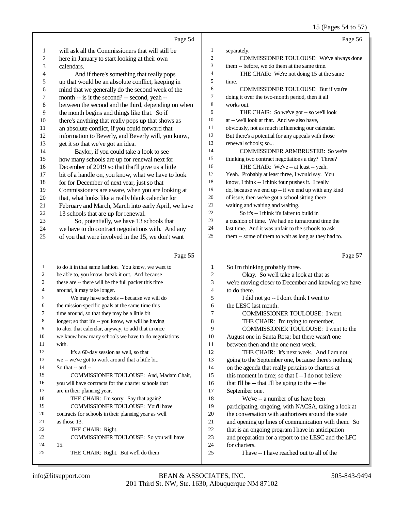15 (Pages 54 to 57)

|                  |                                                                                               |                | $15 \text{ (1466)}$ $37 \text{ (1)}$                                    |
|------------------|-----------------------------------------------------------------------------------------------|----------------|-------------------------------------------------------------------------|
|                  | Page 54                                                                                       |                | Page 56                                                                 |
| $\mathbf{1}$     | will ask all the Commissioners that will still be                                             | $\mathbf{1}$   | separately.                                                             |
| $\boldsymbol{2}$ | here in January to start looking at their own                                                 | $\mathfrak{2}$ | COMMISSIONER TOULOUSE: We've always done                                |
| 3                | calendars.                                                                                    | 3              | them -- before, we do them at the same time.                            |
| 4                | And if there's something that really pops                                                     | 4              | THE CHAIR: We're not doing 15 at the same                               |
| 5                | up that would be an absolute conflict, keeping in                                             | 5              | time.                                                                   |
| 6                | mind that we generally do the second week of the                                              | 6              | COMMISSIONER TOULOUSE: But if you're                                    |
| 7                | month -- is it the second? -- second, yeah --                                                 | 7              | doing it over the two-month period, then it all                         |
| 8                | between the second and the third, depending on when                                           | $\,8\,$        | works out.                                                              |
| 9                | the month begins and things like that. So if                                                  | 9              | THE CHAIR: So we've got -- so we'll look                                |
| 10               | there's anything that really pops up that shows as                                            | 10             | at -- we'll look at that. And we also have,                             |
| 11               | an absolute conflict, if you could forward that                                               | 11             | obviously, not as much influencing our calendar.                        |
| 12               | information to Beverly, and Beverly will, you know,                                           | 12             | But there's a potential for any appeals with those                      |
| 13               | get it so that we've got an idea.                                                             | 13             | renewal schools; so                                                     |
| 14               | Baylor, if you could take a look to see                                                       | 14             | COMMISSIONER ARMBRUSTER: So we're                                       |
| 15               | how many schools are up for renewal next for                                                  | 15             | thinking two contract negotiations a day? Three?                        |
| 16               | December of 2019 so that that'll give us a little                                             | 16             | THE CHAIR: We've -- at least -- yeah.                                   |
| 17               | bit of a handle on, you know, what we have to look                                            | 17             | Yeah. Probably at least three, I would say. You                         |
| 18               | for for December of next year, just so that                                                   | 18<br>19       | know, I think -- I think four pushes it. I really                       |
| 19               | Commissioners are aware, when you are looking at                                              | 20             | do, because we end up -- if we end up with any kind                     |
| 20               | that, what looks like a really blank calendar for                                             | 21             | of issue, then we've got a school sitting there<br>waiting and waiting. |
| 21<br>22         | February and March, March into early April, we have                                           | 22             | So it's -- I think it's fairer to build in                              |
| 23               | 13 schools that are up for renewal.                                                           | 23             | a cushion of time. We had no turnaround time the                        |
| 24               | So, potentially, we have 13 schools that<br>we have to do contract negotiations with. And any | 24             | last time. And it was unfair to the schools to ask                      |
| 25               | of you that were involved in the 15, we don't want                                            | 25             | them -- some of them to wait as long as they had to.                    |
|                  |                                                                                               |                |                                                                         |
|                  | Page 55                                                                                       |                | Page 57                                                                 |
| 1                | to do it in that same fashion. You know, we want to                                           | 1              | So I'm thinking probably three.                                         |
| 2                | be able to, you know, break it out. And because                                               | 2              | Okay. So we'll take a look at that as                                   |
| 3                | these are -- there will be the full packet this time                                          | 3              | we're moving closer to December and knowing we have                     |
| 4                | around, it may take longer.                                                                   | 4              | to do there.                                                            |
| 5                | We may have schools -- because we will do                                                     | 5              | I did not go -- I don't think I went to                                 |
| 6                | the mission-specific goals at the same time this                                              | 6              | the LESC last month.                                                    |
| 7                | time around, so that they may be a little bit                                                 | 7              | COMMISSIONER TOULOUSE: I went.                                          |
| 8                | longer; so that it's -- you know, we will be having                                           | 8              | THE CHAIR: I'm trying to remember.                                      |
| 9                | to alter that calendar, anyway, to add that in once                                           | 9              | COMMISSIONER TOULOUSE: I went to the                                    |
| 10               | we know how many schools we have to do negotiations                                           | 10             | August one in Santa Rosa; but there wasn't one                          |
| 11               | with.                                                                                         | 11             | between then and the one next week.                                     |
| 12               | It's a 60-day session as well, so that                                                        | 12             | THE CHAIR: It's next week. And I am not                                 |
| 13               | we -- we've got to work around that a little bit.                                             | 13             | going to the September one, because there's nothing                     |
| 14               | So that -- and --                                                                             | 14             | on the agenda that really pertains to charters at                       |
| 15               | COMMISSIONER TOULOUSE: And, Madam Chair,                                                      | 15             | this moment in time; so that I -- I do not believe                      |
| 16               |                                                                                               |                |                                                                         |
|                  | you will have contracts for the charter schools that                                          | 16             | that I'll be -- that I'll be going to the -- the                        |
| 17               | are in their planning year.                                                                   | 17             | September one.                                                          |
| 18               | THE CHAIR: I'm sorry. Say that again?                                                         | 18             | We've -- a number of us have been                                       |
| 19               | COMMISSIONER TOULOUSE: You'll have                                                            | 19             | participating, ongoing, with NACSA, taking a look at                    |
| 20               | contracts for schools in their planning year as well                                          | 20             | the conversation with authorizers around the state                      |
| 21               | as those 13.                                                                                  | 21             | and opening up lines of communication with them. So                     |
| 22               | THE CHAIR: Right.                                                                             | 22             | that is an ongoing program I have in anticipation                       |
| 23               | COMMISSIONER TOULOUSE: So you will have                                                       | 23             | and preparation for a report to the LESC and the LFC                    |
| 24               | 15.                                                                                           | 24             | for charters.                                                           |
| 25               | THE CHAIR: Right. But we'll do them                                                           | 25             | I have -- I have reached out to all of the                              |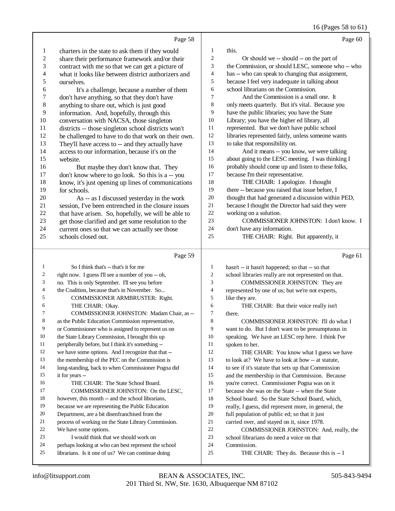16 (Pages 58 to 61)

|                          | Page 58                                              |                                | Page 60                                                                             |
|--------------------------|------------------------------------------------------|--------------------------------|-------------------------------------------------------------------------------------|
| $\mathbf{1}$             | charters in the state to ask them if they would      | $\mathbf{1}$                   | this.                                                                               |
| $\overline{\mathbf{c}}$  | share their performance framework and/or their       | $\overline{c}$                 | Or should we -- should -- on the part of                                            |
| 3                        | contract with me so that we can get a picture of     | 3                              | the Commission, or should LESC, someone who -- who                                  |
| $\overline{\mathcal{L}}$ | what it looks like between district authorizers and  | $\overline{4}$                 | has -- who can speak to changing that assignment,                                   |
| 5                        | ourselves.                                           | 5                              | because I feel very inadequate in talking about                                     |
| 6                        | It's a challenge, because a number of them           | 6                              | school librarians on the Commission.                                                |
| 7                        | don't have anything, so that they don't have         | 7                              | And the Commission is a small one. It                                               |
| 8                        | anything to share out, which is just good            | 8                              | only meets quarterly. But it's vital. Because you                                   |
| 9                        | information. And, hopefully, through this            | 9                              | have the public libraries; you have the State                                       |
| $10\,$                   | conversation with NACSA, those singleton             | 10                             | Library; you have the higher ed library, all                                        |
| 11                       | districts -- those singleton school districts won't  | 11                             | represented. But we don't have public school                                        |
| 12                       | be challenged to have to do that work on their own.  | $12\,$                         | libraries represented fairly, unless someone wants                                  |
| 13                       | They'll have access to -- and they actually have     | 13                             | to take that responsibility on.                                                     |
| 14                       | access to our information, because it's on the       | 14                             | And it means -- you know, we were talking                                           |
| 15                       | website.                                             | 15                             | about going to the LESC meeting. I was thinking I                                   |
| 16                       | But maybe they don't know that. They                 | 16                             | probably should come up and listen to these folks,                                  |
| 17                       | don't know where to go look. So this is a -- you     | $17\,$                         | because I'm their representative.                                                   |
| 18                       | know, it's just opening up lines of communications   | $18\,$                         | THE CHAIR: I apologize. I thought                                                   |
| 19                       | for schools.                                         | 19                             | there -- because you raised that issue before, I                                    |
| $20\,$                   | As -- as I discussed yesterday in the work           | 20                             | thought that had generated a discussion within PED,                                 |
| 21                       | session, I've been entrenched in the closure issues  | 21                             | because I thought the Director had said they were                                   |
| 22                       | that have arisen. So, hopefully, we will be able to  | $22\,$                         | working on a solution.                                                              |
| 23                       | get those clarified and get some resolution to the   | 23                             | COMMISSIONER JOHNSTON: I don't know. I                                              |
| 24                       | current ones so that we can actually see those       | 24                             | don't have any information.                                                         |
| 25                       | schools closed out.                                  | 25                             | THE CHAIR: Right. But apparently, it                                                |
|                          |                                                      |                                |                                                                                     |
|                          |                                                      |                                |                                                                                     |
| 1                        | Page 59                                              |                                | Page 61                                                                             |
| 2                        | So I think that's -- that's it for me                | $\mathbf{1}$<br>$\overline{c}$ | hasn't -- it hasn't happened; so that -- so that                                    |
| 3                        | right now. I guess I'll see a number of you -- oh,   | 3                              | school libraries really are not represented on that.                                |
| 4                        | no. This is only September. I'll see you before      | $\overline{\mathcal{A}}$       | COMMISSIONER JOHNSTON: They are<br>represented by one of us; but we're not experts, |
| 5                        | the Coalition, because that's in November. So        | 5                              | like they are.                                                                      |
| 6                        | COMMISSIONER ARMBRUSTER: Right.<br>THE CHAIR: Okay.  | 6                              | THE CHAIR: But their voice really isn't                                             |
| 7                        | COMMISSIONER JOHNSTON: Madam Chair, as --            | $\boldsymbol{7}$               | there.                                                                              |
| 8                        | as the Public Education Commission representative,   | 8                              | COMMISSIONER JOHNSTON: I'll do what I                                               |
| 9                        | or Commissioner who is assigned to represent us on   | 9                              | want to do. But I don't want to be presumptuous in                                  |
| 10                       | the State Library Commission, I brought this up      | 10                             | speaking. We have an LESC rep here. I think I've                                    |
| 11                       | peripherally before, but I think it's something --   | 11                             | spoken to her.                                                                      |
| 12                       | we have some options. And I recognize that that --   | 12                             | THE CHAIR: You know what I guess we have                                            |
| 13                       | the membership of the PEC on the Commission is       | 13                             | to look at? We have to look at how -- at statute,                                   |
| 14                       | long-standing, back to when Commissioner Pogna did   | 14                             | to see if it's statute that sets up that Commission                                 |
| 15                       | it for years --                                      | 15                             | and the membership in that Commission. Because                                      |
| 16                       | THE CHAIR: The State School Board.                   | 16                             | you're correct. Commissioner Pogna was on it                                        |
| 17                       | COMMISSIONER JOHNSTON: On the LESC,                  | 17                             | because she was on the State -- when the State                                      |
| 18                       | however, this month -- and the school librarians,    | 18                             | School board. So the State School Board, which,                                     |
| 19                       | because we are representing the Public Education     | 19                             | really, I guess, did represent more, in general, the                                |
| 20                       | Department, are a bit disenfranchised from the       | 20                             | full population of public ed; so that it just                                       |
| 21                       | process of working on the State Library Commission.  | 21                             | carried over, and stayed on it, since 1978.                                         |
| 22                       | We have some options.                                | 22                             | COMMISSIONER JOHNSTON: And, really, the                                             |
| 23                       | I would think that we should work on                 | 23                             | school librarians do need a voice on that                                           |
| 24                       | perhaps looking at who can best represent the school | 24                             | Commission.                                                                         |
| 25                       | librarians. Is it one of us? We can continue doing   | 25                             | THE CHAIR: They do. Because this is -- I                                            |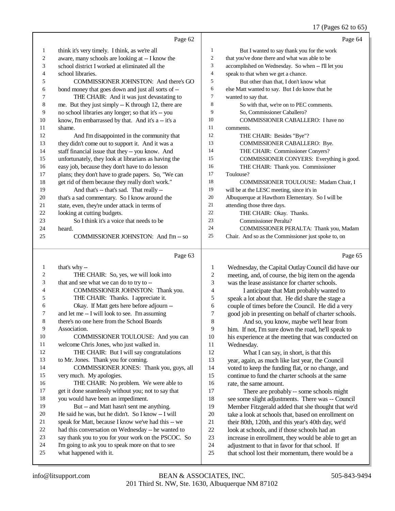17 (Pages 62 to 65)

|                  | Page 62                                                                                        |                         | Page 64                                                                                                   |
|------------------|------------------------------------------------------------------------------------------------|-------------------------|-----------------------------------------------------------------------------------------------------------|
| $\mathbf{1}$     | think it's very timely. I think, as we're all                                                  | $\mathbf{1}$            | But I wanted to say thank you for the work                                                                |
| $\boldsymbol{2}$ | aware, many schools are looking at -- I know the                                               | $\overline{c}$          | that you've done there and what was able to be                                                            |
| 3                | school district I worked at eliminated all the                                                 | 3                       | accomplished on Wednesday. So when -- I'll let you                                                        |
| 4                | school libraries.                                                                              | $\overline{4}$          | speak to that when we get a chance.                                                                       |
| 5                | COMMISSIONER JOHNSTON: And there's GO                                                          | 5                       | But other than that, I don't know what                                                                    |
| 6                | bond money that goes down and just all sorts of --                                             | 6                       | else Matt wanted to say. But I do know that he                                                            |
| 7                | THE CHAIR: And it was just devastating to                                                      | $\tau$                  | wanted to say that.                                                                                       |
| 8                | me. But they just simply -- K through 12, there are                                            | 8                       | So with that, we're on to PEC comments.                                                                   |
| 9                | no school libraries any longer; so that it's -- you                                            | 9                       | So, Commissioner Caballero?                                                                               |
| 10               | know, I'm embarrassed by that. And it's a -- it's a                                            | 10                      | COMMISSIONER CABALLERO: I have no                                                                         |
| 11               | shame.                                                                                         | 11                      | comments.                                                                                                 |
| 12               | And I'm disappointed in the community that                                                     | 12                      | THE CHAIR: Besides "Bye"?                                                                                 |
| 13               | they didn't come out to support it. And it was a                                               | 13                      | COMMISSIONER CABALLERO: Bye.                                                                              |
| 14               | staff financial issue that they -- you know. And                                               | 14                      | THE CHAIR: Commissioner Conyers?                                                                          |
| 15               | unfortunately, they look at librarians as having the                                           | 15                      | COMMISSIONER CONYERS: Everything is good.                                                                 |
| 16               | easy job, because they don't have to do lesson                                                 | 16                      | THE CHAIR: Thank you. Commissioner                                                                        |
| 17               | plans; they don't have to grade papers. So, "We can                                            | 17                      | Toulouse?                                                                                                 |
| 18               | get rid of them because they really don't work."                                               | 18                      | COMMISSIONER TOULOUSE: Madam Chair, I                                                                     |
| 19               | And that's -- that's sad. That really --                                                       | 19                      | will be at the LESC meeting, since it's in                                                                |
| 20               | that's a sad commentary. So I know around the                                                  | 20                      | Albuquerque at Hawthorn Elementary. So I will be                                                          |
| $21\,$           | state, even, they're under attack in terms of                                                  | 21                      | attending those three days.                                                                               |
| $22\,$           | looking at cutting budgets.                                                                    | 22                      | THE CHAIR: Okay. Thanks.                                                                                  |
| 23               | So I think it's a voice that needs to be                                                       | 23                      | Commissioner Peralta?                                                                                     |
| 24               | heard.                                                                                         | 24                      | COMMISSIONER PERALTA: Thank you, Madam                                                                    |
| 25               | COMMISSIONER JOHNSTON: And I'm -- so                                                           | 25                      | Chair. And so as the Commissioner just spoke to, on                                                       |
|                  |                                                                                                |                         |                                                                                                           |
|                  |                                                                                                |                         |                                                                                                           |
|                  | Page 63                                                                                        |                         | Page 65                                                                                                   |
| $\mathbf{1}$     | that's why-                                                                                    | 1                       | Wednesday, the Capital Outlay Council did have our                                                        |
| $\boldsymbol{2}$ | THE CHAIR: So, yes, we will look into                                                          | $\overline{\mathbf{c}}$ | meeting, and, of course, the big item on the agenda                                                       |
| 3                | that and see what we can do to try to --                                                       | 3                       | was the lease assistance for charter schools.                                                             |
| 4                | COMMISSIONER JOHNSTON: Thank you.                                                              | 4                       | I anticipate that Matt probably wanted to                                                                 |
| 5                | THE CHAIR: Thanks. I appreciate it.                                                            | 5                       | speak a lot about that. He did share the stage a                                                          |
| 6                | Okay. If Matt gets here before adjourn --                                                      | 6                       | couple of times before the Council. He did a very                                                         |
| 7                | and let me -- I will look to see. I'm assuming                                                 | 7                       | good job in presenting on behalf of charter schools.                                                      |
| 8                | there's no one here from the School Boards                                                     | $\,8\,$                 | And so, you know, maybe we'll hear from                                                                   |
| 9                | Association.                                                                                   | 9                       | him. If not, I'm sure down the road, he'll speak to                                                       |
| $10\,$           | COMMISSIONER TOULOUSE: And you can                                                             | 10                      | his experience at the meeting that was conducted on                                                       |
| 11               | welcome Chris Jones, who just walked in.                                                       | 11                      | Wednesday.                                                                                                |
| 12               | THE CHAIR: But I will say congratulations                                                      | 12                      | What I can say, in short, is that this                                                                    |
| 13               | to Mr. Jones. Thank you for coming.                                                            | 13                      | year, again, as much like last year, the Council                                                          |
| 14               | COMMISSIONER JONES: Thank you, guys, all                                                       | 14                      | voted to keep the funding flat, or no change, and                                                         |
| 15               | very much. My apologies.                                                                       | 15                      | continue to fund the charter schools at the same                                                          |
| 16<br>$17\,$     | THE CHAIR: No problem. We were able to                                                         | 16                      | rate, the same amount.                                                                                    |
| 18               | get it done seamlessly without you; not to say that                                            | 17                      | There are probably -- some schools might                                                                  |
| 19               | you would have been an impediment.                                                             | 18<br>19                | see some slight adjustments. There was -- Council                                                         |
| 20               | But -- and Matt hasn't sent me anything.<br>He said he was, but he didn't. So I know -- I will | $20\,$                  | Member Fitzgerald added that she thought that we'd<br>take a look at schools that, based on enrollment on |
| 21               | speak for Matt, because I know we've had this -- we                                            | 21                      |                                                                                                           |
| 22               | had this conversation on Wednesday -- he wanted to                                             | $22\,$                  | their 80th, 120th, and this year's 40th day, we'd<br>look at schools, and if those schools had an         |
| 23               | say thank you to you for your work on the PSCOC. So                                            | $23\,$                  |                                                                                                           |
| 24               | I'm going to ask you to speak more on that to see                                              | $24\,$                  | increase in enrollment, they would be able to get an<br>adjustment to that in favor for that school. If   |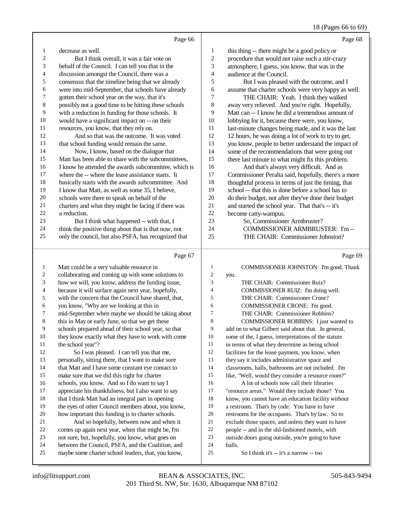### 18 (Pages 66 to 69)

|                  | Page 66                                              |                          | Page 68                                              |
|------------------|------------------------------------------------------|--------------------------|------------------------------------------------------|
| 1                | decrease as well.                                    | $\mathbf{1}$             | this thing -- there might be a good policy or        |
| 2                | But I think overall, it was a fair vote on           | $\overline{c}$           | procedure that would not raise such a stir-crazy     |
| 3                | behalf of the Council. I can tell you that in the    | 3                        | atmosphere, I guess, you know, that was in the       |
| 4                | discussion amongst the Council, there was a          | $\overline{\mathcal{L}}$ | audience at the Council.                             |
| 5                | consensus that the timeline being that we already    | 5                        | But I was pleased with the outcome, and I            |
| 6                | were into mid-September, that schools have already   | 6                        | assume that charter schools were very happy as well. |
| $\boldsymbol{7}$ | gotten their school year on the way, that it's       | 7                        | THE CHAIR: Yeah. I think they walked                 |
| $\,$ 8 $\,$      | possibly not a good time to be hitting these schools | 8                        | away very relieved. And you're right. Hopefully,     |
| 9                | with a reduction in funding for those schools. It    | 9                        | Matt can -- I know he did a tremendous amount of     |
| $10\,$           | would have a significant impact on -- on their       | 10                       | lobbying for it, because there were, you know,       |
| $11\,$           | resources, you know, that they rely on.              | 11                       | last-minute changes being made, and it was the last  |
| 12               | And so that was the outcome. It was voted            | 12                       | 12 hours, he was doing a lot of work to try to get,  |
| 13               | that school funding would remain the same.           | 13                       | you know, people to better understand the impact of  |
| 14               | Now, I know, based on the dialogue that              | 14                       | some of the recommendations that were going out      |
| 15               | Matt has been able to share with the subcommittees,  | 15                       | there last minute to what might fix this problem.    |
| 16               | I know he attended the awards subcommittee, which is | 16                       | And that's always very difficult. And as             |
| $17\,$           | where the -- where the lease assistance starts. It   | 17                       | Commissioner Peralta said, hopefully, there's a more |
| 18               | basically starts with the awards subcommittee. And   | 18                       | thoughtful process in terms of just the timing, that |
| 19               | I know that Matt, as well as some 35, I believe,     | 19                       | school -- that this is done before a school has to   |
| $20\,$           | schools were there to speak on behalf of the         | 20                       | do their budget, not after they've done their budget |
| 21               | charters and what they might be facing if there was  | 21                       | and started the school year. That that's -- it's     |
| $22\,$           | a reduction.                                         | 22                       | become catty-wampus.                                 |
| 23               | But I think what happened -- with that, I            | 23                       | So, Commissioner Armbruster?                         |
| 24               | think the positive thing about that is that now, not | 24                       | COMMISSIONER ARMBRUSTER: I'm--                       |
| 25               | only the council, but also PSFA, has recognized that | 25                       | THE CHAIR: Commissioner Johnston?                    |
|                  |                                                      |                          |                                                      |
|                  | Page 67                                              |                          | Page 69                                              |
| $\mathbf{1}$     | Matt could be a very valuable resource in            | $\mathbf{1}$             | COMMISSIONER JOHNSTON: I'm good. Thank               |
| $\boldsymbol{2}$ | collaborating and coming up with some solutions to   | $\boldsymbol{2}$         | you.                                                 |
| $\mathfrak{Z}$   | how we will, you know, address the funding issue,    | 3                        | THE CHAIR: Commissioner Ruiz?                        |
| $\overline{4}$   | because it will surface again next year, hopefully,  | $\overline{4}$           | COMMISSIONER RUIZ: I'm doing well.                   |
| 5                | with the concern that the Council have shared, that, | 5                        | THE CHAIR: Commissioner Crone?                       |
| 6                | you know, "Why are we looking at this in             | 6                        | COMMISSIONER CRONE: I'm good.                        |
| $\tau$           | mid-September when maybe we should be taking about   | $\boldsymbol{7}$         | THE CHAIR: Commissioner Robbins?                     |
| 8                | this in May or early June, so that we get these      | 8                        | COMMISSIONER ROBBINS: I just wanted to               |

|    | $1$ agu $0$ /                                        |                | πа                                                   |
|----|------------------------------------------------------|----------------|------------------------------------------------------|
| 1  | Matt could be a very valuable resource in            | 1              | COMMISSIONER JOHNSTON: I'm good. T                   |
| 2  | collaborating and coming up with some solutions to   | $\overline{c}$ | you.                                                 |
| 3  | how we will, you know, address the funding issue,    | 3              | THE CHAIR: Commissioner Ruiz?                        |
| 4  | because it will surface again next year, hopefully,  | 4              | COMMISSIONER RUIZ: I'm doing well.                   |
| 5  | with the concern that the Council have shared, that, | 5              | THE CHAIR: Commissioner Crone?                       |
| 6  | you know, "Why are we looking at this in             | 6              | COMMISSIONER CRONE: I'm good.                        |
| 7  | mid-September when maybe we should be taking about   | 7              | THE CHAIR: Commissioner Robbins?                     |
| 8  | this in May or early June, so that we get these      | 8              | COMMISSIONER ROBBINS: I just wanted                  |
| 9  | schools prepared ahead of their school year, so that | 9              | add on to what Gilbert said about that. In general,  |
| 10 | they know exactly what they have to work with come   | 10             | some of the, I guess, interpretations of the statute |
| 11 | the school year"?                                    | 11             | in terms of what they determine as being school      |
| 12 | So I was pleased. I can tell you that me,            | 12             | facilities for the lease payment, you know, when     |
| 13 | personally, sitting there, that I want to make sure  | 13             | they say it includes administrative space and        |
| 14 | that Matt and I have some constant eye contact to    | 14             | classrooms, halls, bathrooms are not included. I'm   |
| 15 | make sure that we did this right for charter         | 15             | like, "Well, would they consider a resource room?"   |
| 16 | schools, you know. And so I do want to say I         | 16             | A lot of schools now call their libraries            |
| 17 | appreciate his thankfulness, but I also want to say  | 17             | "resource areas." Would they include those? You      |
| 18 | that I think Matt had an integral part in opening    | 18             | know, you cannot have an education facility without  |
| 19 | the eyes of other Council members about, you know,   | 19             | a restroom. That's by code. You have to have         |
| 20 | how important this funding is to charter schools.    | 20             | restrooms for the occupants. That's by law. So to    |
| 21 | And so hopefully, between now and when it            | 21             | exclude those spaces, and unless they want to have   |
| 22 | comes up again next year, when that might be, I'm    | 22             | people -- and in the old-fashioned motels, with      |
| 23 | not sure, but, hopefully, you know, what goes on     | 23             | outside doors going outside, you're going to have    |
| 24 | between the Council, PSFA, and the Coalition, and    | 24             | halls.                                               |
| 25 | maybe some charter school leaders, that, you know,   | 25             | So I think it's -- it's a narrow -- too              |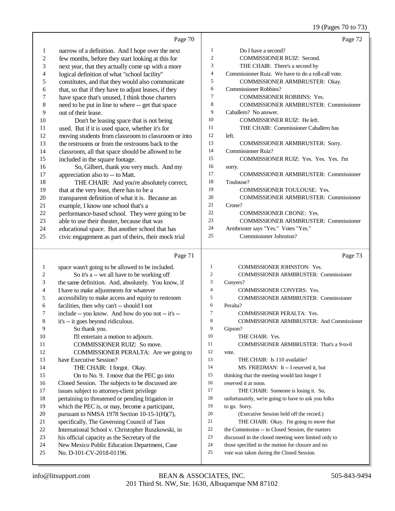### 19 (Pages 70 to 73)

|                         | Page 70                                              |                | Page 72                                            |
|-------------------------|------------------------------------------------------|----------------|----------------------------------------------------|
| 1                       | narrow of a definition. And I hope over the next     | 1              | Do I have a second?                                |
| 2                       | few months, before they start looking at this for    | $\mathfrak{2}$ | COMMISSIONER RUIZ: Second.                         |
| 3                       | next year, that they actually come up with a more    | 3              | THE CHAIR: There's a second by                     |
| $\overline{\mathbf{4}}$ | logical definition of what "school facility"         | $\overline{4}$ | Commissioner Ruiz. We have to do a roll-call vote. |
| 5                       | constitutes, and that they would also communicate    | 5              | COMMISSIONER ARMBRUSTER: Okay.                     |
| 6                       | that, so that if they have to adjust leases, if they | 6              | Commissioner Robbins?                              |
| 7                       | have space that's unused, I think those charters     | $\overline{7}$ | COMMISSIONER ROBBINS: Yes.                         |
| $\,$ 8 $\,$             | need to be put in line to where -- get that space    | 8              | <b>COMMISSIONER ARMBRUSTER: Commissioner</b>       |
| 9                       | out of their lease.                                  | 9              | Caballero? No answer.                              |
| 10                      | Don't be leasing space that is not being             | 10             | COMMISSIONER RUIZ: He left.                        |
| 11                      | used. But if it is used space, whether it's for      | 11             | THE CHAIR: Commissioner Caballero has              |
| 12                      | moving students from classroom to classroom or into  | 12             | left.                                              |
| 13                      | the restrooms or from the restrooms back to the      | 13             | COMMISSIONER ARMBRUSTER: Sorry.                    |
| 14                      | classroom, all that space should be allowed to be    | 14             | Commissioner Ruiz?                                 |
| 15                      | included in the square footage.                      | 15             | COMMISSIONER RUIZ: Yes. Yes. Yes. I'm              |
| 16                      | So, Gilbert, thank you very much. And my             | 16             | sorry.                                             |
| 17                      | appreciation also to -- to Matt.                     | 17             | <b>COMMISSIONER ARMBRUSTER: Commissioner</b>       |
| 18                      | THE CHAIR: And you're absolutely correct,            | 18             | Toulouse?                                          |
| 19                      | that at the very least, there has to be a            | 19             | COMMISSIONER TOULOUSE: Yes.                        |
| 20                      | transparent definition of what it is. Because an     | 20             | <b>COMMISSIONER ARMBRUSTER: Commissioner</b>       |
| 21                      | example, I know one school that's a                  | 21             | Crone?                                             |
| 22                      | performance-based school. They were going to be      | 22             | <b>COMMISSIONER CRONE: Yes.</b>                    |
| 23                      | able to use their theater, because that was          | 23             | <b>COMMISSIONER ARMBRUSTER: Commissioner</b>       |
| 24                      | educational space. But another school that has       | 24             | Armbruster says "Yes." Votes "Yes."                |
| 25                      | civic engagement as part of theirs, their mock trial | 25             | Commissioner Johnston?                             |
|                         | Page 71                                              |                | Page 73                                            |
| $\mathbf{1}$            | space wasn't going to be allowed to be included.     | $\mathbf{1}$   | COMMISSIONER JOHNSTON: Yes.                        |
| 2                       | So it's a -- we all have to be working off           | $\mathbf{2}$   | <b>COMMISSIONER ARMBRUSTER: Commissioner</b>       |
| 3                       | the same definition. And, absolutely. You know, if   | 3              | Conyers?                                           |
| 4                       | I have to make adjustments for whatever              | $\overline{4}$ | <b>COMMISSIONER CONYERS: Yes.</b>                  |
| 5                       | accessibility to make access and equity to restroom  | 5              | COMMISSIONER ARMBRUSTER: Commissioner              |
| 6                       | facilities, then why can't -- should I not           | 6              | Peralta?                                           |
| $\tau$                  | include -- you know. And how do you not -- it's --   | $\tau$         | <b>COMMISSIONER PERALTA: Yes.</b>                  |
| 8                       | it's -- it goes beyond ridiculous.                   | 8              | <b>COMMISSIONER ARMBRUSTER: And Commissioner</b>   |
| $\mathbf Q$             | So thank you.                                        | 9              | Gipson?                                            |

- **I'll entertain a motion to adjourn.**
- COMMISSIONER RUIZ: So move.
- COMMISSIONER PERALTA: Are we going to have Executive Session? THE CHAIR: I forgot. Okay.
- 15 On to No. 9. I move that the PEC go into
- Closed Session. The subjects to be discussed are
- issues subject to attorney-client privilege pertaining to threatened or pending litigation in
- which the PEC is, or may, become a participant,
- pursuant to NMSA 1978 Section 10-15-1(H)(7),
- specifically, The Governing Council of Taos
- International School v. Christopher Ruszkowski, in
- his official capacity as the Secretary of the
- New Mexico Public Education Department, Case
- No. D-101-CV-2018-01196.
- 10 THE CHAIR: Yes. COMMISSIONER ARMBRUSTER: That's a 9-to-0 vote.
- 13 THE CHAIR: Is 110 available?
- 14 MS. FRIEDMAN: It -- I reserved it, but
- thinking that the meeting would last longer I
- reserved it at noon. 17 THE CHAIR: Someone is losing it. So,
- unfortunately, we're going to have to ask you folks to go. Sorry.
- (Executive Session held off the record.)
- THE CHAIR: Okay. I'm going to move that
- the Commission -- in Closed Session, the matters
- discussed in the closed meeting were limited only to
- those specified in the motion for closure and no
- vote was taken during the Closed Session.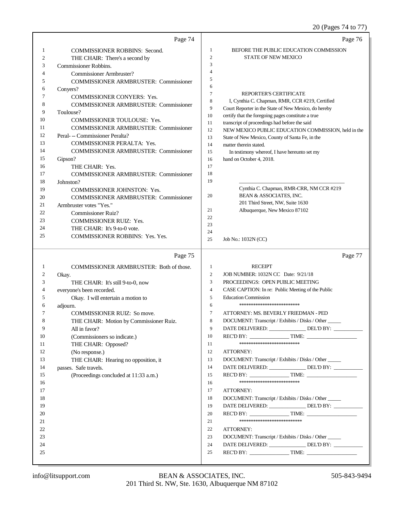20 (Pages 74 to 77)

|    | Page 74                                      |                  | Page 76                                                                                              |
|----|----------------------------------------------|------------------|------------------------------------------------------------------------------------------------------|
| 1  | <b>COMMISSIONER ROBBINS: Second.</b>         | 1                | BEFORE THE PUBLIC EDUCATION COMMISSION                                                               |
| 2  | THE CHAIR: There's a second by               | $\mathfrak{2}$   | <b>STATE OF NEW MEXICO</b>                                                                           |
| 3  | <b>Commissioner Robbins.</b>                 | 3                |                                                                                                      |
| 4  | <b>Commissioner Armbruster?</b>              | $\overline{4}$   |                                                                                                      |
| 5  | <b>COMMISSIONER ARMBRUSTER: Commissioner</b> | 5                |                                                                                                      |
| 6  | Conyers?                                     | 6                |                                                                                                      |
| 7  | <b>COMMISSIONER CONYERS: Yes.</b>            | $\tau$           | <b>REPORTER'S CERTIFICATE</b>                                                                        |
| 8  | <b>COMMISSIONER ARMBRUSTER: Commissioner</b> | 8                | I, Cynthia C. Chapman, RMR, CCR #219, Certified                                                      |
| 9  | Toulouse?                                    | 9                | Court Reporter in the State of New Mexico, do hereby                                                 |
| 10 | <b>COMMISSIONER TOULOUSE: Yes.</b>           | 10               | certify that the foregoing pages constitute a true                                                   |
| 11 | <b>COMMISSIONER ARMBRUSTER: Commissioner</b> | 11<br>12         | transcript of proceedings had before the said<br>NEW MEXICO PUBLIC EDUCATION COMMISSION, held in the |
| 12 | Peral- -- Commissioner Peralta?              | 13               | State of New Mexico, County of Santa Fe, in the                                                      |
| 13 | <b>COMMISSIONER PERALTA: Yes.</b>            | 14               | matter therein stated.                                                                               |
| 14 | <b>COMMISSIONER ARMBRUSTER: Commissioner</b> | 15               | In testimony whereof, I have hereunto set my                                                         |
| 15 | Gipson?                                      | 16               | hand on October 4, 2018.                                                                             |
| 16 | THE CHAIR: Yes.                              | 17               |                                                                                                      |
| 17 | <b>COMMISSIONER ARMBRUSTER: Commissioner</b> | 18               |                                                                                                      |
| 18 | Johnston?                                    | 19               |                                                                                                      |
| 19 | <b>COMMISSIONER JOHNSTON: Yes.</b>           |                  | Cynthia C. Chapman, RMR-CRR, NM CCR #219                                                             |
| 20 | <b>COMMISSIONER ARMBRUSTER: Commissioner</b> | 20               | BEAN & ASSOCIATES, INC.                                                                              |
| 21 | Armbruster votes "Yes."                      |                  | 201 Third Street, NW, Suite 1630                                                                     |
| 22 | <b>Commissioner Ruiz?</b>                    | 21               | Albuquerque, New Mexico 87102                                                                        |
| 23 | <b>COMMISSIONER RUIZ: Yes.</b>               | 22               |                                                                                                      |
| 24 | THE CHAIR: It's 9-to-0 vote.                 | 23               |                                                                                                      |
| 25 | COMMISSIONER ROBBINS: Yes. Yes.              | 24               |                                                                                                      |
|    |                                              | 25               | Job No.: 1032N (CC)                                                                                  |
|    | Page 75                                      |                  | Page 77                                                                                              |
| 1  | COMMISSIONER ARMBRUSTER: Both of those.      | $\mathbf{1}$     | <b>RECEIPT</b>                                                                                       |
| 2  | Okay.                                        | $\boldsymbol{2}$ | JOB NUMBER: 1032N CC Date: 9/21/18                                                                   |
| 3  | THE CHAIR: It's still 9-to-0, now            | 3                | PROCEEDINGS: OPEN PUBLIC MEETING                                                                     |
| 4  | everyone's been recorded.                    | 4                | CASE CAPTION: In re: Public Meeting of the Public                                                    |
| 5  | Okay. I will entertain a motion to           | 5                | <b>Education Commission</b>                                                                          |
| 6  | adjourn.                                     | 6                | **************************                                                                           |
| 7  | <b>COMMISSIONER RUIZ: So move.</b>           | 7                | ATTORNEY: MS. BEVERLY FRIEDMAN - PED                                                                 |
|    | THE CHAIR: Motion by Commissioner Ruiz.      | 8                | DOCUMENT: Transcript / Exhibits / Disks / Other                                                      |
| 9  | All in favor?                                | 9                | DATE DELIVERED: ______________DEL'D BY: _________                                                    |
| 10 | (Commissioners so indicate.)                 | 10               |                                                                                                      |
| 11 | THE CHAIR: Opposed?                          | 11               | **************************                                                                           |
| 12 | (No response.)                               | 12               | ATTORNEY:                                                                                            |
| 13 | THE CHAIR: Hearing no opposition, it         | 13               | DOCUMENT: Transcript / Exhibits / Disks / Other                                                      |
| 14 | passes. Safe travels.                        | 14               | DATE DELIVERED: ______________DEL'D BY: __________                                                   |
| 15 | (Proceedings concluded at 11:33 a.m.)        | 15               | REC'D BY: TIME:                                                                                      |
| 16 |                                              | 16               | **************************                                                                           |
| 17 |                                              | 17               | ATTORNEY:                                                                                            |
| 18 |                                              | 18               | DOCUMENT: Transcript / Exhibits / Disks / Other                                                      |
| 19 |                                              | 19               | DATE DELIVERED: ______________DEL'D BY: __________                                                   |
| 20 |                                              | 20               | REC'D BY: TIME:                                                                                      |
| 21 |                                              | 21               | ***************************                                                                          |
| 22 |                                              | 22               | <b>ATTORNEY:</b>                                                                                     |
| 23 |                                              | 23               | DOCUMENT: Transcript / Exhibits / Disks / Other                                                      |
| 24 |                                              | 24               | DATE DELIVERED: ______________DEL'D BY: __________                                                   |
| 25 |                                              | 25               |                                                                                                      |
|    |                                              |                  |                                                                                                      |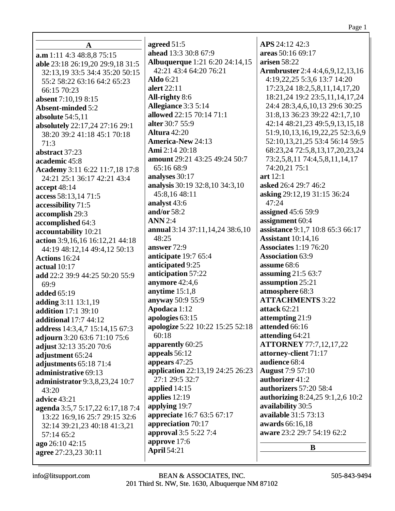|--|

| $\mathbf A$                      | agreed 51:5                      | APS 24:12 42:3                           |
|----------------------------------|----------------------------------|------------------------------------------|
| a.m 1:11 4:3 48:8,8 75:15        | ahead 13:3 30:8 67:9             | areas 50:16 69:17                        |
| able 23:18 26:19,20 29:9,18 31:5 | Albuquerque 1:21 6:20 24:14,15   | arisen 58:22                             |
| 32:13,19 33:5 34:4 35:20 50:15   | 42:21 43:4 64:20 76:21           | <b>Armbruster</b> 2:4 4:4,6,9,12,13,16   |
| 55:2 58:22 63:16 64:2 65:23      | Aldo $6:21$                      | 4:19,22,25 5:3,6 13:7 14:20              |
| 66:15 70:23                      | alert 22:11                      | 17:23,24 18:2,5,8,11,14,17,20            |
| <b>absent</b> 7:10,19 8:15       | All-righty 8:6                   | 18:21,24 19:2 23:5,11,14,17,24           |
| <b>Absent-minded 5:2</b>         | Allegiance 3:3 5:14              | 24:4 28:3,4,6,10,13 29:6 30:25           |
| absolute $54:5,11$               | allowed 22:15 70:14 71:1         | 31:8,13 36:23 39:22 42:1,7,10            |
| absolutely 22:17,24 27:16 29:1   | alter 30:7 55:9                  | 42:14 48:21,23 49:5,9,13,15,18           |
| 38:20 39:2 41:18 45:1 70:18      | <b>Altura</b> 42:20              | 51:9, 10, 13, 16, 19, 22, 25 52: 3, 6, 9 |
| 71:3                             | <b>America-New 24:13</b>         | 52:10,13,21,25 53:4 56:14 59:5           |
| abstract 37:23                   | Ami 2:14 20:18                   | 68:23,24 72:5,8,13,17,20,23,24           |
| academic 45:8                    | amount 29:21 43:25 49:24 50:7    | 73:2,5,8,11 74:4,5,8,11,14,17            |
| Academy 3:11 6:22 11:7,18 17:8   | 65:16 68:9                       | 74:20,21 75:1                            |
| 24:21 25:1 36:17 42:21 43:4      | analyses 30:17                   | art $12:1$                               |
| accept $48:14$                   | analysis 30:19 32:8,10 34:3,10   | asked 26:4 29:7 46:2                     |
| access 58:13,14 71:5             | 45:8,16 48:11                    | asking 29:12,19 31:15 36:24              |
| accessibility 71:5               | analyst 43:6                     | 47:24                                    |
| accomplish 29:3                  | and/or $58:2$                    | assigned 45:6 59:9                       |
| accomplished 64:3                | <b>ANN</b> 2:4                   | assignment 60:4                          |
| accountability 10:21             | annual 3:14 37:11,14,24 38:6,10  | assistance 9:1,7 10:8 65:3 66:17         |
| action 3:9,16,16 16:12,21 44:18  | 48:25                            | <b>Assistant</b> 10:14,16                |
| 44:19 48:12,14 49:4,12 50:13     | answer 72:9                      | <b>Associates</b> 1:19 76:20             |
| Actions 16:24                    | anticipate 19:7 65:4             | <b>Association 63:9</b>                  |
| actual $10:17$                   | anticipated 9:25                 | assume 68:6                              |
| add 22:2 39:9 44:25 50:20 55:9   | anticipation 57:22               | assuming $21:563:7$                      |
| 69:9                             | anymore 42:4,6                   | assumption 25:21                         |
| <b>added</b> 65:19               | anytime $15:1,8$                 | atmosphere 68:3                          |
| adding 3:11 13:1,19              | anyway 50:9 55:9                 | <b>ATTACHMENTS 3:22</b>                  |
| addition 17:1 39:10              | Apodaca 1:12                     | attack 62:21                             |
| <b>additional</b> 17:7 44:12     | apologies 63:15                  | attempting 21:9                          |
| address 14:3,4,7 15:14,15 67:3   | apologize 5:22 10:22 15:25 52:18 | attended 66:16                           |
| adjourn 3:20 63:6 71:10 75:6     | 60:18                            | attending 64:21                          |
| adjust 32:13 35:20 70:6          | apparently 60:25                 | <b>ATTORNEY</b> 77:7,12,17,22            |
| adjustment 65:24                 | appeals 56:12                    | attorney-client 71:17                    |
| adjustments 65:18 71:4           | appears 47:25                    | audience 68:4                            |
| administrative 69:13             | application 22:13,19 24:25 26:23 | <b>August</b> 7:9 57:10                  |
| administrator 9:3,8,23,24 10:7   | 27:1 29:5 32:7                   | authorizer 41:2                          |
| 43:20                            | applied $14:15$                  | authorizers 57:20 58:4                   |
| advice 43:21                     | applies $12:19$                  | <b>authorizing 8:24,25 9:1,2,6 10:2</b>  |
| agenda 3:5,7 5:17,22 6:17,18 7:4 | applying 19:7                    | availability 30:5                        |
| 13:22 16:9,16 25:7 29:15 32:6    | appreciate 16:7 63:5 67:17       | available 31:5 73:13                     |
| 32:14 39:21,23 40:18 41:3,21     | appreciation 70:17               | awards 66:16,18                          |
| 57:14 65:2                       | approval 3:5 5:22 7:4            | aware 23:2 29:7 54:19 62:2               |
| ago 26:10 42:15                  | approve 17:6                     |                                          |
| agree 27:23,23 30:11             | <b>April 54:21</b>               | B                                        |
|                                  |                                  |                                          |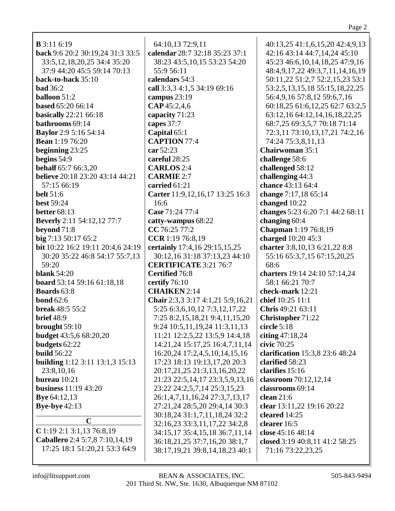## Page 2

| <b>B</b> 3:11 6:19                     | 64:10,13 72:9,11                      | 40:13,25 41:1,6,15,20 42:4,9,13     |
|----------------------------------------|---------------------------------------|-------------------------------------|
| back 9:6 20:2 30:19,24 31:3 33:5       | calendar 28:7 32:18 35:23 37:1        | 42:16 43:14 44:7,14,24 45:10        |
| 33:5, 12, 18, 20, 25 34: 4 35: 20      |                                       |                                     |
| 37:9 44:20 45:5 59:14 70:13            | 38:23 43:5,10,15 53:23 54:20          | 45:23 46:6, 10, 14, 18, 25 47:9, 16 |
|                                        | 55:9 56:11                            | 48:4,9,17,22 49:3,7,11,14,16,19     |
| back-to-back 35:10                     | calendars 54:3                        | 50:11,22 51:2,7 52:2,15,23 53:1     |
| <b>bad</b> 36:2                        | call 3:3,3 4:1,5 34:19 69:16          | 53:2,5,13,15,18 55:15,18,22,25      |
| balloon $51:2$                         | campus 23:19                          | 56:4,9,16 57:8,12 59:6,7,16         |
| <b>based 65:20 66:14</b>               | CAP 45:2,4,6                          | 60:18,25 61:6,12,25 62:7 63:2,5     |
| <b>basically</b> 22:21 66:18           | capacity 71:23                        | 63:12,16 64:12,14,16,18,22,25       |
| bathrooms 69:14                        | capes 37:7                            | 68:7,25 69:3,5,7 70:18 71:14        |
| <b>Baylor</b> 2:9 5:16 54:14           | Capital 65:1                          | 72:3,11 73:10,13,17,21 74:2,16      |
| <b>Bean</b> 1:19 76:20                 | <b>CAPTION 77:4</b>                   | 74:24 75:3,8,11,13                  |
| beginning 23:25                        | car 52:23                             | <b>Chairwoman 35:1</b>              |
| begins $54:9$                          | careful 28:25                         | challenge 58:6                      |
| <b>behalf</b> 65:7 66:3,20             | <b>CARLOS</b> 2:4                     | challenged 58:12                    |
| <b>believe</b> 20:18 23:20 43:14 44:21 | <b>CARMIE 2:7</b>                     | challenging 44:3                    |
| 57:15 66:19                            | carried 61:21                         | chance 43:13 64:4                   |
| <b>belt</b> 51:6                       | Carter 11:9, 12, 16, 17 13:25 16:3    | change 7:17,18 65:14                |
| <b>best 59:24</b>                      | 16:6                                  | changed 10:22                       |
| <b>better</b> 68:13                    | Case 71:24 77:4                       | changes 5:23 6:20 7:1 44:2 68:11    |
| <b>Beverly</b> 2:11 54:12,12 77:7      | catty-wampus 68:22                    | changing 60:4                       |
| beyond 71:8                            | CC 76:25 77:2                         | Chapman 1:19 76:8,19                |
| big 7:13 50:17 65:2                    | CCR 1:19 76:8,19                      | charged 10:20 45:3                  |
| bit 10:22 16:2 19:11 20:4,6 24:19      | certainly 17:4,16 29:15,15,25         | charter 3:8, 10, 13 6:21, 22 8:8    |
| 30:20 35:22 46:8 54:17 55:7,13         | 30:12,16 31:18 37:13,23 44:10         | 55:16 65:3,7,15 67:15,20,25         |
| 59:20                                  | <b>CERTIFICATE 3:21 76:7</b>          | 68:6                                |
| blank $54:20$                          | <b>Certified</b> 76:8                 | charters 19:14 24:10 57:14,24       |
| board 53:14 59:16 61:18,18             | certify 76:10                         | 58:1 66:21 70:7                     |
| <b>Boards</b> 63:8                     | <b>CHAIKEN</b> 2:14                   | check-mark 12:21                    |
| <b>bond</b> 62:6                       |                                       | chief 10:25 11:1                    |
|                                        | Chair 2:3,3 3:17 4:1,21 5:9,16,21     |                                     |
| <b>break</b> 48:5 55:2                 | 5:25 6:3,6,10,12 7:3,12,17,22         | Chris 49:21 63:11                   |
| brief 48:9                             | 7:25 8:2,15,18,21 9:4,11,15,20        | <b>Christopher 71:22</b>            |
| brought 59:10                          | 9:24 10:5,11,19,24 11:3,11,13         | circle 5:18                         |
| <b>budget</b> 43:5,6 68:20,20          | 11:21 12:2,5,22 13:5,9 14:4,18        | citing $47:18,24$                   |
| budgets 62:22                          | 14:21,24 15:17,25 16:4,7,11,14        | civic 70:25                         |
| <b>build</b> 56:22                     | 16:20,24 17:2,4,5,10,14,15,16         | clarification 15:3,8 23:6 48:24     |
| <b>building</b> 1:12 3:11 13:1,3 15:13 | 17:23 18:13 19:13,17,20 20:3          | clarified 58:23                     |
| 23:8,10,16                             | 20:17,21,25 21:3,13,16,20,22          | clarifies 15:16                     |
| bureau 10:21                           | 21:23 22:5, 14, 17 23:3, 5, 9, 13, 16 | classroom 70:12,12,14               |
| <b>business</b> 11:19 43:20            | 23:22 24:2,5,7,14 25:3,15,23          | classrooms 69:14                    |
| <b>Bye</b> 64:12,13                    | 26:1,4,7,11,16,24 27:3,7,13,17        | clean $21:6$                        |
| <b>Bye-bye</b> 42:13                   | 27:21,24 28:5,20 29:4,14 30:3         | clear 13:11,22 19:16 20:22          |
|                                        | 30:18,24 31:1,7,11,18,24 32:2         | cleared 14:25                       |
| $\mathbf C$                            | 32:16,23 33:3,11,17,22 34:2,8         | clearer 16:5                        |
| $C$ 1:19 2:1 3:1,13 76:8,19            | 34:15,17 35:4,15,18 36:7,11,14        | close 45:16 48:14                   |
| Caballero 2:4 5:7,8 7:10,14,19         | 36:18,21,25 37:7,16,20 38:1,7         | closed 3:19 40:8,11 41:2 58:25      |
| 17:25 18:1 51:20,21 53:3 64:9          | 38:17,19,21 39:8,14,18,23 40:1        | 71:16 73:22,23,25                   |
|                                        |                                       |                                     |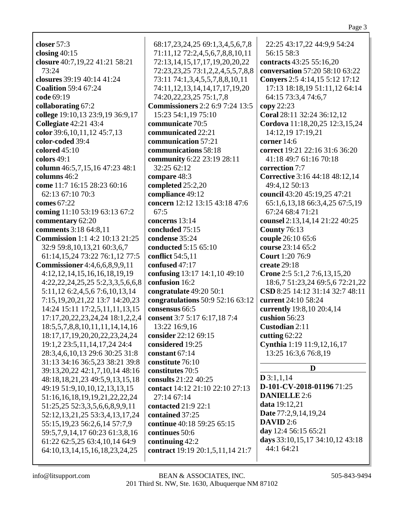|                                                                   | 68               |
|-------------------------------------------------------------------|------------------|
| closer $57:3$<br>closing $40:15$                                  | 71               |
| closure 40:7,19,22 41:21 58:21                                    | 72               |
| 73:24                                                             | 72               |
| closures 39:19 40:14 41:24                                        | 73               |
| <b>Coalition 59:4 67:24</b>                                       | 74               |
| code 69:19                                                        | 74               |
| collaborating 67:2                                                | Con              |
| college 19:10,13 23:9,19 36:9,17                                  | 15               |
| <b>Collegiate 42:21 43:4</b>                                      | com              |
| color 39:6, 10, 11, 12 45:7, 13                                   | com              |
| color-coded 39:4                                                  | com              |
| colored $45:10$                                                   | com              |
| colors $49:1$                                                     | com              |
| column 46:5,7,15,16 47:23 48:1                                    | 32               |
| columns 46:2                                                      | com              |
| come 11:7 16:15 28:23 60:16                                       | com              |
| 62:13 67:10 70:3                                                  | com              |
| comes 67:22                                                       | con              |
| coming 11:10 53:19 63:13 67:2                                     | 67               |
| commentary 62:20                                                  | con              |
| comments 3:18 64:8,11                                             | con              |
| <b>Commission</b> 1:1 4:2 10:13 21:25                             | con              |
| 32:9 59:8, 10, 13, 21 60:3, 6, 7                                  | con              |
| 61:14,15,24 73:22 76:1,12 77:5                                    | con              |
| <b>Commissioner</b> 4:4,6,6,8,9,9,11                              | con              |
| 4:12, 12, 14, 15, 16, 16, 18, 19, 19                              | con              |
| 4:22, 22, 24, 25, 25 5:2, 3, 3, 5, 6, 6, 8                        | cont             |
| 5:11,12 6:2,4,5,6 7:6,10,13,14                                    | con              |
| 7:15,19,20,21,22 13:7 14:20,23                                    | con              |
| 14:24 15:11 17:2,5,11,11,13,15<br>17:17,20,22,23,24,24 18:1,2,2,4 | con:             |
| 18:5,5,7,8,8,10,11,11,14,14,16                                    | con:<br>13       |
| 18:17, 17, 19, 20, 20, 22, 23, 24, 24                             | con:             |
| 19:1,2 23:5,11,14,17,24 24:4                                      | con:             |
| 28:3,4,6,10,13 29:6 30:25 31:8                                    | con:             |
| 31:13 34:16 36:5,23 38:21 39:8                                    | con:             |
| 39:13,20,22 42:1,7,10,14 48:16                                    | con:             |
| 48:18,18,21,23 49:5,9,13,15,18                                    | con:             |
| 49:19 51:9,10,10,12,13,13,15                                      | con <sup>1</sup> |
| 51:16,16,18,19,19,21,22,22,24                                     | 27               |
| 51:25,25 52:3,3,5,6,6,8,9,9,11                                    | con              |
| 52:12, 13, 21, 25 53: 3, 4, 13, 17, 24                            | con              |
| 55:15, 19, 23 56: 2, 6, 14 57: 7, 9                               | con              |
| 59:5,7,9,14,17 60:23 61:3,8,16                                    | con              |
| 61:22 62:5,25 63:4,10,14 64:9                                     | con              |
| 64:10,13,14,15,16,18,23,24,25                                     | con <sup>1</sup> |
|                                                                   |                  |

68:17,23,24,25 69:1,3,4,5,6,7,8 71:11,12 72:2,4,5,6,7,8,8,10,11  $2:13,14,15,17,17,19,20,20,22$  $23,23,25$  73:1,2,2,4,5,5,7,8,8 73:11 74:1,3,4,5,5,7,8,8,10,11 74:11,12,13,14,14,17,17,19,20  $4:20,22,23,25$  75:1,7,8 **Commissioners** 2:2 6:9 7:24 13:5  $1:23\,54:1,19\,75:10$ **communicate** 70:5 **communicated** 22:21 **communication** 57:21 **communications** 58:18 **community** 6:22 23:19 28:11  $:25\,62:12$ **compare** 48:3 **completed** 25:2,20 **compliance** 49:12 **concern** 12:12 13:15 43:18 47:6  $1:5$ **concerns** 13:14 **concluded** 75:15 **condense** 35:24 **conducted** 5:15 65:10 **conflict** 54:5,11 **confused** 47:17 **confusing** 13:17 14:1,10 49:10 **fusion** 16:2 **congratulate** 49:20 50:1 **congratulations** 50:9 52:16 63:12 **consensus** 66:5 **consent** 3:7 5:17 6:17,18 7:4 13:22 16:9,16 **consider** 22:12 69:15 **considered** 19:25 **constant** 67:14 **constitute** 76:10 **constitutes** 70:5 **consults** 21:22 40:25 **contact** 14:12 21:10 22:10 27:13  $2:14$  67:14 **contacted** 21:9 22:1 **contained** 37:25 **continue** 40:18 59:25 65:15 **continues** 50:6 **continuing** 42:2 **contract** 19:19 20:1,5,11,14 21:7

22:25 43:17,22 44:9,9 54:24 56:15 58:3 **contracts** 43:25 55:16,20 **conversation** 57:20 58:10 63:22 **Conyers** 2:5 4:14,15 5:12 17:12 17:13 18:18,19 51:11,12 64:14 64:15 73:3,4 74:6,7 **copy** 22:23 **Coral** 28:11 32:24 36:12,12 **Cordova** 11:18,20,25 12:3,15,24 14:12,19 17:19,21 **corner** 14:6 **correct** 19:21 22:16 31:6 36:20 41:18 49:7 61:16 70:18 **correction** 7:7 **Corrective** 3:16 44:18 48:12,14 49:4,12 50:13 **council** 43:20 45:19,25 47:21 65:1,6,13,18 66:3,4,25 67:5,19 67:24 68:4 71:21 **counsel** 2:13,14,14 21:22 40:25 **County** 76:13 **couple** 26:10 65:6 **course** 23:14 65:2 **Court** 1:20 76:9 **create** 29:18 **Crone** 2:5 5:1,2 7:6,13,15,20 18:6,7 51:23,24 69:5,6 72:21,22 **CSD** 8:25 14:12 31:14 32:7 48:11 **current** 24:10 58:24 **currently** 19:8,10 20:4,14 **cushion** 56:23 **Custodian** 2:11 **cutting** 62:22 **Cynthia** 1:19 11:9,12,16,17 13:25 16:3,6 76:8,19 **D D** 3:1,1,14 **D-101-CV-2018-01196** 71:25 **DANIELLE** 2:6 **data** 19:12,21 **Date** 77:2,9,14,19,24 **DAVID** 2:6 **day** 12:4 56:15 65:21 **days** 33:10,15,17 34:10,12 43:18 44:1 64:21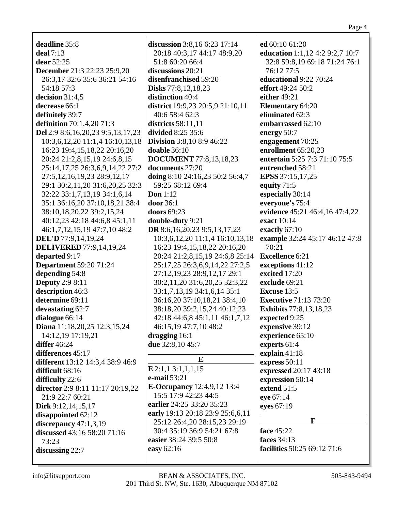| deadline 35:8                           | discussion 3:8,16 6:23 17:14       | ed 60:10 61:20                  |
|-----------------------------------------|------------------------------------|---------------------------------|
| deal $7:13$                             | 20:18 40:3,17 44:17 48:9,20        | education 1:1,12 4:2 9:2,7 10:7 |
| dear 52:25                              | 51:8 60:20 66:4                    | 32:8 59:8,19 69:18 71:24 76:1   |
| December 21:3 22:23 25:9,20             | discussions 20:21                  | 76:12 77:5                      |
| 26:3,17 32:6 35:6 36:21 54:16           | disenfranchised 59:20              | educational 9:22 70:24          |
| 54:18 57:3                              | Disks 77:8,13,18,23                | effort 49:24 50:2               |
| decision $31:4,5$                       | distinction 40:4                   | either $49:21$                  |
| decrease 66:1                           | district 19:9,23 20:5,9 21:10,11   | <b>Elementary 64:20</b>         |
| definitely 39:7                         | 40:6 58:4 62:3                     | eliminated 62:3                 |
| definition 70:1,4,20 71:3               | districts 58:11,11                 | embarrassed 62:10               |
| Del 2:9 8:6, 16, 20, 23 9:5, 13, 17, 23 | divided 8:25 35:6                  | energy 50:7                     |
| 10:3,6,12,20 11:1,4 16:10,13,18         | <b>Division</b> 3:8,10 8:9 46:22   | engagement 70:25                |
| 16:23 19:4,15,18,22 20:16,20            | <b>doable</b> 36:10                | enrollment 65:20,23             |
| 20:24 21:2,8,15,19 24:6,8,15            | <b>DOCUMENT</b> 77:8,13,18,23      | entertain 5:25 7:3 71:10 75:5   |
| 25:14,17,25 26:3,6,9,14,22 27:2         | documents 27:20                    | entrenched 58:21                |
| 27:5, 12, 16, 19, 23 28: 9, 12, 17      | doing 8:10 24:16,23 50:2 56:4,7    | EPSS 37:15,17,25                |
| 29:1 30:2,11,20 31:6,20,25 32:3         | 59:25 68:12 69:4                   | equity 71:5                     |
| 32:22 33:1,7,13,19 34:1,6,14            | <b>Don</b> 1:12                    | especially 30:14                |
| 35:1 36:16,20 37:10,18,21 38:4          | door 36:1                          | everyone's 75:4                 |
| 38:10,18,20,22 39:2,15,24               | <b>doors</b> 69:23                 | evidence 45:21 46:4,16 47:4,22  |
| 40:12,23 42:18 44:6,8 45:1,11           | double-duty 9:21                   | exact 10:14                     |
| 46:1,7,12,15,19 47:7,10 48:2            | DR 8:6, 16, 20, 23 9:5, 13, 17, 23 | exactly 67:10                   |
| <b>DEL'D</b> 77:9,14,19,24              | 10:3,6,12,20 11:1,4 16:10,13,18    | example 32:24 45:17 46:12 47:8  |
| <b>DELIVERED</b> 77:9,14,19,24          | 16:23 19:4,15,18,22 20:16,20       | 70:21                           |
| departed 9:17                           | 20:24 21:2,8,15,19 24:6,8 25:14    | <b>Excellence</b> 6:21          |
| <b>Department</b> 59:20 71:24           | 25:17,25 26:3,6,9,14,22 27:2,5     | exceptions 41:12                |
| depending 54:8                          | 27:12,19,23 28:9,12,17 29:1        | excited 17:20                   |
| <b>Deputy</b> 2:9 8:11                  | 30:2,11,20 31:6,20,25 32:3,22      | exclude 69:21                   |
| description 46:3                        | 33:1,7,13,19 34:1,6,14 35:1        | <b>Excuse 13:5</b>              |
| determine 69:11                         | 36:16,20 37:10,18,21 38:4,10       | <b>Executive 71:13 73:20</b>    |
| devastating 62:7                        | 38:18,20 39:2,15,24 40:12,23       | <b>Exhibits</b> 77:8,13,18,23   |
| dialogue 66:14                          | 42:18 44:6,8 45:1,11 46:1,7,12     | expected 9:25                   |
| Diana 11:18,20,25 12:3,15,24            | 46:15,19 47:7,10 48:2              | expensive 39:12                 |
| 14:12,19 17:19,21                       | dragging 16:1                      | experience 65:10                |
| <b>differ</b> 46:24                     | due 32:8,10 45:7                   | experts 61:4                    |
| differences 45:17                       |                                    | explain $41:18$                 |
| different 13:12 14:3,4 38:9 46:9        | E                                  | express 50:11                   |
| difficult 68:16                         | $E$ 2:1,1 3:1,1,1,15               | expressed 20:17 43:18           |
| difficulty 22:6                         | e-mail 53:21                       | expression 50:14                |
| director 2:9 8:11 11:17 20:19,22        | <b>E-Occupancy</b> 12:4,9,12 13:4  | extend 51:5                     |
| 21:9 22:7 60:21                         | 15:5 17:9 42:23 44:5               | eye 67:14                       |
| Dirk 9:12, 14, 15, 17                   | earlier 24:25 33:20 35:23          | eyes 67:19                      |
| disappointed $62:12$                    | early 19:13 20:18 23:9 25:6,6,11   |                                 |
| discrepancy $47:1,3,19$                 | 25:12 26:4,20 28:15,23 29:19       | $\mathbf{F}$                    |
| discussed 43:16 58:20 71:16             | 30:4 35:19 36:9 54:21 67:8         | face 45:22                      |
| 73:23                                   | easier 38:24 39:5 50:8             | faces 34:13                     |
| discussing $22:7$                       | easy 62:16                         | facilities 50:25 69:12 71:6     |
|                                         |                                    |                                 |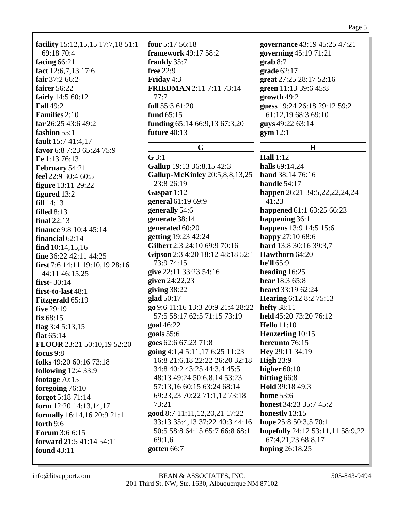| facility 15:12,15,15 17:7,18 51:1<br>69:18 70:4 | four $5:17,56:18$                 | governance 43:19 45:25 47:21     |
|-------------------------------------------------|-----------------------------------|----------------------------------|
|                                                 | framework 49:17 58:2              | governing 45:19 71:21            |
| facing $66:21$                                  | frankly 35:7                      | $graph 8:7$                      |
| fact 12:6,7,13 17:6                             | free 22:9                         | grade 62:17                      |
| fair $37:266:2$                                 | Friday 4:3                        | great 27:25 28:17 52:16          |
| fairer 56:22                                    | <b>FRIEDMAN</b> 2:11 7:11 73:14   | green 11:13 39:6 45:8            |
| fairly $14:560:12$                              | 77:7                              | growth 49:2                      |
| <b>Fall 49:2</b>                                | full $55:361:20$                  | guess 19:24 26:18 29:12 59:2     |
| <b>Families</b> 2:10                            | fund $65:15$                      | 61:12,19 68:3 69:10              |
| far 26:25 43:6 49:2                             | funding 65:14 66:9,13 67:3,20     | guys 49:22 63:14                 |
| fashion 55:1                                    | future $40:13$                    | gym 12:1                         |
| fault 15:7 41:4,17                              |                                   |                                  |
| favor 6:8 7:23 65:24 75:9                       | G                                 | H                                |
| Fe 1:13 76:13                                   | $G$ 3:1                           | <b>Hall</b> 1:12                 |
| <b>February 54:21</b>                           | Gallup 19:13 36:8,15 42:3         | halls 69:14,24                   |
| feel 22:9 30:4 60:5                             | Gallup-McKinley 20:5,8,8,13,25    | hand 38:14 76:16                 |
| figure 13:11 29:22                              | 23:8 26:19                        | handle $54:17$                   |
| figured 13:2                                    | Gaspar $1:12$                     | happen 26:21 34:5,22,22,24,24    |
| fill 14:13                                      | general 61:19 69:9                | 41:23                            |
| filled $8:13$                                   | generally 54:6                    | happened 61:1 63:25 66:23        |
| final $22:13$                                   | generate 38:14                    | happening 36:1                   |
| <b>finance</b> 9:8 10:4 45:14                   | generated 60:20                   | happens 13:9 14:5 15:6           |
| financial $62:14$                               | getting 19:23 42:24               | happy 27:10 68:6                 |
| find $10:14,15,16$                              | Gilbert 2:3 24:10 69:9 70:16      | hard 13:8 30:16 39:3,7           |
| fine $36:22$ 42:11 44:25                        | Gipson 2:3 4:20 18:12 48:18 52:1  | Hawthorn 64:20                   |
| first 7:6 14:11 19:10,19 28:16                  | 73:9 74:15                        | he'll 65:9                       |
| 44:11 46:15,25                                  | give 22:11 33:23 54:16            | heading 16:25                    |
| first- $30:14$                                  | given 24:22,23                    | hear 18:3 65:8                   |
| first-to-last 48:1                              | giving $38:22$                    | heard 33:19 62:24                |
| <b>Fitzgerald 65:19</b>                         | glad 50:17                        | <b>Hearing 6:12 8:2 75:13</b>    |
| five 29:19                                      | go 9:6 11:16 13:3 20:9 21:4 28:22 | hefty 38:11                      |
| fix 68:15                                       | 57:5 58:17 62:5 71:15 73:19       | held 45:20 73:20 76:12           |
| flag $3:45:13,15$                               | goal 46:22                        | Hello $11:10$                    |
| flat $65:14$                                    | goals $55:6$                      | Henzerling 10:15                 |
| FLOOR 23:21 50:10,19 52:20                      | goes 62:6 67:23 71:8              | hereunto 76:15                   |
| focus 9:8                                       | going $4:1,45:11,176:2511:23$     | Hey 29:11 34:19                  |
| folks $49:2060:1673:18$                         | 16:8 21:6,18 22:22 26:20 32:18    | <b>High 23:9</b>                 |
|                                                 | 34:8 40:2 43:25 44:3,4 45:5       | higher $60:10$                   |
| <b>following</b> 12:4 33:9                      | 48:13 49:24 50:6,8,14 53:23       | hitting 66:8                     |
| footage $70:15$                                 | 57:13,16 60:15 63:24 68:14        | Hold 39:18 49:3                  |
| foregoing $76:10$                               | 69:23,23 70:22 71:1,12 73:18      | <b>home</b> 53:6                 |
| forgot 5:18 71:14                               | 73:21                             | <b>honest</b> 34:23 35:7 45:2    |
| form $12:20$ $14:13,14,17$                      | good 8:7 11:11, 12, 20, 21 17:22  | honestly 13:15                   |
| formally 16:14,16 20:9 21:1                     | 33:13 35:4,13 37:22 40:3 44:16    | hope 25:8 50:3,5 70:1            |
| forth $9:6$                                     | 50:5 58:8 64:15 65:7 66:8 68:1    | hopefully 24:12 53:11,11 58:9,22 |
| <b>Forum</b> 3:6 6:15                           |                                   |                                  |
| forward $21:541:1454:11$                        | 69:1,6                            | 67:4,21,23 68:8,17               |
| <b>found</b> 43:11                              | gotten 66:7                       | hoping $26:18,25$                |
|                                                 |                                   |                                  |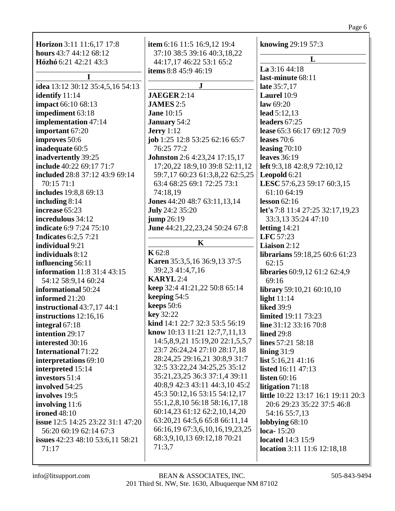# Page 6

| <b>Horizon</b> 3:11 11:6,17 17:8                                                                                                                                                                                                                                                                                                                                                                                                                                                                                                                                                                                                                   | <b>item 6:16 11:5 16:9,12 19:4</b>                                                                                                                                                                                                                                                                                                                                                                                                                                                                                                                                                                                                                                                                        | knowing 29:19 57:3                                                                                                                                                                                                                                                                                                                                                                                                                                                                                                                                                                                                    |
|----------------------------------------------------------------------------------------------------------------------------------------------------------------------------------------------------------------------------------------------------------------------------------------------------------------------------------------------------------------------------------------------------------------------------------------------------------------------------------------------------------------------------------------------------------------------------------------------------------------------------------------------------|-----------------------------------------------------------------------------------------------------------------------------------------------------------------------------------------------------------------------------------------------------------------------------------------------------------------------------------------------------------------------------------------------------------------------------------------------------------------------------------------------------------------------------------------------------------------------------------------------------------------------------------------------------------------------------------------------------------|-----------------------------------------------------------------------------------------------------------------------------------------------------------------------------------------------------------------------------------------------------------------------------------------------------------------------------------------------------------------------------------------------------------------------------------------------------------------------------------------------------------------------------------------------------------------------------------------------------------------------|
| hours 43:7 44:12 68:12                                                                                                                                                                                                                                                                                                                                                                                                                                                                                                                                                                                                                             | 37:10 38:5 39:16 40:3,18,22                                                                                                                                                                                                                                                                                                                                                                                                                                                                                                                                                                                                                                                                               | L                                                                                                                                                                                                                                                                                                                                                                                                                                                                                                                                                                                                                     |
| Hózhó 6:21 42:21 43:3                                                                                                                                                                                                                                                                                                                                                                                                                                                                                                                                                                                                                              | 44:17,17 46:22 53:1 65:2                                                                                                                                                                                                                                                                                                                                                                                                                                                                                                                                                                                                                                                                                  | La 3:1644:18                                                                                                                                                                                                                                                                                                                                                                                                                                                                                                                                                                                                          |
| I                                                                                                                                                                                                                                                                                                                                                                                                                                                                                                                                                                                                                                                  | items 8:8 45:9 46:19                                                                                                                                                                                                                                                                                                                                                                                                                                                                                                                                                                                                                                                                                      | last-minute 68:11                                                                                                                                                                                                                                                                                                                                                                                                                                                                                                                                                                                                     |
| idea 13:12 30:12 35:4,5,16 54:13                                                                                                                                                                                                                                                                                                                                                                                                                                                                                                                                                                                                                   | ${\bf J}$                                                                                                                                                                                                                                                                                                                                                                                                                                                                                                                                                                                                                                                                                                 | late 35:7,17                                                                                                                                                                                                                                                                                                                                                                                                                                                                                                                                                                                                          |
| identify 11:14                                                                                                                                                                                                                                                                                                                                                                                                                                                                                                                                                                                                                                     | <b>JAEGER 2:14</b>                                                                                                                                                                                                                                                                                                                                                                                                                                                                                                                                                                                                                                                                                        | Laurel 10:9                                                                                                                                                                                                                                                                                                                                                                                                                                                                                                                                                                                                           |
| impact 66:10 68:13                                                                                                                                                                                                                                                                                                                                                                                                                                                                                                                                                                                                                                 | <b>JAMES</b> 2:5                                                                                                                                                                                                                                                                                                                                                                                                                                                                                                                                                                                                                                                                                          | law 69:20                                                                                                                                                                                                                                                                                                                                                                                                                                                                                                                                                                                                             |
| impediment 63:18                                                                                                                                                                                                                                                                                                                                                                                                                                                                                                                                                                                                                                   | <b>Jane 10:15</b>                                                                                                                                                                                                                                                                                                                                                                                                                                                                                                                                                                                                                                                                                         | lead $5:12,13$                                                                                                                                                                                                                                                                                                                                                                                                                                                                                                                                                                                                        |
| implementation 47:14                                                                                                                                                                                                                                                                                                                                                                                                                                                                                                                                                                                                                               | <b>January 54:2</b>                                                                                                                                                                                                                                                                                                                                                                                                                                                                                                                                                                                                                                                                                       | leaders 67:25                                                                                                                                                                                                                                                                                                                                                                                                                                                                                                                                                                                                         |
| important 67:20                                                                                                                                                                                                                                                                                                                                                                                                                                                                                                                                                                                                                                    | <b>Jerry</b> 1:12                                                                                                                                                                                                                                                                                                                                                                                                                                                                                                                                                                                                                                                                                         | lease 65:3 66:17 69:12 70:9                                                                                                                                                                                                                                                                                                                                                                                                                                                                                                                                                                                           |
| improves 50:6                                                                                                                                                                                                                                                                                                                                                                                                                                                                                                                                                                                                                                      | job 1:25 12:8 53:25 62:16 65:7                                                                                                                                                                                                                                                                                                                                                                                                                                                                                                                                                                                                                                                                            | leases 70:6                                                                                                                                                                                                                                                                                                                                                                                                                                                                                                                                                                                                           |
| inadequate 60:5                                                                                                                                                                                                                                                                                                                                                                                                                                                                                                                                                                                                                                    | 76:25 77:2                                                                                                                                                                                                                                                                                                                                                                                                                                                                                                                                                                                                                                                                                                | leasing $70:10$                                                                                                                                                                                                                                                                                                                                                                                                                                                                                                                                                                                                       |
| inadvertently 39:25                                                                                                                                                                                                                                                                                                                                                                                                                                                                                                                                                                                                                                | <b>Johnston</b> 2:6 4:23,24 17:15,17                                                                                                                                                                                                                                                                                                                                                                                                                                                                                                                                                                                                                                                                      | leaves $36:19$                                                                                                                                                                                                                                                                                                                                                                                                                                                                                                                                                                                                        |
| include 40:22 69:17 71:7                                                                                                                                                                                                                                                                                                                                                                                                                                                                                                                                                                                                                           | 17:20,22 18:9,10 39:8 52:11,12                                                                                                                                                                                                                                                                                                                                                                                                                                                                                                                                                                                                                                                                            | left 9:3,18 42:8,9 72:10,12                                                                                                                                                                                                                                                                                                                                                                                                                                                                                                                                                                                           |
| included 28:8 37:12 43:9 69:14                                                                                                                                                                                                                                                                                                                                                                                                                                                                                                                                                                                                                     | 59:7,17 60:23 61:3,8,22 62:5,25                                                                                                                                                                                                                                                                                                                                                                                                                                                                                                                                                                                                                                                                           | Leopold 6:21                                                                                                                                                                                                                                                                                                                                                                                                                                                                                                                                                                                                          |
| 70:15 71:1                                                                                                                                                                                                                                                                                                                                                                                                                                                                                                                                                                                                                                         | 63:4 68:25 69:1 72:25 73:1                                                                                                                                                                                                                                                                                                                                                                                                                                                                                                                                                                                                                                                                                | LESC 57:6,23 59:17 60:3,15                                                                                                                                                                                                                                                                                                                                                                                                                                                                                                                                                                                            |
| includes 19:8,8 69:13                                                                                                                                                                                                                                                                                                                                                                                                                                                                                                                                                                                                                              | 74:18,19                                                                                                                                                                                                                                                                                                                                                                                                                                                                                                                                                                                                                                                                                                  | 61:10 64:19                                                                                                                                                                                                                                                                                                                                                                                                                                                                                                                                                                                                           |
| including $8:14$                                                                                                                                                                                                                                                                                                                                                                                                                                                                                                                                                                                                                                   | <b>Jones</b> 44:20 48:7 63:11,13,14                                                                                                                                                                                                                                                                                                                                                                                                                                                                                                                                                                                                                                                                       | lesson $62:16$                                                                                                                                                                                                                                                                                                                                                                                                                                                                                                                                                                                                        |
| increase 65:23                                                                                                                                                                                                                                                                                                                                                                                                                                                                                                                                                                                                                                     | <b>July 24:2 35:20</b>                                                                                                                                                                                                                                                                                                                                                                                                                                                                                                                                                                                                                                                                                    | let's 7:8 11:4 27:25 32:17,19,23                                                                                                                                                                                                                                                                                                                                                                                                                                                                                                                                                                                      |
| incredulous 34:12                                                                                                                                                                                                                                                                                                                                                                                                                                                                                                                                                                                                                                  | jump 26:19                                                                                                                                                                                                                                                                                                                                                                                                                                                                                                                                                                                                                                                                                                | 33:3,13 35:24 47:10                                                                                                                                                                                                                                                                                                                                                                                                                                                                                                                                                                                                   |
| <b>indicate</b> 6:9 7:24 75:10<br>Indicates $6:2,5$ 7:21<br>individual 9:21<br>individuals 8:12<br>influencing 56:11<br><b>information</b> 11:8 31:4 43:15<br>54:12 58:9,14 60:24<br>informational 50:24<br>informed 21:20<br>instructional $43:7,17,44:1$<br>instructions 12:16,16<br>integral $67:18$<br>intention 29:17<br>interested 30:16<br><b>International 71:22</b><br>interpretations 69:10<br>interpreted 15:14<br>investors 51:4<br>involved 54:25<br>involves 19:5<br>involving 11:6<br><b>ironed</b> 48:10<br><b>issue</b> 12:5 14:25 23:22 31:1 47:20<br>56:20 60:19 62:14 67:3<br><b>issues</b> 42:23 48:10 53:6,11 58:21<br>71:17 | June 44:21,22,23,24 50:24 67:8<br>$\mathbf K$<br>K 62:8<br><b>Karen</b> 35:3,5,16 36:9,13 37:5<br>39:2,3 41:4,7,16<br><b>KARYL</b> 2:4<br>keep 32:4 41:21,22 50:8 65:14<br>keeping 54:5<br>keeps 50:6<br>key 32:22<br>kind 14:1 22:7 32:3 53:5 56:19<br>know 10:13 11:21 12:7,7,11,13<br>14:5,8,9,21 15:19,20 22:1,5,5,7<br>23:7 26:24,24 27:10 28:17,18<br>28:24,25 29:16,21 30:8,9 31:7<br>32:5 33:22,24 34:25,25 35:12<br>35:21,23,25 36:3 37:1,4 39:11<br>40:8,9 42:3 43:11 44:3,10 45:2<br>45:3 50:12,16 53:15 54:12,17<br>55:1,2,8,10 56:18 58:16,17,18<br>60:14,23 61:12 62:2,10,14,20<br>63:20,21 64:5,6 65:8 66:11,14<br>66:16,19 67:3,6,10,16,19,23,25<br>68:3,9,10,13 69:12,18 70:21<br>71:3,7 | letting $14:21$<br>LFC 57:23<br><b>Liaison</b> $2:12$<br>librarians 59:18,25 60:6 61:23<br>62:15<br>libraries 60:9,12 61:2 62:4,9<br>69:16<br>library 59:10,21 60:10,10<br>light $11:14$<br><b>liked</b> 39:9<br><b>limited</b> 19:11 73:23<br>line $31:12$ 33:16 70:8<br><b>lined 29:8</b><br>lines 57:21 58:18<br>lining $31:9$<br>list $5:16,21$ 41:16<br><b>listed</b> 16:11 47:13<br>listen $60:16$<br>litigation 71:18<br><b>little</b> 10:22 13:17 16:1 19:11 20:3<br>20:6 29:23 35:22 37:5 46:8<br>54:16 55:7,13<br>lobbying $68:10$<br>loca-15:20<br>located 14:3 15:9<br><b>location</b> 3:11 11:6 12:18,18 |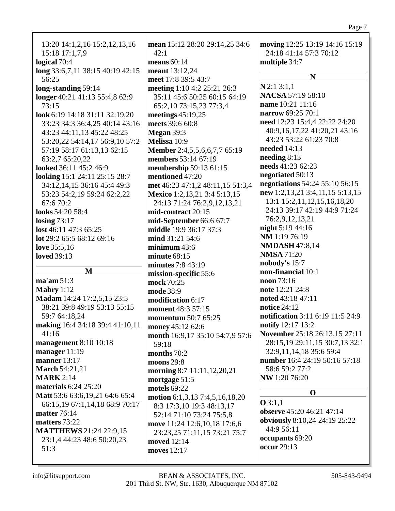|--|

| 13:20 14:1,2,16 15:2,12,13,16<br>15:18 17:1,7,9<br>logical 70:4<br>long 33:6,7,11 38:15 40:19 42:15<br>56:25<br>long-standing 59:14<br>longer 40:21 41:13 55:4,8 62:9<br>73:15<br>look 6:19 14:18 31:11 32:19,20<br>33:23 34:3 36:4,25 40:14 43:16<br>43:23 44:11,13 45:22 48:25<br>53:20,22 54:14,17 56:9,10 57:2<br>57:19 58:17 61:13,13 62:15<br>63:2,7 65:20,22<br>looked 36:11 45:2 46:9<br>looking 15:1 24:11 25:15 28:7<br>34:12,14,15 36:16 45:4 49:3<br>53:23 54:2,19 59:24 62:2,22<br>67:6 70:2<br>looks 54:20 58:4<br>losing $73:17$ | mean 15:12 28:20 29:14,25 34:6<br>42:1<br>means $60:14$<br>meant 13:12,24<br>meet 17:8 39:5 43:7<br>meeting 1:10 4:2 25:21 26:3<br>35:11 45:6 50:25 60:15 64:19<br>65:2,10 73:15,23 77:3,4<br>meetings $45:19,25$<br>meets 39:6 60:8<br>Megan 39:3<br>Melissa 10:9<br>Member 2:4,5,5,6,6,7,7 65:19<br>members 53:14 67:19<br>membership 59:13 61:15<br>mentioned 47:20<br>met 46:23 47:1,2 48:11,15 51:3,4<br>Mexico 1:2,13,21 3:4 5:13,15<br>24:13 71:24 76:2,9,12,13,21<br>mid-contract 20:15<br>mid-September 66:6 67:7 | moving 12:25 13:19 14:16 15:19<br>24:18 41:14 57:3 70:12<br>multiple 34:7<br>N<br>$N$ 2:1 3:1,1<br>NACSA 57:19 58:10<br>name 10:21 11:16<br>narrow 69:25 70:1<br>need 12:23 15:4,4 22:22 24:20<br>40:9,16,17,22 41:20,21 43:16<br>43:23 53:22 61:23 70:8<br>needed 14:13<br>needing $8:13$<br>needs 41:23 62:23<br>negotiated 50:13<br>negotiations 54:24 55:10 56:15<br>new 1:2,13,21 3:4,11,15 5:13,15<br>13:1 15:2,11,12,15,16,18,20<br>24:13 39:17 42:19 44:9 71:24<br>76:2,9,12,13,21 |
|-------------------------------------------------------------------------------------------------------------------------------------------------------------------------------------------------------------------------------------------------------------------------------------------------------------------------------------------------------------------------------------------------------------------------------------------------------------------------------------------------------------------------------------------------|----------------------------------------------------------------------------------------------------------------------------------------------------------------------------------------------------------------------------------------------------------------------------------------------------------------------------------------------------------------------------------------------------------------------------------------------------------------------------------------------------------------------------|--------------------------------------------------------------------------------------------------------------------------------------------------------------------------------------------------------------------------------------------------------------------------------------------------------------------------------------------------------------------------------------------------------------------------------------------------------------------------------------------|
| lost 46:11 47:3 65:25                                                                                                                                                                                                                                                                                                                                                                                                                                                                                                                           | middle 19:9 36:17 37:3                                                                                                                                                                                                                                                                                                                                                                                                                                                                                                     | night 5:19 44:16                                                                                                                                                                                                                                                                                                                                                                                                                                                                           |
| lot 29:2 65:5 68:12 69:16                                                                                                                                                                                                                                                                                                                                                                                                                                                                                                                       | mind 31:21 54:6                                                                                                                                                                                                                                                                                                                                                                                                                                                                                                            | NM 1:19 76:19<br><b>NMDASH 47:8,14</b>                                                                                                                                                                                                                                                                                                                                                                                                                                                     |
| love $35:5,16$<br><b>loved</b> 39:13                                                                                                                                                                                                                                                                                                                                                                                                                                                                                                            | minimum 43:6<br>minute 68:15                                                                                                                                                                                                                                                                                                                                                                                                                                                                                               | <b>NMSA</b> 71:20                                                                                                                                                                                                                                                                                                                                                                                                                                                                          |
|                                                                                                                                                                                                                                                                                                                                                                                                                                                                                                                                                 | minutes 7:8 43:19                                                                                                                                                                                                                                                                                                                                                                                                                                                                                                          | nobody's 15:7                                                                                                                                                                                                                                                                                                                                                                                                                                                                              |
| M                                                                                                                                                                                                                                                                                                                                                                                                                                                                                                                                               | mission-specific 55:6                                                                                                                                                                                                                                                                                                                                                                                                                                                                                                      | non-financial 10:1                                                                                                                                                                                                                                                                                                                                                                                                                                                                         |
| $ma'$ am 51:3                                                                                                                                                                                                                                                                                                                                                                                                                                                                                                                                   | mock 70:25                                                                                                                                                                                                                                                                                                                                                                                                                                                                                                                 | noon 73:16                                                                                                                                                                                                                                                                                                                                                                                                                                                                                 |
| Mabry $1:12$                                                                                                                                                                                                                                                                                                                                                                                                                                                                                                                                    | mode 38:9                                                                                                                                                                                                                                                                                                                                                                                                                                                                                                                  | note 12:21 24:8                                                                                                                                                                                                                                                                                                                                                                                                                                                                            |
| Madam 14:24 17:2,5,15 23:5                                                                                                                                                                                                                                                                                                                                                                                                                                                                                                                      | modification 6:17                                                                                                                                                                                                                                                                                                                                                                                                                                                                                                          | noted 43:18 47:11                                                                                                                                                                                                                                                                                                                                                                                                                                                                          |
| 38:21 39:8 49:19 53:13 55:15                                                                                                                                                                                                                                                                                                                                                                                                                                                                                                                    | moment 48:3 57:15                                                                                                                                                                                                                                                                                                                                                                                                                                                                                                          | notice 24:12                                                                                                                                                                                                                                                                                                                                                                                                                                                                               |
| 59:7 64:18,24                                                                                                                                                                                                                                                                                                                                                                                                                                                                                                                                   | momentum 50:7 65:25                                                                                                                                                                                                                                                                                                                                                                                                                                                                                                        | notification 3:11 6:19 11:5 24:9                                                                                                                                                                                                                                                                                                                                                                                                                                                           |
| making 16:4 34:18 39:4 41:10,11                                                                                                                                                                                                                                                                                                                                                                                                                                                                                                                 | money 45:12 62:6                                                                                                                                                                                                                                                                                                                                                                                                                                                                                                           | notify 12:17 13:2                                                                                                                                                                                                                                                                                                                                                                                                                                                                          |
| 41:16                                                                                                                                                                                                                                                                                                                                                                                                                                                                                                                                           | month 16:9,17 35:10 54:7,9 57:6                                                                                                                                                                                                                                                                                                                                                                                                                                                                                            | November 25:18 26:13,15 27:11                                                                                                                                                                                                                                                                                                                                                                                                                                                              |
| management 8:10 10:18                                                                                                                                                                                                                                                                                                                                                                                                                                                                                                                           | 59:18                                                                                                                                                                                                                                                                                                                                                                                                                                                                                                                      | 28:15,19 29:11,15 30:7,13 32:1                                                                                                                                                                                                                                                                                                                                                                                                                                                             |
| manager 11:19                                                                                                                                                                                                                                                                                                                                                                                                                                                                                                                                   | months 70:2                                                                                                                                                                                                                                                                                                                                                                                                                                                                                                                | 32:9,11,14,18 35:6 59:4                                                                                                                                                                                                                                                                                                                                                                                                                                                                    |
| manner $13:17$                                                                                                                                                                                                                                                                                                                                                                                                                                                                                                                                  | moons 29:8                                                                                                                                                                                                                                                                                                                                                                                                                                                                                                                 | number 16:4 24:19 50:16 57:18                                                                                                                                                                                                                                                                                                                                                                                                                                                              |
| <b>March 54:21,21</b>                                                                                                                                                                                                                                                                                                                                                                                                                                                                                                                           | morning 8:7 11:11,12,20,21                                                                                                                                                                                                                                                                                                                                                                                                                                                                                                 | 58:6 59:2 77:2                                                                                                                                                                                                                                                                                                                                                                                                                                                                             |
| <b>MARK</b> 2:14                                                                                                                                                                                                                                                                                                                                                                                                                                                                                                                                | mortgage 51:5                                                                                                                                                                                                                                                                                                                                                                                                                                                                                                              | NW 1:20 76:20                                                                                                                                                                                                                                                                                                                                                                                                                                                                              |
| materials 6:24 25:20                                                                                                                                                                                                                                                                                                                                                                                                                                                                                                                            | motels 69:22                                                                                                                                                                                                                                                                                                                                                                                                                                                                                                               |                                                                                                                                                                                                                                                                                                                                                                                                                                                                                            |
| Matt 53:6 63:6,19,21 64:6 65:4                                                                                                                                                                                                                                                                                                                                                                                                                                                                                                                  | motion 6:1,3,13 7:4,5,16,18,20                                                                                                                                                                                                                                                                                                                                                                                                                                                                                             | $\mathbf 0$                                                                                                                                                                                                                                                                                                                                                                                                                                                                                |
| 66:15,19 67:1,14,18 68:9 70:17                                                                                                                                                                                                                                                                                                                                                                                                                                                                                                                  | 8:3 17:3,10 19:3 48:13,17                                                                                                                                                                                                                                                                                                                                                                                                                                                                                                  | O3:1,1                                                                                                                                                                                                                                                                                                                                                                                                                                                                                     |
| matter $76:14$                                                                                                                                                                                                                                                                                                                                                                                                                                                                                                                                  | 52:14 71:10 73:24 75:5,8                                                                                                                                                                                                                                                                                                                                                                                                                                                                                                   | observe 45:20 46:21 47:14                                                                                                                                                                                                                                                                                                                                                                                                                                                                  |
| matters 73:22                                                                                                                                                                                                                                                                                                                                                                                                                                                                                                                                   | move 11:24 12:6, 10, 18 17:6, 6                                                                                                                                                                                                                                                                                                                                                                                                                                                                                            | <b>obviously</b> 8:10,24 24:19 25:22                                                                                                                                                                                                                                                                                                                                                                                                                                                       |
| <b>MATTHEWS</b> 21:24 22:9,15                                                                                                                                                                                                                                                                                                                                                                                                                                                                                                                   | 23:23,25 71:11,15 73:21 75:7                                                                                                                                                                                                                                                                                                                                                                                                                                                                                               | 44:9 56:11                                                                                                                                                                                                                                                                                                                                                                                                                                                                                 |
| 23:1,4 44:23 48:6 50:20,23                                                                                                                                                                                                                                                                                                                                                                                                                                                                                                                      | moved 12:14                                                                                                                                                                                                                                                                                                                                                                                                                                                                                                                | occupants 69:20                                                                                                                                                                                                                                                                                                                                                                                                                                                                            |
| 51:3                                                                                                                                                                                                                                                                                                                                                                                                                                                                                                                                            | moves 12:17                                                                                                                                                                                                                                                                                                                                                                                                                                                                                                                | occur 29:13                                                                                                                                                                                                                                                                                                                                                                                                                                                                                |
|                                                                                                                                                                                                                                                                                                                                                                                                                                                                                                                                                 |                                                                                                                                                                                                                                                                                                                                                                                                                                                                                                                            |                                                                                                                                                                                                                                                                                                                                                                                                                                                                                            |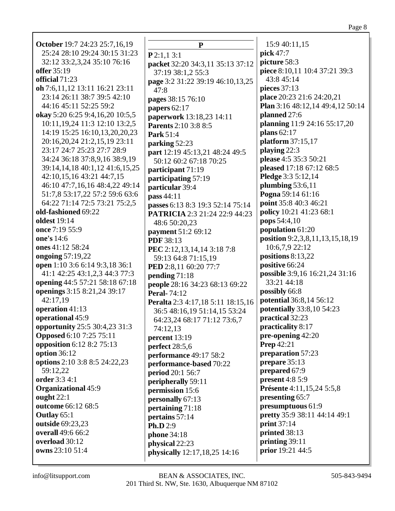Page 8

**October** 19:7 24:23 25:7,16,19 25:24 28:10 29:24 30:15 31:23 32:12 33:2,3,24 35:10 76:16 **offer** 35:19 **official** 71:23 **oh** 7:6,11,12 13:11 16:21 23:11 23:14 26:11 38:7 39:5 42:10 44:16 45:11 52:25 59:2 **okay** 5:20 6:25 9:4,16,20 10:5,5 10:11,19,24 11:3 12:10 13:2,5 14:19 15:25 16:10,13,20,20,23 20:16,20,24 21:2,15,19 23:11 23:17 24:7 25:23 27:7 28:9 34:24 36:18 37:8,9,16 38:9,19 39:14,14,18 40:1,12 41:6,15,25 42:10,15,16 43:21 44:7,15 46:10 47:7,16,16 48:4,22 49:14 51:7,8 53:17,22 57:2 59:6 63:6 64:22 71:14 72:5 73:21 75:2,5 **old-fashioned** 69:22 **oldest** 19:14 **once** 7:19 55:9 **one's** 14:6 **ones** 41:12 58:24 **ongoing** 57:19,22 **open** 1:10 3:6 6:14 9:3,18 36:1 41:1 42:25 43:1,2,3 44:3 77:3 **opening** 44:5 57:21 58:18 67:18 **openings** 3:15 8:21,24 39:17 42:17,19 **operation** 41:13 **operational** 45:9 **opportunity** 25:5 30:4,23 31:3 **Opposed** 6:10 7:25 75:11 **opposition** 6:12 8:2 75:13 **option** 36:12 **options** 2:10 3:8 8:5 24:22,23 59:12,22 **order** 3:3 4:1 **Organizational** 45:9 **ought** 22:1 **outcome** 66:12 68:5 **Outlay** 65:1 **outside** 69:23,23 **overall** 49:6 66:2 **overload** 30:12 **owns** 23:10 51:4 **P P** 2:1,1 3:1 **packet** 32:20 34:3,11 35:13 37:12 37:19 38:1,2 55:3 **page** 3:2 31:22 39:19 46:10,13,25 47:8 **pages** 38:15 76:10 **papers** 62:17 **paperwork** 13:18,23 14:11 **Parents** 2:10 3:8 8:5 **Park** 51:4 **parking** 52:23 **part** 12:19 45:13,21 48:24 49:5 50:12 60:2 67:18 70:25 **participant** 71:19 **participating** 57:19 **particular** 39:4 **pass** 44:11 **passes** 6:13 8:3 19:3 52:14 75:14 **PATRICIA** 2:3 21:24 22:9 44:23 48:6 50:20,23 **payment** 51:2 69:12 **PDF** 38:13 **PEC** 2:12,13,14,14 3:18 7:8 59:13 64:8 71:15,19 **PED** 2:8,11 60:20 77:7 **pending** 71:18 **people** 28:16 34:23 68:13 69:22 **Peral-** 74:12 **Peralta** 2:3 4:17,18 5:11 18:15,16 36:5 48:16,19 51:14,15 53:24 64:23,24 68:17 71:12 73:6,7 74:12,13 **percent** 13:19 **perfect** 28:5,6 **performance** 49:17 58:2 **performance-based** 70:22 **period** 20:1 56:7 **peripherally** 59:11 **permission** 15:6 **personally** 67:13 **pertaining** 71:18 **pertains** 57:14 **Ph.D** 2:9 **phone** 34:18 **physical** 22:23 **physically** 12:17,18,25 14:16

15:9 40:11,15 **pick** 47:7 **picture** 58:3 **piece** 8:10,11 10:4 37:21 39:3 43:8 45:14 **pieces** 37:13 **place** 20:23 21:6 24:20,21 **Plan** 3:16 48:12,14 49:4,12 50:14 **planned** 27:6 **planning** 11:9 24:16 55:17,20 **plans** 62:17 **platform** 37:15,17 **playing** 22:3 **please** 4:5 35:3 50:21 **pleased** 17:18 67:12 68:5 **Pledge** 3:3 5:12,14 **plumbing** 53:6,11 **Pogna** 59:14 61:16 **point** 35:8 40:3 46:21 **policy** 10:21 41:23 68:1 **pops** 54:4,10 **population** 61:20 **position** 9:2,3,8,11,13,15,18,19 10:6,7,9 22:12 **positions** 8:13,22 **positive** 66:24 **possible** 3:9,16 16:21,24 31:16 33:21 44:18 **possibly** 66:8 **potential** 36:8,14 56:12 **potentially** 33:8,10 54:23 **practical** 32:23 **practicality** 8:17 **pre-opening** 42:20 **Prep** 42:21 **preparation** 57:23 **prepare** 35:13 **prepared** 67:9 **present** 4:8 5:9 **Présente** 4:11,15,24 5:5,8 **presenting** 65:7 **presumptuous** 61:9 **pretty** 35:9 38:11 44:14 49:1 **print** 37:14 **printed** 38:13 **printing** 39:11 **prior** 19:21 44:5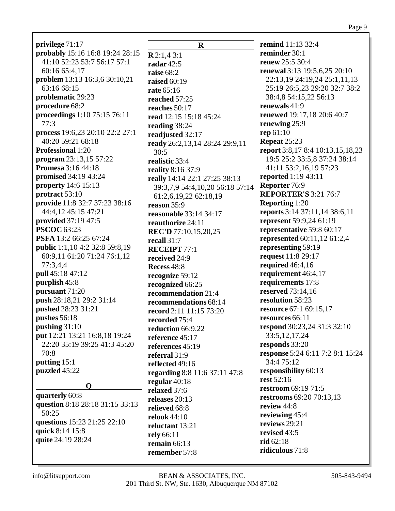**privilege** 71:17 **probably** 15:16 16:8 19:24 28:15 41:10 52:23 53:7 56:17 57:1 60:16 65:4,17 **problem** 13:13 16:3,6 30:10,21 63:16 68:15 **problematic** 29:23 **procedure** 68:2 **proceedings** 1:10 75:15 76:11 77:3 **process** 19:6,23 20:10 22:2 27:1 40:20 59:21 68:18 **Professional** 1:20 **program** 23:13,15 57:22 **Promesa** 3:16 44:18 **promised** 34:19 43:24 **property** 14:6 15:13 **protract** 53:10 **provide** 11:8 32:7 37:23 38:16 44:4,12 45:15 47:21 **provided** 37:19 47:5 **PSCOC** 63:23 **PSFA** 13:2 66:25 67:24 **public** 1:1,10 4:2 32:8 59:8,19 60:9,11 61:20 71:24 76:1,12 77:3,4,4 **pull** 45:18 47:12 **purplish** 45:8 **pursuant** 71:20 **push** 28:18,21 29:2 31:14 **pushed** 28:23 31:21 **pushes** 56:18 **pushing** 31:10 **put** 12:21 13:21 16:8,18 19:24 22:20 35:19 39:25 41:3 45:20 70:8 **putting** 15:1 **puzzled** 45:22 **Q quarterly** 60:8 **question** 8:18 28:18 31:15 33:13 50:25 **questions** 15:23 21:25 22:10

**quick** 8:14 15:8 **quite** 24:19 28:24

**R R** 2:1,4 3:1 **radar** 42:5 **raise** 68:2 **raised** 60:19 **rate** 65:16 **reached** 57:25 **reaches** 50:17 **read** 12:15 15:18 45:24 **reading** 38:24 **readjusted** 32:17 **ready** 26:2,13,14 28:24 29:9,11 30:5 **realistic** 33:4 **reality** 8:16 37:9 **really** 14:14 22:1 27:25 38:13 39:3,7,9 54:4,10,20 56:18 57:14 61:2,6,19,22 62:18,19 **reason** 35:9 **reasonable** 33:14 34:17 **reauthorize** 24:11 **REC'D** 77:10,15,20,25 **recall** 31:7 **RECEIPT** 77:1 **received** 24:9 **Recess** 48:8 **recognize** 59:12 **recognized** 66:25 **recommendation** 21:4 **recommendations** 68:14 **record** 2:11 11:15 73:20 **recorded** 75:4 **reduction** 66:9,22 **reference** 45:17 **references** 45:19 **referral** 31:9 **reflected** 49:16 **regarding** 8:8 11:6 37:11 47:8 **regular** 40:18 **relaxed** 37:6 **releases** 20:13 **relieved** 68:8 **relook** 44:10 **reluctant** 13:21 **rely** 66:11 **remain** 66:13 **remember** 57:8

**remind** 11:13 32:4 **reminder** 30:1 **renew** 25:5 30:4 **renewal** 3:13 19:5,6,25 20:10 22:13,19 24:19,24 25:1,11,13 25:19 26:5,23 29:20 32:7 38:2 38:4,8 54:15,22 56:13 **renewals** 41:9 **renewed** 19:17,18 20:6 40:7 **renewing** 25:9 **rep** 61:10 **Repeat** 25:23 **report** 3:8,17 8:4 10:13,15,18,23 19:5 25:2 33:5,8 37:24 38:14 41:11 53:2,16,19 57:23 **reported** 1:19 43:11 **Reporter** 76:9 **REPORTER'S** 3:21 76:7 **Reporting** 1:20 **reports** 3:14 37:11,14 38:6,11 **represent** 59:9,24 61:19 **representative** 59:8 60:17 **represented** 60:11,12 61:2,4 **representing** 59:19 **request** 11:8 29:17 **required** 46:4,16 **requirement** 46:4,17 **requirements** 17:8 **reserved** 73:14,16 **resolution** 58:23 **resource** 67:1 69:15,17 **resources** 66:11 **respond** 30:23,24 31:3 32:10 33:5,12,17,24 **responds** 33:20 **response** 5:24 6:11 7:2 8:1 15:24 34:4 75:12 **responsibility** 60:13 **rest** 52:16 **restroom** 69:19 71:5 **restrooms** 69:20 70:13,13 **review** 44:8 **reviewing** 45:4 **reviews** 29:21 **revised** 43:5 **rid** 62:18 **ridiculous** 71:8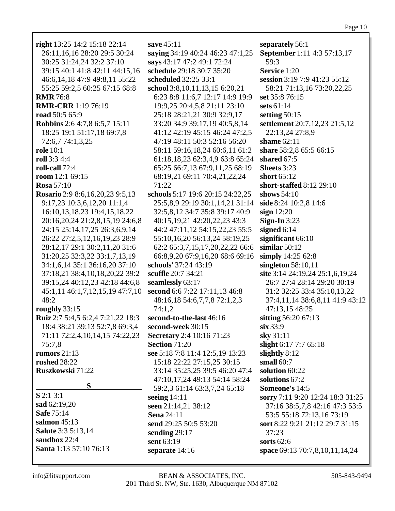| right 13:25 14:2 15:18 22:14        | save 45:11                           | separately 56:1                    |
|-------------------------------------|--------------------------------------|------------------------------------|
| 26:11,16,16 28:20 29:5 30:24        | saying 34:19 40:24 46:23 47:1,25     | <b>September</b> 1:11 4:3 57:13,17 |
| 30:25 31:24,24 32:2 37:10           | says 43:17 47:2 49:1 72:24           | 59:3                               |
| 39:15 40:1 41:8 42:11 44:15,16      | schedule 29:18 30:7 35:20            | Service 1:20                       |
| 46:6, 14, 18 47:9 49:8, 11 55:22    | scheduled 32:25 33:1                 | session 3:19 7:9 41:23 55:12       |
| 55:25 59:2,5 60:25 67:15 68:8       | school 3:8, 10, 11, 13, 15 6: 20, 21 | 58:21 71:13,16 73:20,22,25         |
| <b>RMR</b> 76:8                     | 6:23 8:8 11:6,7 12:17 14:9 19:9      | set 35:8 76:15                     |
| <b>RMR-CRR</b> 1:19 76:19           | 19:9,25 20:4,5,8 21:11 23:10         | sets 61:14                         |
| road 50:5 65:9                      | 25:18 28:21,21 30:9 32:9,17          | setting $50:15$                    |
| Robbins 2:6 4:7,8 6:5,7 15:11       | 33:20 34:9 39:17,19 40:5,8,14        | settlement 20:7,12,23 21:5,12      |
| 18:25 19:1 51:17,18 69:7,8          | 41:12 42:19 45:15 46:24 47:2,5       | 22:13,24 27:8,9                    |
| 72:6,7 74:1,3,25                    | 47:19 48:11 50:3 52:16 56:20         | shame $62:11$                      |
| <b>role</b> 10:1                    | 58:11 59:16,18,24 60:6,11 61:2       | share 58:2,8 65:5 66:15            |
| <b>roll</b> 3:3 4:4                 | 61:18,18,23 62:3,4,9 63:8 65:24      | shared 67:5                        |
| roll-call 72:4                      | 65:25 66:7,13 67:9,11,25 68:19       | Sheets 3:23                        |
| room 12:1 69:15                     | 68:19,21 69:11 70:4,21,22,24         | short $65:12$                      |
| <b>Rosa</b> 57:10                   | 71:22                                | short-staffed 8:12 29:10           |
| Rosario 2:9 8:6, 16, 20, 23 9:5, 13 | schools 5:17 19:6 20:15 24:22,25     | shows $54:10$                      |
| 9:17,23 10:3,6,12,20 11:1,4         | 25:5,8,9 29:19 30:1,14,21 31:14      | side 8:24 10:2,8 14:6              |
| 16:10, 13, 18, 23 19:4, 15, 18, 22  | 32:5,8,12 34:7 35:8 39:17 40:9       | sign $12:20$                       |
| 20:16,20,24 21:2,8,15,19 24:6,8     | 40:15,19,21 42:20,22,23 43:3         | Sign-In $3:23$                     |
| 24:15 25:14,17,25 26:3,6,9,14       | 44:2 47:11,12 54:15,22,23 55:5       | signed $6:14$                      |
| 26:22 27:2,5,12,16,19,23 28:9       | 55:10,16,20 56:13,24 58:19,25        | significant 66:10                  |
| 28:12,17 29:1 30:2,11,20 31:6       | 62:2 65:3,7,15,17,20,22,22 66:6      | similar $50:12$                    |
| 31:20,25 32:3,22 33:1,7,13,19       | 66:8,9,20 67:9,16,20 68:6 69:16      | simply 14:25 62:8                  |
| 34:1,6,14 35:1 36:16,20 37:10       | schools' 37:24 43:19                 | singleton $58:10,11$               |
| 37:18,21 38:4,10,18,20,22 39:2      | scuffle 20:7 34:21                   | site 3:14 24:19,24 25:1,6,19,24    |
| 39:15,24 40:12,23 42:18 44:6,8      | seamlessly 63:17                     | 26:7 27:4 28:14 29:20 30:19        |
| 45:1,11 46:1,7,12,15,19 47:7,10     | second 6:6 7:22 17:11,13 46:8        | 31:2 32:25 33:4 35:10,13,22        |
| 48:2                                | 48:16,18 54:6,7,7,8 72:1,2,3         | 37:4,11,14 38:6,8,11 41:9 43:12    |
| roughly 33:15                       | 74:1,2                               | 47:13,15 48:25                     |
| Ruiz 2:7 5:4,5 6:2,4 7:21,22 18:3   | second-to-the-last 46:16             | sitting 56:20 67:13                |
| 18:4 38:21 39:13 52:7,8 69:3,4      | second-week 30:15                    | six 33:9                           |
| 71:11 72:2,4,10,14,15 74:22,23      | <b>Secretary</b> 2:4 10:16 71:23     | sky 31:11                          |
| 75:7.8                              | <b>Section 71:20</b>                 | slight 6:17 7:7 65:18              |
| rumors $21:13$                      | see 5:18 7:8 11:4 12:5,19 13:23      | slightly $8:12$                    |
| <b>rushed</b> 28:22                 | 15:18 22:22 27:15,25 30:15           | small $60:7$                       |
| Ruszkowski 71:22                    | 33:14 35:25,25 39:5 46:20 47:4       | solution 60:22                     |
| S                                   | 47:10,17,24 49:13 54:14 58:24        | solutions 67:2                     |
|                                     | 59:2,3 61:14 63:3,7,24 65:18         | Someone's 14:5                     |
| $S$ 2:1 3:1                         | seeing $14:11$                       | sorry 7:11 9:20 12:24 18:3 31:25   |
| sad 62:19,20                        | seen 21:14,21 38:12                  | 37:16 38:5,7,8 42:16 47:3 53:5     |
| <b>Safe 75:14</b>                   | <b>Sena</b> 24:11                    | 53:5 55:18 72:13,16 73:19          |
| salmon $45:13$                      | send 29:25 50:5 53:20                | sort 8:22 9:21 21:12 29:7 31:15    |
| <b>Salute</b> 3:3 5:13,14           | sending $29:17$                      | 37:23                              |
| sandbox 22:4                        | sent 63:19                           | sorts 62:6                         |
| Santa 1:13 57:10 76:13              | separate 14:16                       | space 69:13 70:7,8,10,11,14,24     |
|                                     |                                      |                                    |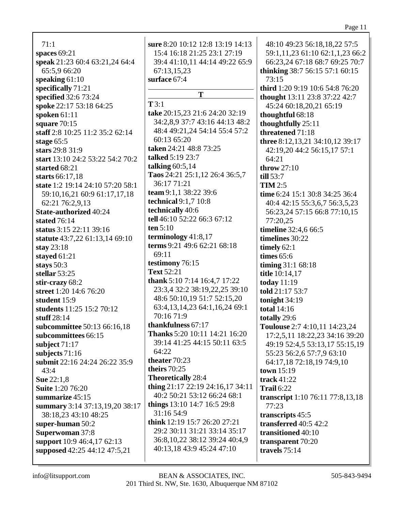71:1 **spaces** 69:21 **speak** 21:23 60:4 63:21,24 64:4 65:5,9 66:20 **speaking** 61:10 **specifically** 71:21 **specified** 32:6 73:24 **spoke** 22:17 53:18 64:25 **spoken** 61:11 **square** 70:15 **staff** 2:8 10:25 11:2 35:2 62:14 **stage** 65:5 **stars** 29:8 31:9 **start** 13:10 24:2 53:22 54:2 70:2 **started** 68:21 **starts** 66:17,18 **state** 1:2 19:14 24:10 57:20 58:1 59:10,16,21 60:9 61:17,17,18 62:21 76:2,9,13 **State-authorized** 40:24 **stated** 76:14 **status** 3:15 22:11 39:16 **statute** 43:7,22 61:13,14 69:10 **stay** 23:18 **stayed** 61:21 **stays** 50:3 **stellar** 53:25 **stir-crazy** 68:2 **street** 1:20 14:6 76:20 **student** 15:9 **students** 11:25 15:2 70:12 **stuff** 28:14 **subcommittee** 50:13 66:16,18 **subcommittees** 66:15 **subject** 71:17 **subjects** 71:16 **submit** 22:16 24:24 26:22 35:9 43:4 **Sue** 22:1,8 **Suite** 1:20 76:20 **summarize** 45:15 **summary** 3:14 37:13,19,20 38:17 38:18,23 43:10 48:25 **super-human** 50:2 **Superwoman** 37:8 **support** 10:9 46:4,17 62:13 **supposed** 42:25 44:12 47:5,21

**sure** 8:20 10:12 12:8 13:19 14:13 15:4 16:18 21:25 23:1 27:19 39:4 41:10,11 44:14 49:22 65:9 67:13,15,23 **surface** 67:4 **T T** 3:1 **take** 20:15,23 21:6 24:20 32:19 34:2,8,9 37:7 43:16 44:13 48:2 48:4 49:21,24 54:14 55:4 57:2 60:13 65:20 **taken** 24:21 48:8 73:25 **talked** 5:19 23:7 **talking** 60:5,14 **Taos** 24:21 25:1,12 26:4 36:5,7 36:17 71:21 **team** 9:1,1 38:22 39:6 **technical** 9:1,7 10:8 **technically** 40:6 **tell** 46:10 52:22 66:3 67:12 **ten** 5:10 **terminology** 41:8,17 **terms** 9:21 49:6 62:21 68:18 69:11 **testimony** 76:15 **Text** 52:21 **thank** 5:10 7:14 16:4,7 17:22 23:3,4 32:2 38:19,22,25 39:10 48:6 50:10,19 51:7 52:15,20 63:4,13,14,23 64:1,16,24 69:1 70:16 71:9 **thankfulness** 67:17 **Thanks** 5:20 10:11 14:21 16:20 39:14 41:25 44:15 50:11 63:5 64:22 **theater** 70:23 **theirs** 70:25 **Theoretically** 28:4 **thing** 21:17 22:19 24:16,17 34:11 40:2 50:21 53:12 66:24 68:1 **things** 13:10 14:7 16:5 29:8 31:16 54:9 **think** 12:19 15:7 26:20 27:21 29:2 30:11 31:21 33:14 35:17 36:8,10,22 38:12 39:24 40:4,9 40:13,18 43:9 45:24 47:10

48:10 49:23 56:18,18,22 57:5 59:1,11,23 61:10 62:1,1,23 66:2 66:23,24 67:18 68:7 69:25 70:7 **thinking** 38:7 56:15 57:1 60:15 73:15 **third** 1:20 9:19 10:6 54:8 76:20 **thought** 13:11 23:8 37:22 42:7 45:24 60:18,20,21 65:19 **thoughtful** 68:18 **thoughtfully** 25:11 **threatened** 71:18 **three** 8:12,13,21 34:10,12 39:17 42:19,20 44:2 56:15,17 57:1 64:21 **throw** 27:10 **till** 53:7 **TIM** 2:5 **time** 6:24 15:1 30:8 34:25 36:4 40:4 42:15 55:3,6,7 56:3,5,23 56:23,24 57:15 66:8 77:10,15 77:20,25 **timeline** 32:4,6 66:5 **timelines** 30:22 **timely** 62:1 **times** 65:6 **timing** 31:1 68:18 **title** 10:14,17 **today** 11:19 **told** 21:17 53:7 **tonight** 34:19 **total** 14:16 **totally** 29:6 **Toulouse** 2:7 4:10,11 14:23,24 17:2,5,11 18:22,23 34:16 39:20 49:19 52:4,5 53:13,17 55:15,19 55:23 56:2,6 57:7,9 63:10 64:17,18 72:18,19 74:9,10 **town** 15:19 **track** 41:22 **Trail** 6:22 **transcript** 1:10 76:11 77:8,13,18 77:23 **transcripts** 45:5 **transferred** 40:5 42:2 **transitioned** 40:10 **transparent** 70:20 **travels** 75:14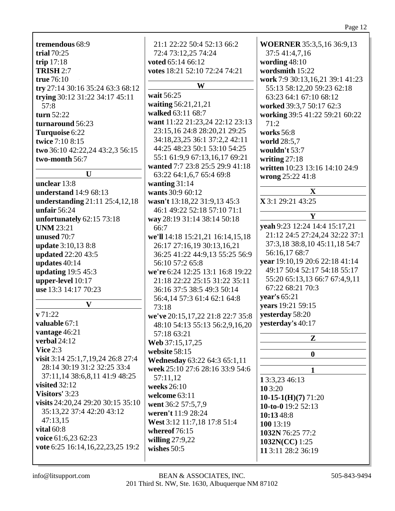| tremendous 68:9<br>trial 70:25<br>trip 17:18<br><b>TRISH 2:7</b><br>true 76:10<br>try 27:14 30:16 35:24 63:3 68:12<br>trying 30:12 31:22 34:17 45:11<br>57:8<br>turn 52:22<br>turnaround 56:23<br>Turquoise 6:22<br>twice 7:10 8:15<br>two 36:10 42:22,24 43:2,3 56:15<br>two-month 56:7 | 21:1 22:22 50:4 52:13 66:2<br>72:4 73:12,25 74:24<br>voted 65:14 66:12<br>votes 18:21 52:10 72:24 74:21<br>W<br>wait 56:25<br>waiting 56:21,21,21<br>walked 63:11 68:7<br>want 11:22 21:23,24 22:12 23:13<br>23:15,16 24:8 28:20,21 29:25<br>34:18,23,25 36:1 37:2,2 42:11<br>44:25 48:23 50:1 53:10 54:25<br>55:1 61:9,9 67:13,16,17 69:21<br>wanted 7:7 23:8 25:5 29:9 41:18 | WOERNER 35:3,5,16 36:9,13<br>37:5 41:4,7,16<br>wording $48:10$<br>wordsmith 15:22<br>work 7:9 30:13,16,21 39:1 41:23<br>55:13 58:12,20 59:23 62:18<br>63:23 64:1 67:10 68:12<br>worked 39:3,7 50:17 62:3<br>working 39:5 41:22 59:21 60:22<br>71:2<br>works 56:8<br>world 28:5,7<br>wouldn't 53:7<br>writing $27:18$<br>written 10:23 13:16 14:10 24:9 |
|------------------------------------------------------------------------------------------------------------------------------------------------------------------------------------------------------------------------------------------------------------------------------------------|--------------------------------------------------------------------------------------------------------------------------------------------------------------------------------------------------------------------------------------------------------------------------------------------------------------------------------------------------------------------------------|--------------------------------------------------------------------------------------------------------------------------------------------------------------------------------------------------------------------------------------------------------------------------------------------------------------------------------------------------------|
| $\mathbf{U}$                                                                                                                                                                                                                                                                             | 63:22 64:1,6,7 65:4 69:8                                                                                                                                                                                                                                                                                                                                                       | wrong 25:22 41:8                                                                                                                                                                                                                                                                                                                                       |
| unclear 13:8<br>understand 14:9 68:13                                                                                                                                                                                                                                                    | wanting $31:14$<br>wants 30:9 60:12                                                                                                                                                                                                                                                                                                                                            | $\mathbf X$                                                                                                                                                                                                                                                                                                                                            |
| understanding 21:11 25:4,12,18                                                                                                                                                                                                                                                           | wasn't 13:18,22 31:9,13 45:3                                                                                                                                                                                                                                                                                                                                                   | X 3:1 29:21 43:25                                                                                                                                                                                                                                                                                                                                      |
| unfair $56:24$                                                                                                                                                                                                                                                                           | 46:1 49:22 52:18 57:10 71:1                                                                                                                                                                                                                                                                                                                                                    |                                                                                                                                                                                                                                                                                                                                                        |
| unfortunately 62:15 73:18                                                                                                                                                                                                                                                                | way 28:19 31:14 38:14 50:18                                                                                                                                                                                                                                                                                                                                                    | $\mathbf{Y}$                                                                                                                                                                                                                                                                                                                                           |
| <b>UNM 23:21</b>                                                                                                                                                                                                                                                                         | 66:7                                                                                                                                                                                                                                                                                                                                                                           | yeah 9:23 12:24 14:4 15:17,21                                                                                                                                                                                                                                                                                                                          |
| unused 70:7                                                                                                                                                                                                                                                                              | we'll 14:18 15:21,21 16:14,15,18                                                                                                                                                                                                                                                                                                                                               | 21:12 24:5 27:24,24 32:22 37:1                                                                                                                                                                                                                                                                                                                         |
| update 3:10,13 8:8                                                                                                                                                                                                                                                                       | 26:17 27:16,19 30:13,16,21                                                                                                                                                                                                                                                                                                                                                     | 37:3,18 38:8,10 45:11,18 54:7                                                                                                                                                                                                                                                                                                                          |
| updated 22:20 43:5                                                                                                                                                                                                                                                                       | 36:25 41:22 44:9,13 55:25 56:9                                                                                                                                                                                                                                                                                                                                                 | 56:16,17 68:7<br>year 19:10,19 20:6 22:18 41:14                                                                                                                                                                                                                                                                                                        |
| updates 40:14                                                                                                                                                                                                                                                                            | 56:10 57:2 65:8                                                                                                                                                                                                                                                                                                                                                                | 49:17 50:4 52:17 54:18 55:17                                                                                                                                                                                                                                                                                                                           |
| updating 19:5 45:3                                                                                                                                                                                                                                                                       | we're 6:24 12:25 13:1 16:8 19:22                                                                                                                                                                                                                                                                                                                                               | 55:20 65:13,13 66:7 67:4,9,11                                                                                                                                                                                                                                                                                                                          |
| upper-level 10:17<br>use 13:3 14:17 70:23                                                                                                                                                                                                                                                | 21:18 22:22 25:15 31:22 35:11<br>36:16 37:5 38:5 49:3 50:14                                                                                                                                                                                                                                                                                                                    | 67:22 68:21 70:3                                                                                                                                                                                                                                                                                                                                       |
|                                                                                                                                                                                                                                                                                          | 56:4,14 57:3 61:4 62:1 64:8                                                                                                                                                                                                                                                                                                                                                    | year's 65:21                                                                                                                                                                                                                                                                                                                                           |
| $\mathbf{V}$                                                                                                                                                                                                                                                                             | 73:18                                                                                                                                                                                                                                                                                                                                                                          | years 19:21 59:15                                                                                                                                                                                                                                                                                                                                      |
| v71:22                                                                                                                                                                                                                                                                                   | we've 20:15,17,22 21:8 22:7 35:8                                                                                                                                                                                                                                                                                                                                               | yesterday 58:20                                                                                                                                                                                                                                                                                                                                        |
| valuable 67:1                                                                                                                                                                                                                                                                            | 48:10 54:13 55:13 56:2,9,16,20                                                                                                                                                                                                                                                                                                                                                 | yesterday's 40:17                                                                                                                                                                                                                                                                                                                                      |
| vantage 46:21                                                                                                                                                                                                                                                                            | 57:18 63:21                                                                                                                                                                                                                                                                                                                                                                    |                                                                                                                                                                                                                                                                                                                                                        |
| verbal 24:12                                                                                                                                                                                                                                                                             | Web 37:15,17,25                                                                                                                                                                                                                                                                                                                                                                | $\mathbf{Z}$                                                                                                                                                                                                                                                                                                                                           |
| Vice $2:3$                                                                                                                                                                                                                                                                               | website 58:15                                                                                                                                                                                                                                                                                                                                                                  | $\bf{0}$                                                                                                                                                                                                                                                                                                                                               |
| visit 3:14 25:1,7,19,24 26:8 27:4                                                                                                                                                                                                                                                        | Wednesday 63:22 64:3 65:1,11                                                                                                                                                                                                                                                                                                                                                   |                                                                                                                                                                                                                                                                                                                                                        |
| 28:14 30:19 31:2 32:25 33:4                                                                                                                                                                                                                                                              | week 25:10 27:6 28:16 33:9 54:6                                                                                                                                                                                                                                                                                                                                                | $\mathbf{1}$                                                                                                                                                                                                                                                                                                                                           |
| 37:11,14 38:6,8,11 41:9 48:25                                                                                                                                                                                                                                                            | 57:11,12                                                                                                                                                                                                                                                                                                                                                                       | 13:3,23 46:13                                                                                                                                                                                                                                                                                                                                          |
| visited $32:12$                                                                                                                                                                                                                                                                          | weeks 26:10                                                                                                                                                                                                                                                                                                                                                                    | 10 3:20                                                                                                                                                                                                                                                                                                                                                |
| Visitors' 3:23<br>visits 24:20,24 29:20 30:15 35:10                                                                                                                                                                                                                                      | welcome 63:11                                                                                                                                                                                                                                                                                                                                                                  | 10-15-1(H)(7) $71:20$                                                                                                                                                                                                                                                                                                                                  |
| 35:13,22 37:4 42:20 43:12                                                                                                                                                                                                                                                                | went 36:2 57:5,7,9                                                                                                                                                                                                                                                                                                                                                             | 10-to-0 19:2 52:13                                                                                                                                                                                                                                                                                                                                     |
| 47:13,15                                                                                                                                                                                                                                                                                 | weren't 11:9 28:24                                                                                                                                                                                                                                                                                                                                                             | 10:13 48:8                                                                                                                                                                                                                                                                                                                                             |
| vital $60:8$                                                                                                                                                                                                                                                                             | West 3:12 11:7,18 17:8 51:4<br>whereof $76:15$                                                                                                                                                                                                                                                                                                                                 | 100 13:19                                                                                                                                                                                                                                                                                                                                              |
| voice 61:6,23 62:23                                                                                                                                                                                                                                                                      | willing $27:9,22$                                                                                                                                                                                                                                                                                                                                                              | 1032N 76:25 77:2                                                                                                                                                                                                                                                                                                                                       |
| vote 6:25 16:14, 16, 22, 23, 25 19:2                                                                                                                                                                                                                                                     | wishes $50:5$                                                                                                                                                                                                                                                                                                                                                                  | 1032N(CC) 1:25                                                                                                                                                                                                                                                                                                                                         |
|                                                                                                                                                                                                                                                                                          |                                                                                                                                                                                                                                                                                                                                                                                | 11 3:11 28:2 36:19                                                                                                                                                                                                                                                                                                                                     |

Page 12